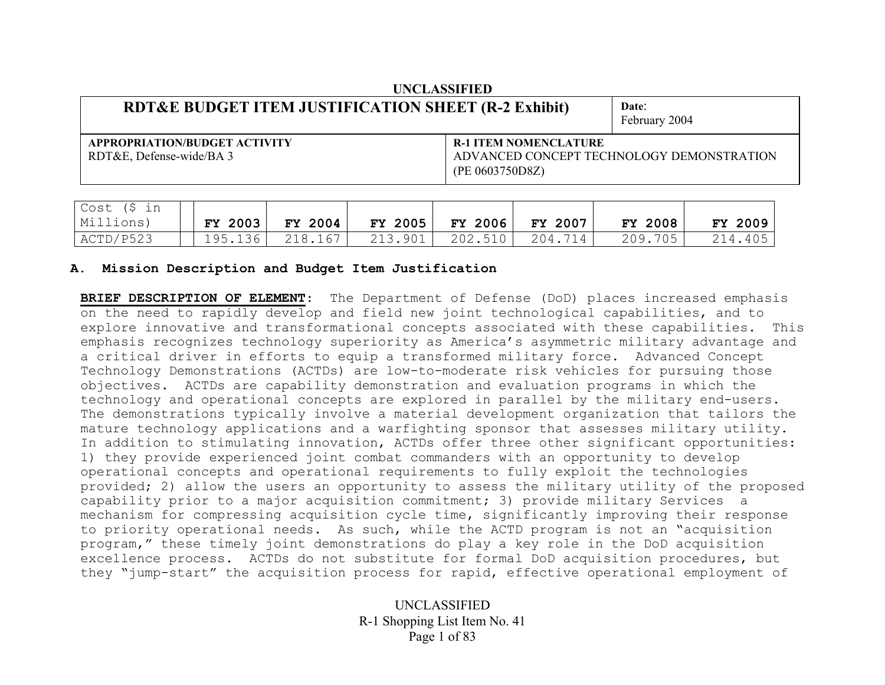## **UNCLASSIFIED RDT&E BUDGET ITEM JUSTIFICATION SHEET (R-2 Exhibit)** Date: February 2004 **APPROPRIATION/BUDGET ACTIVITY** RDT&E, Defense-wide/BA 3 **R-1 ITEM NOMENCLATURE** ADVANCED CONCEPT TECHNOLOGY DEMONSTRATION (PE 0603750D8Z)

| Cost (\$ in<br>Millions) | FY 2003 | FY 2004 | FY 2005 | FY 2006 | FY 2007 | <b>FY 2008</b> | FY 2009 |
|--------------------------|---------|---------|---------|---------|---------|----------------|---------|
| ACTD/P523                | 195.136 | 218.167 | 213.901 | 202.510 | 204.714 | 209.705        | 214.405 |

## **A. Mission Description and Budget Item Justification**

**BRIEF DESCRIPTION OF ELEMENT**: The Department of Defense (DoD) places increased emphasis on the need to rapidly develop and field new joint technological capabilities, and to explore innovative and transformational concepts associated with these capabilities. This emphasis recognizes technology superiority as America's asymmetric military advantage and a critical driver in efforts to equip a transformed military force. Advanced Concept Technology Demonstrations (ACTDs) are low-to-moderate risk vehicles for pursuing those objectives. ACTDs are capability demonstration and evaluation programs in which the technology and operational concepts are explored in parallel by the military end-users. The demonstrations typically involve a material development organization that tailors the mature technology applications and a warfighting sponsor that assesses military utility. In addition to stimulating innovation, ACTDs offer three other significant opportunities: 1) they provide experienced joint combat commanders with an opportunity to develop operational concepts and operational requirements to fully exploit the technologies provided; 2) allow the users an opportunity to assess the military utility of the proposed capability prior to a major acquisition commitment; 3) provide military Services a mechanism for compressing acquisition cycle time, significantly improving their response to priority operational needs. As such, while the ACTD program is not an "acquisition program," these timely joint demonstrations do play a key role in the DoD acquisition excellence process. ACTDs do not substitute for formal DoD acquisition procedures, but they "jump-start" the acquisition process for rapid, effective operational employment of

> UNCLASSIFIED R-1 Shopping List Item No. 41 Page 1 of 83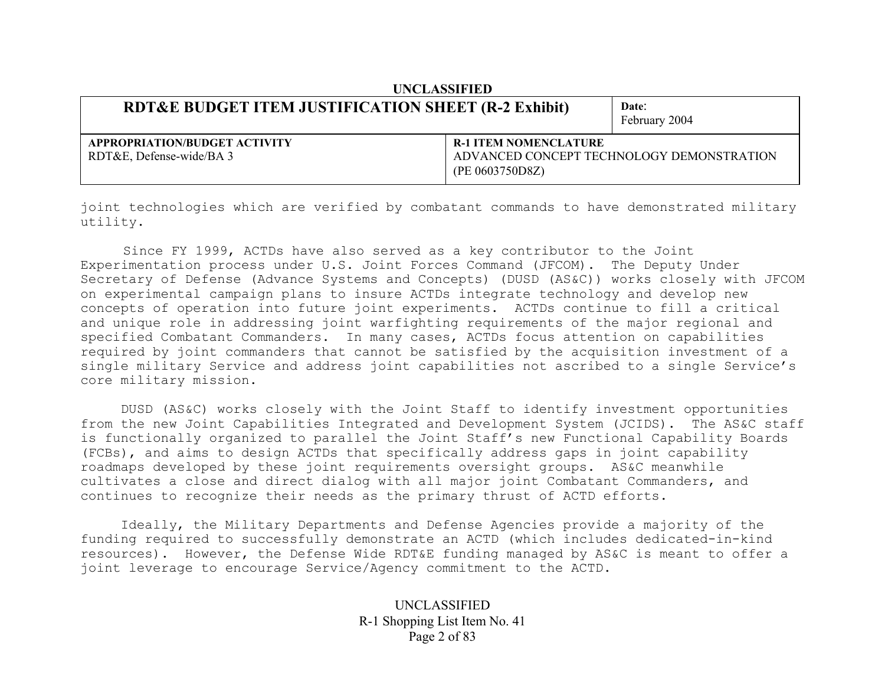### **UNCLASSIFIED RDT&E BUDGET ITEM JUSTIFICATION SHEET (R-2 Exhibit)** Date: February 2004 **APPROPRIATION/BUDGET ACTIVITY** RDT&E, Defense-wide/BA 3 **R-1 ITEM NOMENCLATURE** ADVANCED CONCEPT TECHNOLOGY DEMONSTRATION (PE 0603750D8Z)

joint technologies which are verified by combatant commands to have demonstrated military utility.

 Since FY 1999, ACTDs have also served as a key contributor to the Joint Experimentation process under U.S. Joint Forces Command (JFCOM). The Deputy Under Secretary of Defense (Advance Systems and Concepts) (DUSD (AS&C)) works closely with JFCOM on experimental campaign plans to insure ACTDs integrate technology and develop new concepts of operation into future joint experiments. ACTDs continue to fill a critical and unique role in addressing joint warfighting requirements of the major regional and specified Combatant Commanders. In many cases, ACTDs focus attention on capabilities required by joint commanders that cannot be satisfied by the acquisition investment of a single military Service and address joint capabilities not ascribed to a single Service's core military mission.

DUSD (AS&C) works closely with the Joint Staff to identify investment opportunities from the new Joint Capabilities Integrated and Development System (JCIDS). The AS&C staff is functionally organized to parallel the Joint Staff's new Functional Capability Boards (FCBs), and aims to design ACTDs that specifically address gaps in joint capability roadmaps developed by these joint requirements oversight groups. AS&C meanwhile cultivates a close and direct dialog with all major joint Combatant Commanders, and continues to recognize their needs as the primary thrust of ACTD efforts.

Ideally, the Military Departments and Defense Agencies provide a majority of the funding required to successfully demonstrate an ACTD (which includes dedicated-in-kind resources). However, the Defense Wide RDT&E funding managed by AS&C is meant to offer a joint leverage to encourage Service/Agency commitment to the ACTD.

> UNCLASSIFIED R-1 Shopping List Item No. 41 Page 2 of 83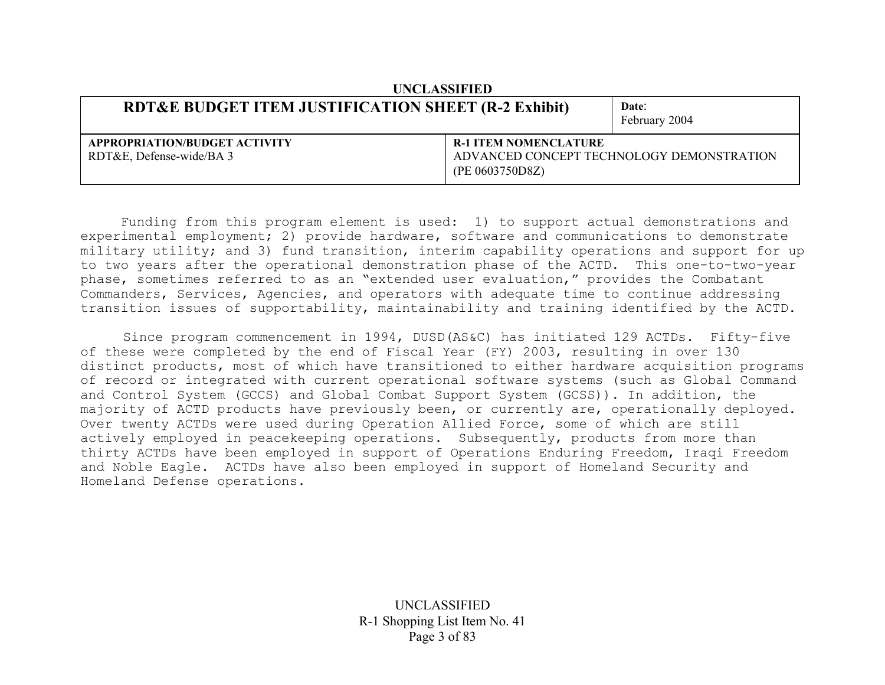| $0.1021$ . The set $1.00$                                        |                                                 |                                           |  |  |
|------------------------------------------------------------------|-------------------------------------------------|-------------------------------------------|--|--|
| RDT&E BUDGET ITEM JUSTIFICATION SHEET (R-2 Exhibit)              | Date:<br>February 2004                          |                                           |  |  |
| <b>APPROPRIATION/BUDGET ACTIVITY</b><br>RDT&E, Defense-wide/BA 3 | <b>R-1 ITEM NOMENCLATURE</b><br>(PE 0603750D8Z) | ADVANCED CONCEPT TECHNOLOGY DEMONSTRATION |  |  |

 Funding from this program element is used: 1) to support actual demonstrations and experimental employment; 2) provide hardware, software and communications to demonstrate military utility; and 3) fund transition, interim capability operations and support for up to two years after the operational demonstration phase of the ACTD. This one-to-two-year phase, sometimes referred to as an "extended user evaluation," provides the Combatant Commanders, Services, Agencies, and operators with adequate time to continue addressing transition issues of supportability, maintainability and training identified by the ACTD.

 Since program commencement in 1994, DUSD(AS&C) has initiated 129 ACTDs. Fifty-five of these were completed by the end of Fiscal Year (FY) 2003, resulting in over 130 distinct products, most of which have transitioned to either hardware acquisition programs of record or integrated with current operational software systems (such as Global Command and Control System (GCCS) and Global Combat Support System (GCSS)). In addition, the majority of ACTD products have previously been, or currently are, operationally deployed. Over twenty ACTDs were used during Operation Allied Force, some of which are still actively employed in peacekeeping operations. Subsequently, products from more than thirty ACTDs have been employed in support of Operations Enduring Freedom, Iraqi Freedom and Noble Eagle. ACTDs have also been employed in support of Homeland Security and Homeland Defense operations.

> UNCLASSIFIED R-1 Shopping List Item No. 41 Page 3 of 83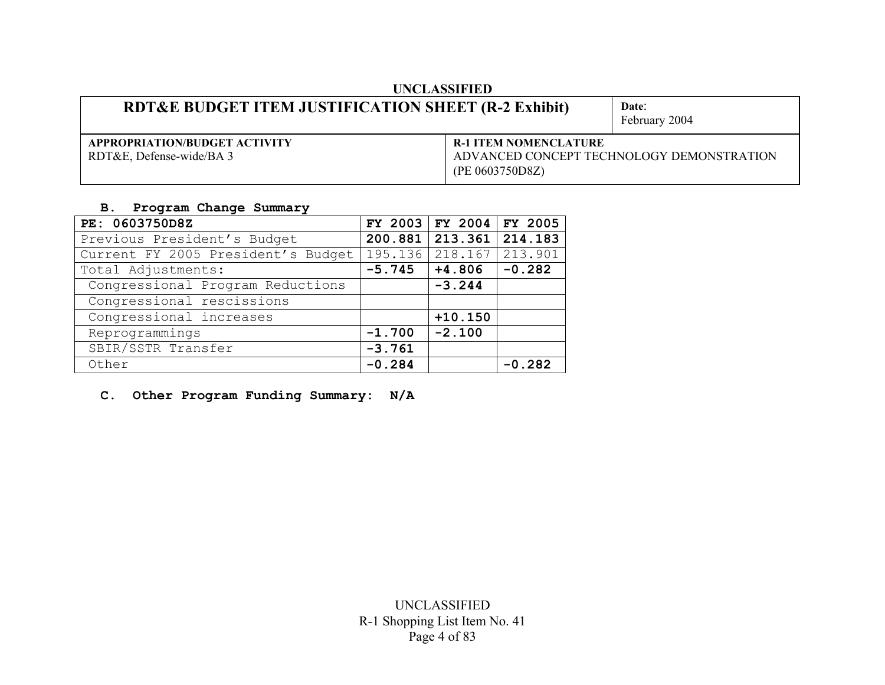| UNCLASSIFIED                                              |                                                 |                                           |  |
|-----------------------------------------------------------|-------------------------------------------------|-------------------------------------------|--|
| RDT&E BUDGET ITEM JUSTIFICATION SHEET (R-2 Exhibit)       |                                                 | Date:<br>February 2004                    |  |
| APPROPRIATION/BUDGET ACTIVITY<br>RDT&E, Defense-wide/BA 3 | <b>R-1 ITEM NOMENCLATURE</b><br>(PE 0603750D8Z) | ADVANCED CONCEPT TECHNOLOGY DEMONSTRATION |  |

# **B. Program Change Summary**

| PE: 0603750D8Z                     |                 | FY 2003 FY 2004 | FY 2005  |
|------------------------------------|-----------------|-----------------|----------|
| Previous President's Budget        | 200.881         | 213.361         | 214.183  |
| Current FY 2005 President's Budget | 195.136 218.167 |                 | 213.901  |
| Total Adjustments:                 | $-5.745$        | $+4.806$        | $-0.282$ |
| Congressional Program Reductions   |                 | $-3.244$        |          |
| Congressional rescissions          |                 |                 |          |
| Congressional increases            |                 | $+10.150$       |          |
| Reprogrammings                     | $-1.700$        | $-2.100$        |          |
| SBIR/SSTR Transfer                 | $-3.761$        |                 |          |
| Other                              | $-0.284$        |                 | $-0.282$ |

## **C. Other Program Funding Summary: N/A**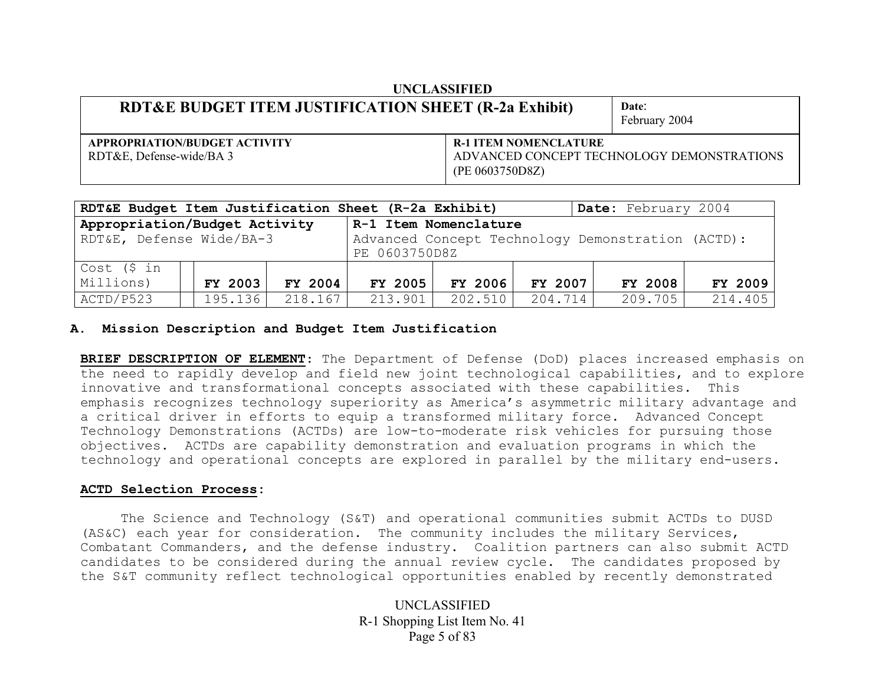| RDT&E BUDGET ITEM JUSTIFICATION SHEET (R-2a Exhibit)      | Date:<br>February 2004                          |                                            |
|-----------------------------------------------------------|-------------------------------------------------|--------------------------------------------|
| APPROPRIATION/BUDGET ACTIVITY<br>RDT&E, Defense-wide/BA 3 | <b>R-1 ITEM NOMENCLATURE</b><br>(PE 0603750D8Z) | ADVANCED CONCEPT TECHNOLOGY DEMONSTRATIONS |

| RDT&E Budget Item Justification Sheet (R-2a Exhibit)   |  |         |         |                                                                    |         |         | Date: February 2004 |         |
|--------------------------------------------------------|--|---------|---------|--------------------------------------------------------------------|---------|---------|---------------------|---------|
| Appropriation/Budget Activity<br>R-1 Item Nomenclature |  |         |         |                                                                    |         |         |                     |         |
| RDT&E, Defense Wide/BA-3                               |  |         |         | Advanced Concept Technology Demonstration (ACTD):<br>PE 0603750D8Z |         |         |                     |         |
| Cost (\$ in<br>Millions)                               |  | FY 2003 | FY 2004 | FY 2005                                                            | FY 2006 | FY 2007 | FY 2008             | FY 2009 |
| ACTD/P523                                              |  | 195.136 | 218.167 | 213.901                                                            | 202.510 | 204.714 | 209.705             | 214.405 |

### **A. Mission Description and Budget Item Justification**

**BRIEF DESCRIPTION OF ELEMENT**: The Department of Defense (DoD) places increased emphasis on the need to rapidly develop and field new joint technological capabilities, and to explore innovative and transformational concepts associated with these capabilities. This emphasis recognizes technology superiority as America's asymmetric military advantage and a critical driver in efforts to equip a transformed military force. Advanced Concept Technology Demonstrations (ACTDs) are low-to-moderate risk vehicles for pursuing those objectives. ACTDs are capability demonstration and evaluation programs in which the technology and operational concepts are explored in parallel by the military end-users.

### **ACTD Selection Process:**

 The Science and Technology (S&T) and operational communities submit ACTDs to DUSD (AS&C) each year for consideration. The community includes the military Services, Combatant Commanders, and the defense industry. Coalition partners can also submit ACTD candidates to be considered during the annual review cycle. The candidates proposed by the S&T community reflect technological opportunities enabled by recently demonstrated

> UNCLASSIFIED R-1 Shopping List Item No. 41 Page 5 of 83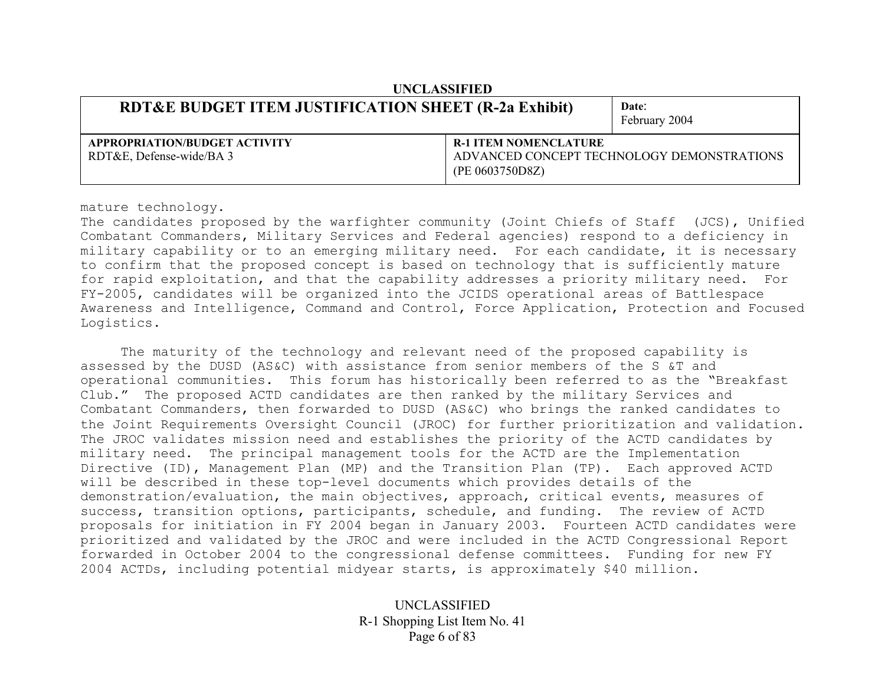| RDT&E BUDGET ITEM JUSTIFICATION SHEET (R-2a Exhibit)      | Date:<br>February 2004                          |                                            |  |  |
|-----------------------------------------------------------|-------------------------------------------------|--------------------------------------------|--|--|
| APPROPRIATION/BUDGET ACTIVITY<br>RDT&E, Defense-wide/BA 3 | <b>R-1 ITEM NOMENCLATURE</b><br>(PE 0603750D8Z) | ADVANCED CONCEPT TECHNOLOGY DEMONSTRATIONS |  |  |

mature technology.

The candidates proposed by the warfighter community (Joint Chiefs of Staff (JCS), Unified Combatant Commanders, Military Services and Federal agencies) respond to a deficiency in military capability or to an emerging military need. For each candidate, it is necessary to confirm that the proposed concept is based on technology that is sufficiently mature for rapid exploitation, and that the capability addresses a priority military need. For FY-2005, candidates will be organized into the JCIDS operational areas of Battlespace Awareness and Intelligence, Command and Control, Force Application, Protection and Focused Logistics.

The maturity of the technology and relevant need of the proposed capability is assessed by the DUSD (AS&C) with assistance from senior members of the S &T and operational communities. This forum has historically been referred to as the "Breakfast Club." The proposed ACTD candidates are then ranked by the military Services and Combatant Commanders, then forwarded to DUSD (AS&C) who brings the ranked candidates to the Joint Requirements Oversight Council (JROC) for further prioritization and validation*.*  The JROC validates mission need and establishes the priority of the ACTD candidates by military need. The principal management tools for the ACTD are the Implementation Directive (ID), Management Plan (MP) and the Transition Plan (TP). Each approved ACTD will be described in these top-level documents which provides details of the demonstration/evaluation, the main objectives, approach, critical events, measures of success, transition options, participants, schedule, and funding. The review of ACTD proposals for initiation in FY 2004 began in January 2003. Fourteen ACTD candidates were prioritized and validated by the JROC and were included in the ACTD Congressional Report forwarded in October 2004 to the congressional defense committees. Funding for new FY 2004 ACTDs, including potential midyear starts, is approximately \$40 million.

> UNCLASSIFIED R-1 Shopping List Item No. 41 Page 6 of 83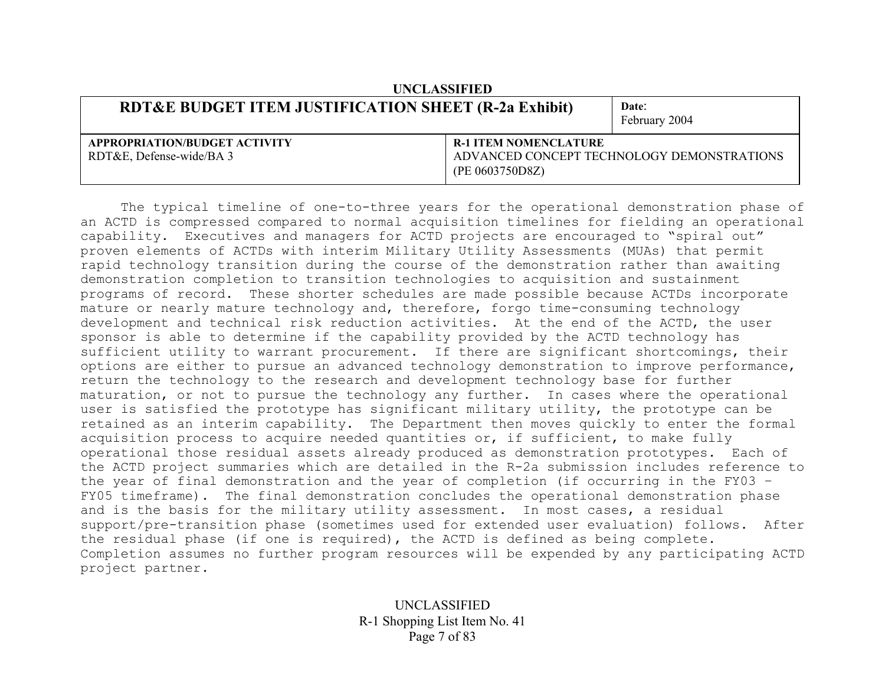| RDT&E BUDGET ITEM JUSTIFICATION SHEET (R-2a Exhibit)      | Date:<br>February 2004                          |                                            |  |
|-----------------------------------------------------------|-------------------------------------------------|--------------------------------------------|--|
| APPROPRIATION/BUDGET ACTIVITY<br>RDT&E, Defense-wide/BA 3 | <b>R-1 ITEM NOMENCLATURE</b><br>(PE 0603750D8Z) | ADVANCED CONCEPT TECHNOLOGY DEMONSTRATIONS |  |

The typical timeline of one-to-three years for the operational demonstration phase of an ACTD is compressed compared to normal acquisition timelines for fielding an operational capability. Executives and managers for ACTD projects are encouraged to "spiral out" proven elements of ACTDs with interim Military Utility Assessments (MUAs) that permit rapid technology transition during the course of the demonstration rather than awaiting demonstration completion to transition technologies to acquisition and sustainment programs of record. These shorter schedules are made possible because ACTDs incorporate mature or nearly mature technology and, therefore, forgo time-consuming technology development and technical risk reduction activities. At the end of the ACTD, the user sponsor is able to determine if the capability provided by the ACTD technology has sufficient utility to warrant procurement. If there are significant shortcomings, their options are either to pursue an advanced technology demonstration to improve performance, return the technology to the research and development technology base for further maturation, or not to pursue the technology any further. In cases where the operational user is satisfied the prototype has significant military utility, the prototype can be retained as an interim capability. The Department then moves quickly to enter the formal acquisition process to acquire needed quantities or, if sufficient, to make fully operational those residual assets already produced as demonstration prototypes. Each of the ACTD project summaries which are detailed in the R-2a submission includes reference to the year of final demonstration and the year of completion (if occurring in the FY03 – FY05 timeframe). The final demonstration concludes the operational demonstration phase and is the basis for the military utility assessment. In most cases, a residual support/pre-transition phase (sometimes used for extended user evaluation) follows. After the residual phase (if one is required), the ACTD is defined as being complete. Completion assumes no further program resources will be expended by any participating ACTD project partner.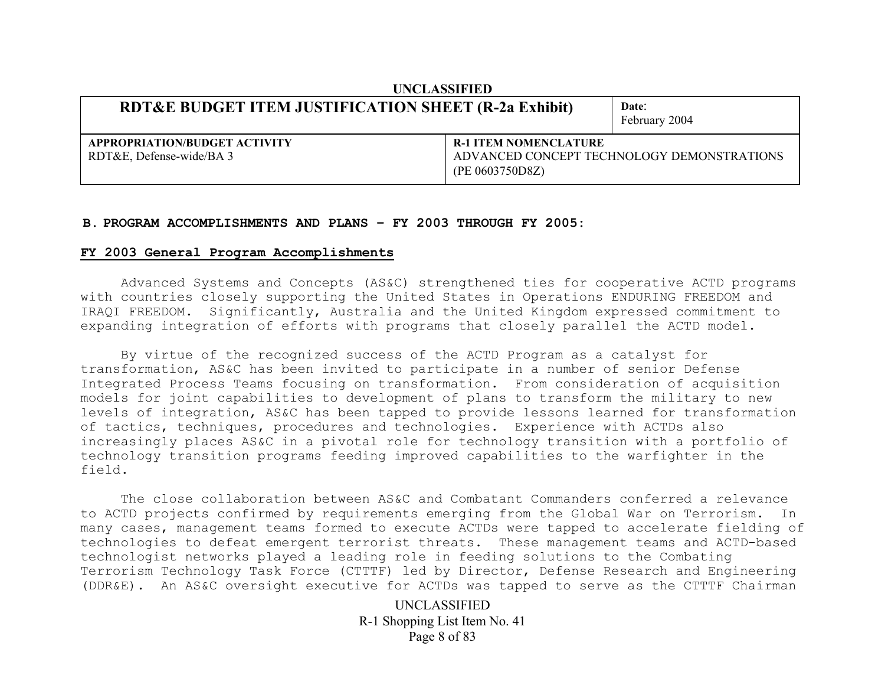| RDT&E BUDGET ITEM JUSTIFICATION SHEET (R-2a Exhibit)      | Date:<br>February 2004                          |                                            |
|-----------------------------------------------------------|-------------------------------------------------|--------------------------------------------|
| APPROPRIATION/BUDGET ACTIVITY<br>RDT&E, Defense-wide/BA 3 | <b>R-1 ITEM NOMENCLATURE</b><br>(PE 0603750D8Z) | ADVANCED CONCEPT TECHNOLOGY DEMONSTRATIONS |

### **B. PROGRAM ACCOMPLISHMENTS AND PLANS – FY 2003 THROUGH FY 2005:**

#### **FY 2003 General Program Accomplishments**

Advanced Systems and Concepts (AS&C) strengthened ties for cooperative ACTD programs with countries closely supporting the United States in Operations ENDURING FREEDOM and IRAQI FREEDOM. Significantly, Australia and the United Kingdom expressed commitment to expanding integration of efforts with programs that closely parallel the ACTD model.

 By virtue of the recognized success of the ACTD Program as a catalyst for transformation, AS&C has been invited to participate in a number of senior Defense Integrated Process Teams focusing on transformation. From consideration of acquisition models for joint capabilities to development of plans to transform the military to new levels of integration, AS&C has been tapped to provide lessons learned for transformation of tactics, techniques, procedures and technologies. Experience with ACTDs also increasingly places AS&C in a pivotal role for technology transition with a portfolio of technology transition programs feeding improved capabilities to the warfighter in the field.

The close collaboration between AS&C and Combatant Commanders conferred a relevance to ACTD projects confirmed by requirements emerging from the Global War on Terrorism. In many cases, management teams formed to execute ACTDs were tapped to accelerate fielding of technologies to defeat emergent terrorist threats. These management teams and ACTD-based technologist networks played a leading role in feeding solutions to the Combating Terrorism Technology Task Force (CTTTF) led by Director, Defense Research and Engineering (DDR&E). An AS&C oversight executive for ACTDs was tapped to serve as the CTTTF Chairman

> UNCLASSIFIED R-1 Shopping List Item No. 41 Page 8 of 83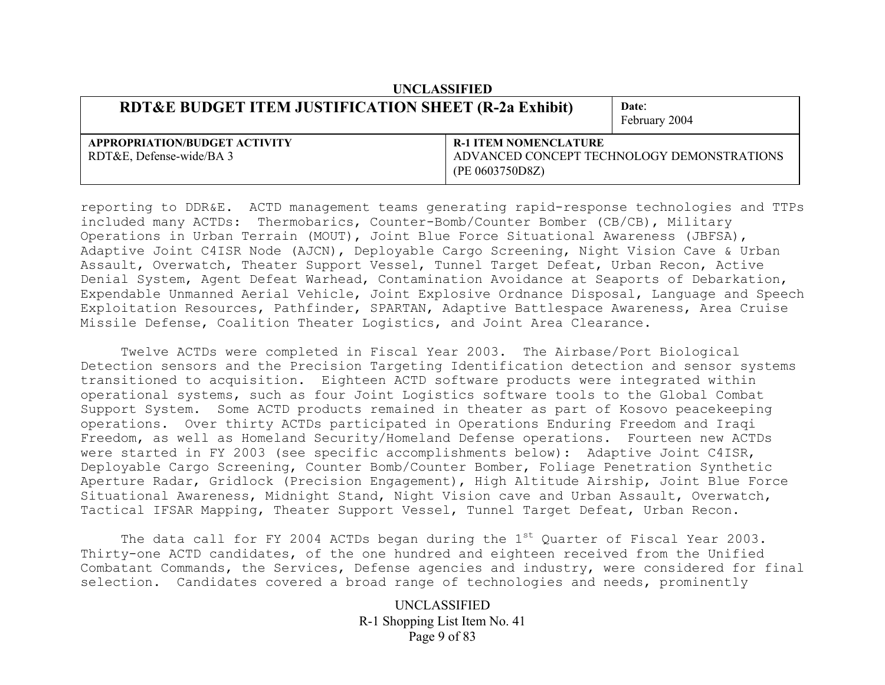| RDT&E BUDGET ITEM JUSTIFICATION SHEET (R-2a Exhibit)      |                                                 | Date:<br>February 2004                     |  |
|-----------------------------------------------------------|-------------------------------------------------|--------------------------------------------|--|
| APPROPRIATION/BUDGET ACTIVITY<br>RDT&E, Defense-wide/BA 3 | <b>R-1 ITEM NOMENCLATURE</b><br>(PE 0603750D8Z) | ADVANCED CONCEPT TECHNOLOGY DEMONSTRATIONS |  |

reporting to DDR&E. ACTD management teams generating rapid-response technologies and TTPs included many ACTDs: Thermobarics, Counter-Bomb/Counter Bomber (CB/CB), Military Operations in Urban Terrain (MOUT), Joint Blue Force Situational Awareness (JBFSA), Adaptive Joint C4ISR Node (AJCN), Deployable Cargo Screening, Night Vision Cave & Urban Assault, Overwatch, Theater Support Vessel, Tunnel Target Defeat, Urban Recon, Active Denial System, Agent Defeat Warhead, Contamination Avoidance at Seaports of Debarkation, Expendable Unmanned Aerial Vehicle, Joint Explosive Ordnance Disposal, Language and Speech Exploitation Resources, Pathfinder, SPARTAN, Adaptive Battlespace Awareness, Area Cruise Missile Defense, Coalition Theater Logistics, and Joint Area Clearance.

Twelve ACTDs were completed in Fiscal Year 2003. The Airbase/Port Biological Detection sensors and the Precision Targeting Identification detection and sensor systems transitioned to acquisition. Eighteen ACTD software products were integrated within operational systems, such as four Joint Logistics software tools to the Global Combat Support System. Some ACTD products remained in theater as part of Kosovo peacekeeping operations. Over thirty ACTDs participated in Operations Enduring Freedom and Iraqi Freedom, as well as Homeland Security/Homeland Defense operations. Fourteen new ACTDs were started in FY 2003 (see specific accomplishments below): Adaptive Joint C4ISR, Deployable Cargo Screening, Counter Bomb/Counter Bomber, Foliage Penetration Synthetic Aperture Radar, Gridlock (Precision Engagement), High Altitude Airship, Joint Blue Force Situational Awareness, Midnight Stand, Night Vision cave and Urban Assault, Overwatch, Tactical IFSAR Mapping, Theater Support Vessel, Tunnel Target Defeat, Urban Recon.

The data call for FY 2004 ACTDs began during the  $1^{st}$  Ouarter of Fiscal Year 2003. Thirty-one ACTD candidates, of the one hundred and eighteen received from the Unified Combatant Commands, the Services, Defense agencies and industry, were considered for final selection. Candidates covered a broad range of technologies and needs, prominently

> UNCLASSIFIED R-1 Shopping List Item No. 41 Page 9 of 83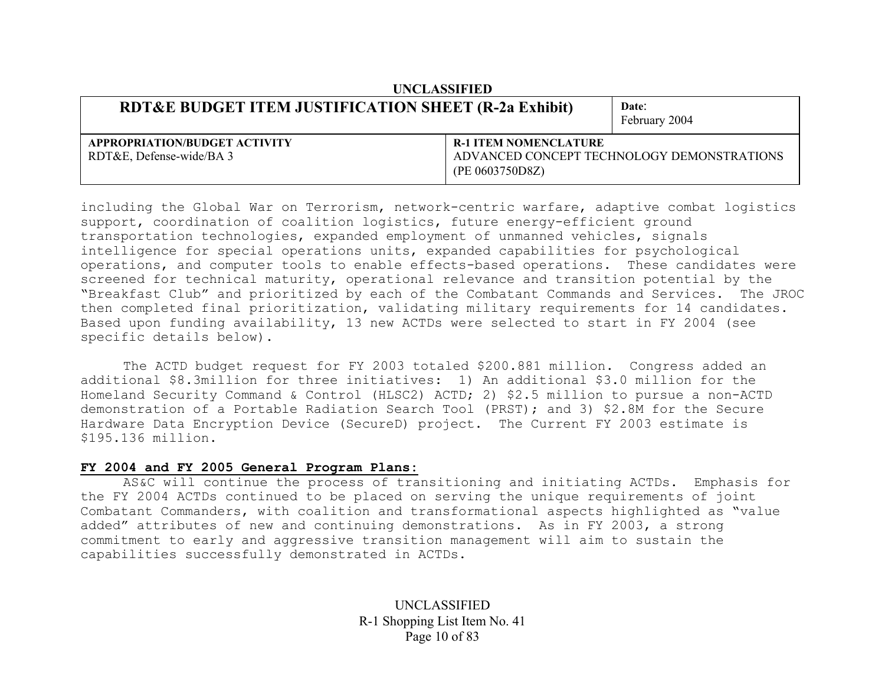| RDT&E BUDGET ITEM JUSTIFICATION SHEET (R-2a Exhibit)      | Date:<br>February 2004                          |                                            |  |
|-----------------------------------------------------------|-------------------------------------------------|--------------------------------------------|--|
| APPROPRIATION/BUDGET ACTIVITY<br>RDT&E, Defense-wide/BA 3 | <b>R-1 ITEM NOMENCLATURE</b><br>(PE 0603750D8Z) | ADVANCED CONCEPT TECHNOLOGY DEMONSTRATIONS |  |

including the Global War on Terrorism, network-centric warfare, adaptive combat logistics support, coordination of coalition logistics, future energy-efficient ground transportation technologies, expanded employment of unmanned vehicles, signals intelligence for special operations units, expanded capabilities for psychological operations, and computer tools to enable effects-based operations. These candidates were screened for technical maturity, operational relevance and transition potential by the "Breakfast Club" and prioritized by each of the Combatant Commands and Services. The JROC then completed final prioritization, validating military requirements for 14 candidates. Based upon funding availability, 13 new ACTDs were selected to start in FY 2004 (see specific details below).

 The ACTD budget request for FY 2003 totaled \$200.881 million. Congress added an additional \$8.3million for three initiatives: 1) An additional \$3.0 million for the Homeland Security Command & Control (HLSC2) ACTD; 2) \$2.5 million to pursue a non-ACTD demonstration of a Portable Radiation Search Tool (PRST); and 3) \$2.8M for the Secure Hardware Data Encryption Device (SecureD) project. The Current FY 2003 estimate is \$195.136 million.

### **FY 2004 and FY 2005 General Program Plans:**

 AS&C will continue the process of transitioning and initiating ACTDs. Emphasis for the FY 2004 ACTDs continued to be placed on serving the unique requirements of joint Combatant Commanders, with coalition and transformational aspects highlighted as "value added" attributes of new and continuing demonstrations. As in FY 2003, a strong commitment to early and aggressive transition management will aim to sustain the capabilities successfully demonstrated in ACTDs.

> UNCLASSIFIED R-1 Shopping List Item No. 41 Page 10 of 83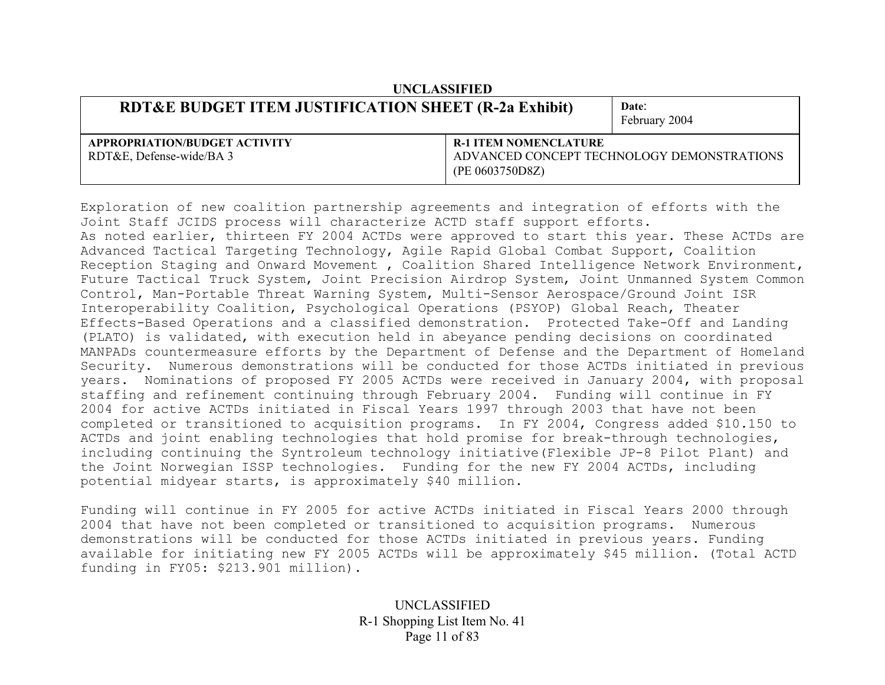| RDT&E BUDGET ITEM JUSTIFICATION SHEET (R-2a Exhibit)      | Date:<br>February 2004                          |                                            |
|-----------------------------------------------------------|-------------------------------------------------|--------------------------------------------|
| APPROPRIATION/BUDGET ACTIVITY<br>RDT&E, Defense-wide/BA 3 | <b>R-1 ITEM NOMENCLATURE</b><br>(PE 0603750D8Z) | ADVANCED CONCEPT TECHNOLOGY DEMONSTRATIONS |

Exploration of new coalition partnership agreements and integration of efforts with the Joint Staff JCIDS process will characterize ACTD staff support efforts. As noted earlier, thirteen FY 2004 ACTDs were approved to start this year. These ACTDs are Advanced Tactical Targeting Technology, Agile Rapid Global Combat Support, Coalition Reception Staging and Onward Movement , Coalition Shared Intelligence Network Environment, Future Tactical Truck System, Joint Precision Airdrop System, Joint Unmanned System Common Control, Man-Portable Threat Warning System, Multi-Sensor Aerospace/Ground Joint ISR Interoperability Coalition, Psychological Operations (PSYOP) Global Reach, Theater Effects-Based Operations and a classified demonstration. Protected Take-Off and Landing (PLATO) is validated, with execution held in abeyance pending decisions on coordinated MANPADs countermeasure efforts by the Department of Defense and the Department of Homeland Security. Numerous demonstrations will be conducted for those ACTDs initiated in previous years. Nominations of proposed FY 2005 ACTDs were received in January 2004, with proposal staffing and refinement continuing through February 2004. Funding will continue in FY 2004 for active ACTDs initiated in Fiscal Years 1997 through 2003 that have not been completed or transitioned to acquisition programs. In FY 2004, Congress added \$10.150 to ACTDs and joint enabling technologies that hold promise for break-through technologies, including continuing the Syntroleum technology initiative(Flexible JP-8 Pilot Plant) and the Joint Norwegian ISSP technologies. Funding for the new FY 2004 ACTDs, including potential midyear starts, is approximately \$40 million.

Funding will continue in FY 2005 for active ACTDs initiated in Fiscal Years 2000 through 2004 that have not been completed or transitioned to acquisition programs. Numerous demonstrations will be conducted for those ACTDs initiated in previous years. Funding available for initiating new FY 2005 ACTDs will be approximately \$45 million. (Total ACTD funding in FY05: \$213.901 million).

> UNCLASSIFIED R-1 Shopping List Item No. 41 Page 11 of 83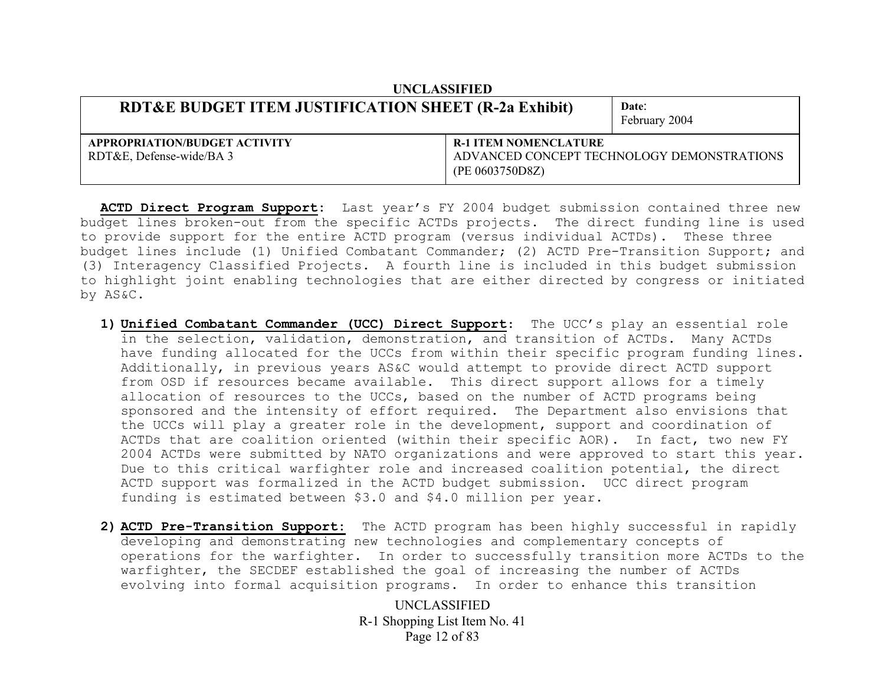| UNULADOH ILD                                                     |                                                 |                                            |
|------------------------------------------------------------------|-------------------------------------------------|--------------------------------------------|
| RDT&E BUDGET ITEM JUSTIFICATION SHEET (R-2a Exhibit)             |                                                 | Date:<br>February 2004                     |
| <b>APPROPRIATION/BUDGET ACTIVITY</b><br>RDT&E, Defense-wide/BA 3 | <b>R-1 ITEM NOMENCLATURE</b><br>(PE 0603750D8Z) | ADVANCED CONCEPT TECHNOLOGY DEMONSTRATIONS |

**ACTD Direct Program Support:** Last year's FY 2004 budget submission contained three new budget lines broken-out from the specific ACTDs projects. The direct funding line is used to provide support for the entire ACTD program (versus individual ACTDs). These three budget lines include (1) Unified Combatant Commander; (2) ACTD Pre-Transition Support; and (3) Interagency Classified Projects. A fourth line is included in this budget submission to highlight joint enabling technologies that are either directed by congress or initiated by AS&C.

- **1) Unified Combatant Commander (UCC) Direct Support**: The UCC's play an essential role in the selection, validation, demonstration, and transition of ACTDs. Many ACTDs have funding allocated for the UCCs from within their specific program funding lines. Additionally, in previous years AS&C would attempt to provide direct ACTD support from OSD if resources became available. This direct support allows for a timely allocation of resources to the UCCs, based on the number of ACTD programs being sponsored and the intensity of effort required. The Department also envisions that the UCCs will play a greater role in the development, support and coordination of ACTDs that are coalition oriented (within their specific AOR). In fact, two new FY 2004 ACTDs were submitted by NATO organizations and were approved to start this year. Due to this critical warfighter role and increased coalition potential, the direct ACTD support was formalized in the ACTD budget submission. UCC direct program funding is estimated between \$3.0 and \$4.0 million per year.
- **2) ACTD Pre-Transition Support:** The ACTD program has been highly successful in rapidly developing and demonstrating new technologies and complementary concepts of operations for the warfighter. In order to successfully transition more ACTDs to the warfighter, the SECDEF established the goal of increasing the number of ACTDs evolving into formal acquisition programs. In order to enhance this transition

UNCLASSIFIED R-1 Shopping List Item No. 41 Page 12 of 83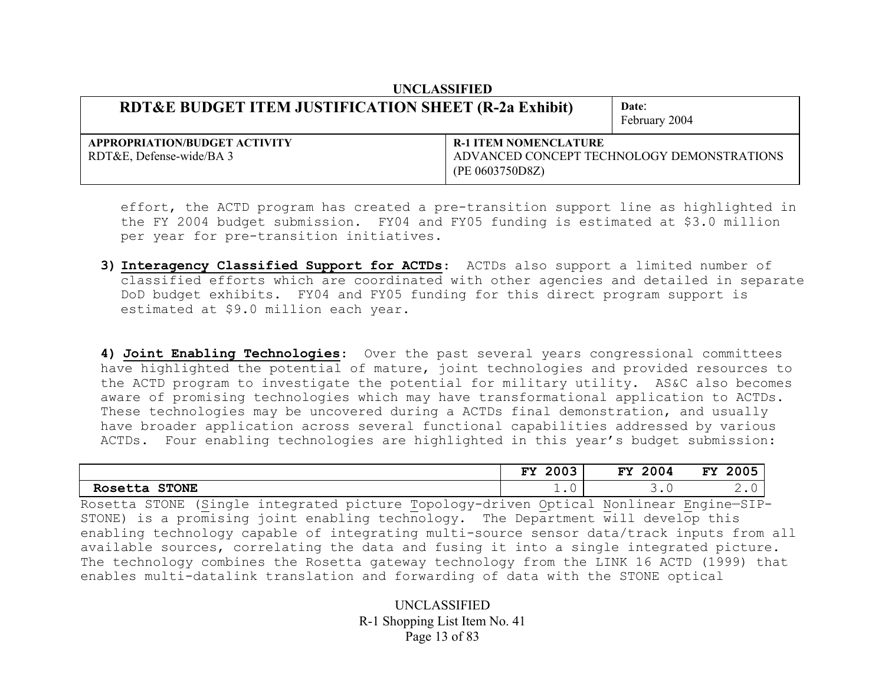| RDT&E BUDGET ITEM JUSTIFICATION SHEET (R-2a Exhibit)      |                                                 | Date:<br>February 2004                     |
|-----------------------------------------------------------|-------------------------------------------------|--------------------------------------------|
| APPROPRIATION/BUDGET ACTIVITY<br>RDT&E, Defense-wide/BA 3 | <b>R-1 ITEM NOMENCLATURE</b><br>(PE 0603750D8Z) | ADVANCED CONCEPT TECHNOLOGY DEMONSTRATIONS |

effort, the ACTD program has created a pre-transition support line as highlighted in the FY 2004 budget submission. FY04 and FY05 funding is estimated at \$3.0 million per year for pre-transition initiatives.

**3) Interagency Classified Support for ACTDs**: ACTDs also support a limited number of classified efforts which are coordinated with other agencies and detailed in separate DoD budget exhibits. FY04 and FY05 funding for this direct program support is estimated at \$9.0 million each year.

**4) Joint Enabling Technologies**: Over the past several years congressional committees have highlighted the potential of mature, joint technologies and provided resources to the ACTD program to investigate the potential for military utility. AS&C also becomes aware of promising technologies which may have transformational application to ACTDs. These technologies may be uncovered during a ACTDs final demonstration, and usually have broader application across several functional capabilities addressed by various ACTDs. Four enabling technologies are highlighted in this year's budget submission:

|                         | 2002<br>でい<br>. v v J<br>$\overline{\phantom{0}}$ | 2004<br>τv                           | 2005<br><b>FY</b> |
|-------------------------|---------------------------------------------------|--------------------------------------|-------------------|
| <b>STONE</b><br>Rosetta | — .<br>$\sim$                                     | <u>.</u><br>$\overline{\phantom{a}}$ | ∸                 |

Rosetta STONE (Single integrated picture Topology-driven Optical Nonlinear Engine—SIP-STONE) is a promising joint enabling technology. The Department will develop this enabling technology capable of integrating multi-source sensor data/track inputs from all available sources, correlating the data and fusing it into a single integrated picture. The technology combines the Rosetta gateway technology from the LINK 16 ACTD (1999) that enables multi-datalink translation and forwarding of data with the STONE optical

> UNCLASSIFIED R-1 Shopping List Item No. 41 Page 13 of 83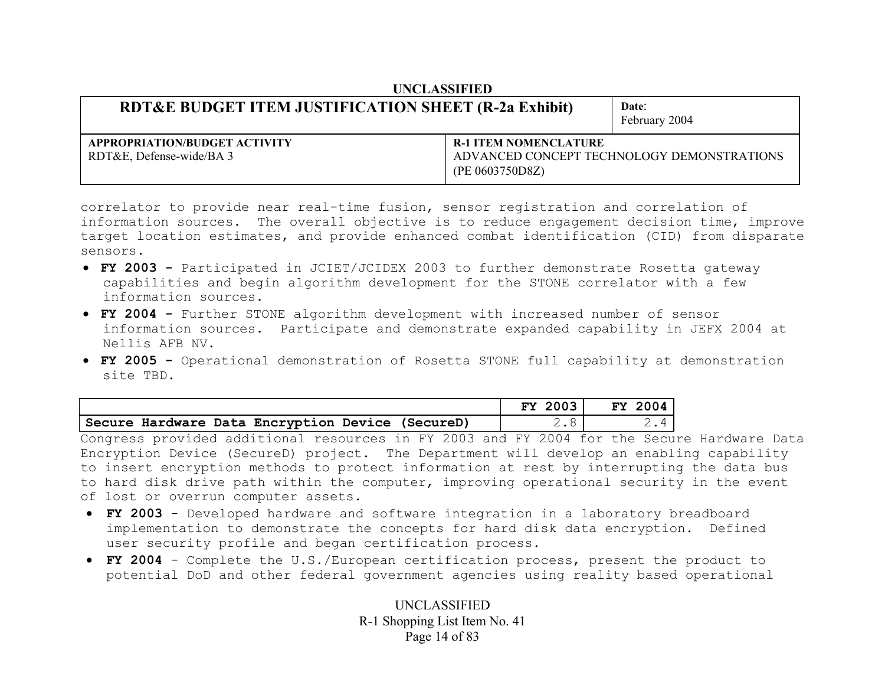| RDT&E BUDGET ITEM JUSTIFICATION SHEET (R-2a Exhibit)      |                                                 | Date:<br>February 2004                     |
|-----------------------------------------------------------|-------------------------------------------------|--------------------------------------------|
| APPROPRIATION/BUDGET ACTIVITY<br>RDT&E, Defense-wide/BA 3 | <b>R-1 ITEM NOMENCLATURE</b><br>(PE 0603750D8Z) | ADVANCED CONCEPT TECHNOLOGY DEMONSTRATIONS |

correlator to provide near real-time fusion, sensor registration and correlation of information sources. The overall objective is to reduce engagement decision time, improve target location estimates, and provide enhanced combat identification (CID) from disparate sensors.

- **FY 2003** Participated in JCIET/JCIDEX 2003 to further demonstrate Rosetta gateway capabilities and begin algorithm development for the STONE correlator with a few information sources.
- **FY 2004** Further STONE algorithm development with increased number of sensor information sources. Participate and demonstrate expanded capability in JEFX 2004 at Nellis AFB NV.
- **FY 2005** Operational demonstration of Rosetta STONE full capability at demonstration site TBD.

|                                                  | <b>FY 2004</b> |
|--------------------------------------------------|----------------|
| Secure Hardware Data Encryption Device (SecureD) |                |

Congress provided additional resources in FY 2003 and FY 2004 for the Secure Hardware Data Encryption Device (SecureD) project. The Department will develop an enabling capability to insert encryption methods to protect information at rest by interrupting the data bus to hard disk drive path within the computer, improving operational security in the event of lost or overrun computer assets.

- **FY 2003** Developed hardware and software integration in a laboratory breadboard implementation to demonstrate the concepts for hard disk data encryption. Defined user security profile and began certification process.
- **FY 2004** Complete the U.S./European certification process, present the product to potential DoD and other federal government agencies using reality based operational

UNCLASSIFIED R-1 Shopping List Item No. 41 Page 14 of 83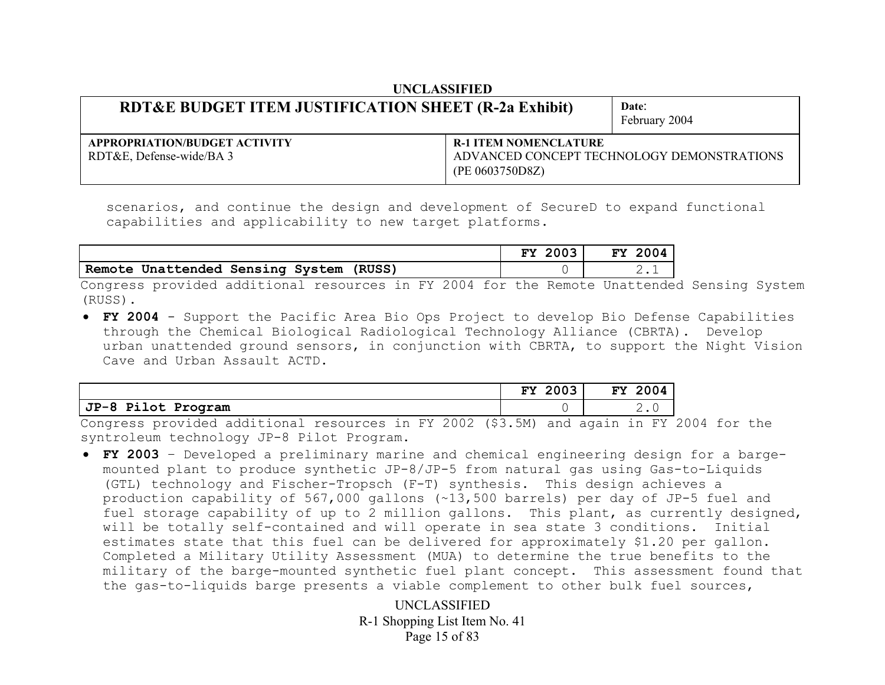| RDT&E BUDGET ITEM JUSTIFICATION SHEET (R-2a Exhibit)      |                                                 | Date:<br>February 2004                     |
|-----------------------------------------------------------|-------------------------------------------------|--------------------------------------------|
| APPROPRIATION/BUDGET ACTIVITY<br>RDT&E, Defense-wide/BA 3 | <b>R-1 ITEM NOMENCLATURE</b><br>(PE 0603750D8Z) | ADVANCED CONCEPT TECHNOLOGY DEMONSTRATIONS |

scenarios, and continue the design and development of SecureD to expand functional capabilities and applicability to new target platforms.

|                                            | でび | 2004<br>FY. |
|--------------------------------------------|----|-------------|
| Remote Unattended Sensing System<br>(RUSS) |    |             |

Congress provided additional resources in FY 2004 for the Remote Unattended Sensing System (RUSS).

• **FY 2004** - Support the Pacific Area Bio Ops Project to develop Bio Defense Capabilities through the Chemical Biological Radiological Technology Alliance (CBRTA). Develop urban unattended ground sensors, in conjunction with CBRTA, to support the Night Vision Cave and Urban Assault ACTD.

|                                        | 2003<br>ਜ਼v | πv |
|----------------------------------------|-------------|----|
| JP-8 Pilot Program                     |             |    |
| $\sim$ $\sim$ $\sim$ $\sim$<br>.<br>__ | .           |    |

Congress provided additional resources in FY 2002 (\$3.5M) and again in FY 2004 for the syntroleum technology JP-8 Pilot Program.

• **FY 2003** – Developed a preliminary marine and chemical engineering design for a bargemounted plant to produce synthetic JP-8/JP-5 from natural gas using Gas-to-Liquids (GTL) technology and Fischer-Tropsch (F-T) synthesis. This design achieves a production capability of 567,000 gallons (~13,500 barrels) per day of JP-5 fuel and fuel storage capability of up to 2 million gallons. This plant, as currently designed, will be totally self-contained and will operate in sea state 3 conditions. Initial estimates state that this fuel can be delivered for approximately \$1.20 per gallon. Completed a Military Utility Assessment (MUA) to determine the true benefits to the military of the barge-mounted synthetic fuel plant concept**.** This assessment found that the gas-to-liquids barge presents a viable complement to other bulk fuel sources,

> UNCLASSIFIED R-1 Shopping List Item No. 41 Page 15 of 83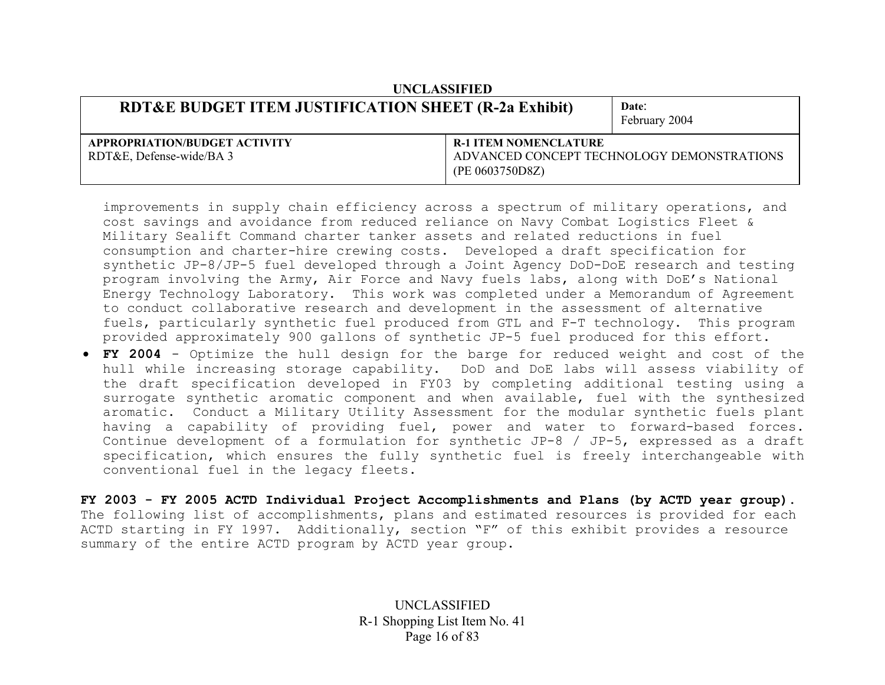| RDT&E BUDGET ITEM JUSTIFICATION SHEET (R-2a Exhibit)      |                                                 | Date:<br>February 2004                     |
|-----------------------------------------------------------|-------------------------------------------------|--------------------------------------------|
| APPROPRIATION/BUDGET ACTIVITY<br>RDT&E, Defense-wide/BA 3 | <b>R-1 ITEM NOMENCLATURE</b><br>(PE 0603750D8Z) | ADVANCED CONCEPT TECHNOLOGY DEMONSTRATIONS |

improvements in supply chain efficiency across a spectrum of military operations, and cost savings and avoidance from reduced reliance on Navy Combat Logistics Fleet & Military Sealift Command charter tanker assets and related reductions in fuel consumption and charter-hire crewing costs. Developed a draft specification for synthetic JP-8/JP-5 fuel developed through a Joint Agency DoD-DoE research and testing program involving the Army, Air Force and Navy fuels labs, along with DoE's National Energy Technology Laboratory. This work was completed under a Memorandum of Agreement to conduct collaborative research and development in the assessment of alternative fuels, particularly synthetic fuel produced from GTL and F-T technology. This program provided approximately 900 gallons of synthetic JP-5 fuel produced for this effort.

• **FY 2004** - Optimize the hull design for the barge for reduced weight and cost of the hull while increasing storage capability. DoD and DoE labs will assess viability of the draft specification developed in FY03 by completing additional testing using a surrogate synthetic aromatic component and when available, fuel with the synthesized aromatic. Conduct a Military Utility Assessment for the modular synthetic fuels plant having a capability of providing fuel, power and water to forward-based forces. Continue development of a formulation for synthetic JP-8 / JP-5, expressed as a draft specification, which ensures the fully synthetic fuel is freely interchangeable with conventional fuel in the legacy fleets.

**FY 2003 - FY 2005 ACTD Individual Project Accomplishments and Plans (by ACTD year group).**  The following list of accomplishments, plans and estimated resources is provided for each ACTD starting in FY 1997. Additionally, section "F" of this exhibit provides a resource summary of the entire ACTD program by ACTD year group.

> UNCLASSIFIED R-1 Shopping List Item No. 41 Page 16 of 83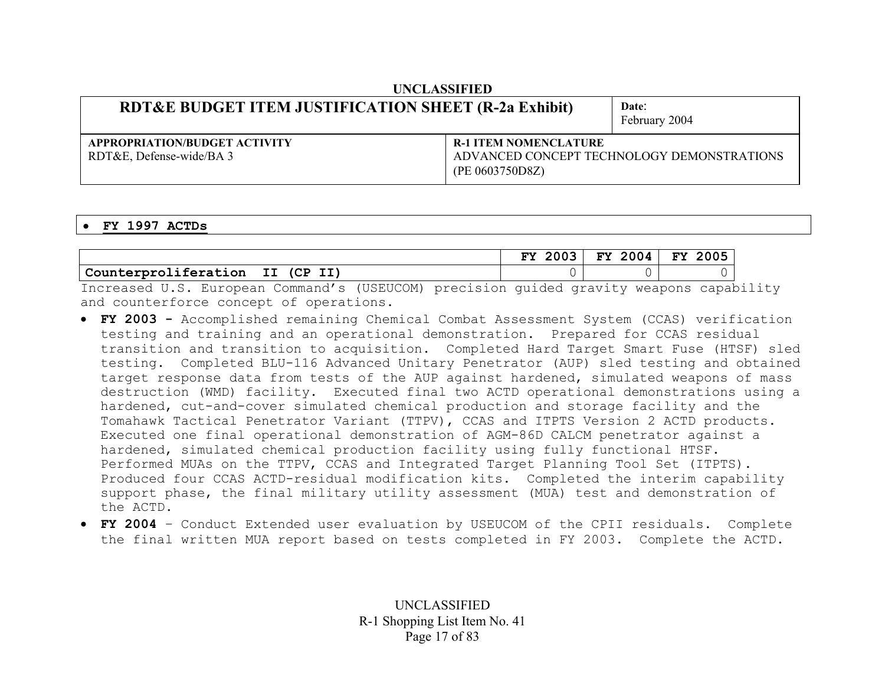| RDT&E BUDGET ITEM JUSTIFICATION SHEET (R-2a Exhibit)             |                                                 | Date:<br>February 2004                     |
|------------------------------------------------------------------|-------------------------------------------------|--------------------------------------------|
| <b>APPROPRIATION/BUDGET ACTIVITY</b><br>RDT&E, Defense-wide/BA 3 | <b>R-1 ITEM NOMENCLATURE</b><br>(PE 0603750D8Z) | ADVANCED CONCEPT TECHNOLOGY DEMONSTRATIONS |

#### •**FY 1997 ACTDs**

|                                     | 2003 | 2004 <sub>1</sub> | 2005      |
|-------------------------------------|------|-------------------|-----------|
|                                     | πv   | F٧                | <b>FY</b> |
| (CP<br>  Counterproliferation<br>II |      |                   |           |

Increased U.S. European Command's (USEUCOM) precision guided gravity weapons capability and counterforce concept of operations.

- **FY 2003** Accomplished remaining Chemical Combat Assessment System (CCAS) verification testing and training and an operational demonstration. Prepared for CCAS residual transition and transition to acquisition. Completed Hard Target Smart Fuse (HTSF) sled testing. Completed BLU-116 Advanced Unitary Penetrator (AUP) sled testing and obtained target response data from tests of the AUP against hardened, simulated weapons of mass destruction (WMD) facility. Executed final two ACTD operational demonstrations using a hardened, cut-and-cover simulated chemical production and storage facility and the Tomahawk Tactical Penetrator Variant (TTPV), CCAS and ITPTS Version 2 ACTD products. Executed one final operational demonstration of AGM-86D CALCM penetrator against a hardened, simulated chemical production facility using fully functional HTSF. Performed MUAs on the TTPV, CCAS and Integrated Target Planning Tool Set (ITPTS). Produced four CCAS ACTD-residual modification kits. Completed the interim capability support phase, the final military utility assessment (MUA) test and demonstration of the ACTD.
- **FY 2004** Conduct Extended user evaluation by USEUCOM of the CPII residuals. Complete the final written MUA report based on tests completed in FY 2003. Complete the ACTD.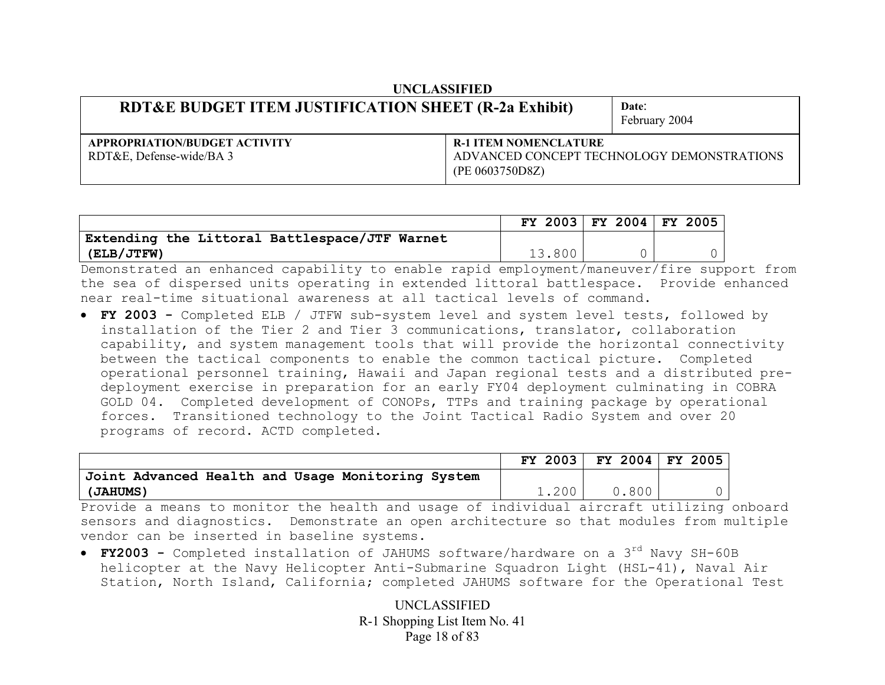| RDT&E BUDGET ITEM JUSTIFICATION SHEET (R-2a Exhibit)             |                                                                                               | Date:<br>February 2004 |
|------------------------------------------------------------------|-----------------------------------------------------------------------------------------------|------------------------|
| <b>APPROPRIATION/BUDGET ACTIVITY</b><br>RDT&E, Defense-wide/BA 3 | <b>R-1 ITEM NOMENCLATURE</b><br>ADVANCED CONCEPT TECHNOLOGY DEMONSTRATIONS<br>(PE 0603750D8Z) |                        |

|                                               |        | $FY$ 2003 FY 2004 FY 2005 |  |
|-----------------------------------------------|--------|---------------------------|--|
| Extending the Littoral Battlespace/JTF Warnet |        |                           |  |
| (ELB/JTFW)                                    | 13.800 |                           |  |

Demonstrated an enhanced capability to enable rapid employment/maneuver/fire support from the sea of dispersed units operating in extended littoral battlespace. Provide enhanced near real-time situational awareness at all tactical levels of command.

• **FY 2003 -** Completed ELB / JTFW sub-system level and system level tests, followed by installation of the Tier 2 and Tier 3 communications, translator, collaboration capability, and system management tools that will provide the horizontal connectivity between the tactical components to enable the common tactical picture. Completed operational personnel training, Hawaii and Japan regional tests and a distributed predeployment exercise in preparation for an early FY04 deployment culminating in COBRA GOLD 04. Completed development of CONOPs, TTPs and training package by operational forces. Transitioned technology to the Joint Tactical Radio System and over 20 programs of record. ACTD completed.

|                                                   | FY 2003 | FY 2004 FY 2005 |  |
|---------------------------------------------------|---------|-----------------|--|
| Joint Advanced Health and Usage Monitoring System |         |                 |  |
| (JAHUMS)                                          | 1.200   | .800            |  |

Provide a means to monitor the health and usage of individual aircraft utilizing onboard sensors and diagnostics. Demonstrate an open architecture so that modules from multiple vendor can be inserted in baseline systems.

• **FY2003 -** Completed installation of JAHUMS software/hardware on a 3rd Navy SH-60B helicopter at the Navy Helicopter Anti-Submarine Squadron Light (HSL-41), Naval Air Station, North Island, California; completed JAHUMS software for the Operational Test

> UNCLASSIFIED R-1 Shopping List Item No. 41 Page 18 of 83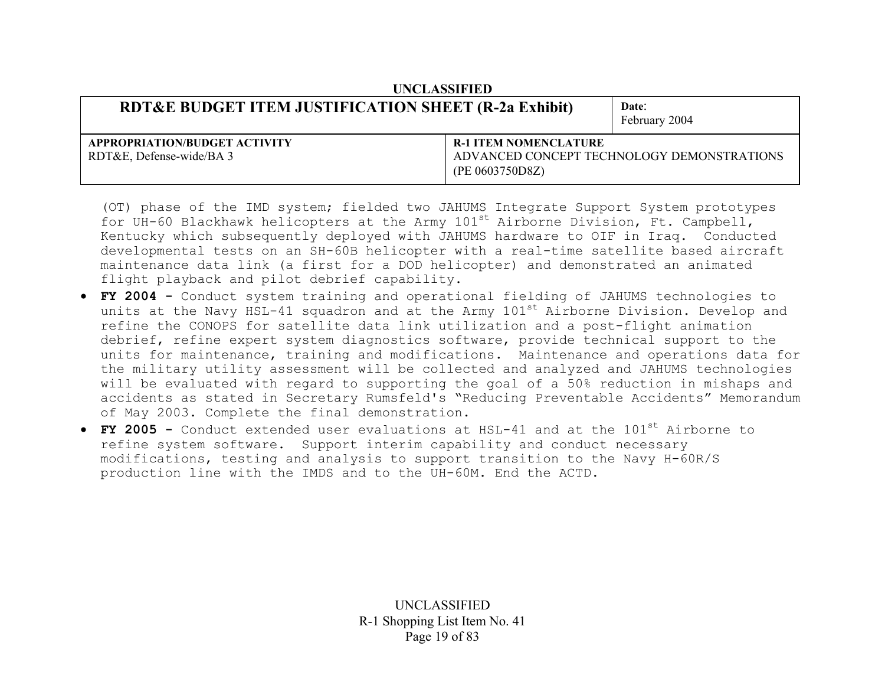| $\mathbf{u}$                                              |                                                 |                                            |  |
|-----------------------------------------------------------|-------------------------------------------------|--------------------------------------------|--|
| RDT&E BUDGET ITEM JUSTIFICATION SHEET (R-2a Exhibit)      |                                                 | Date:<br>February 2004                     |  |
| APPROPRIATION/BUDGET ACTIVITY<br>RDT&E, Defense-wide/BA 3 | <b>R-1 ITEM NOMENCLATURE</b><br>(PE 0603750D8Z) | ADVANCED CONCEPT TECHNOLOGY DEMONSTRATIONS |  |

(OT) phase of the IMD system; fielded two JAHUMS Integrate Support System prototypes for UH-60 Blackhawk helicopters at the Army  $101^{st}$  Airborne Division, Ft. Campbell, Kentucky which subsequently deployed with JAHUMS hardware to OIF in Iraq. Conducted developmental tests on an SH-60B helicopter with a real-time satellite based aircraft maintenance data link (a first for a DOD helicopter) and demonstrated an animated flight playback and pilot debrief capability.

- **FY 2004 -** Conduct system training and operational fielding of JAHUMS technologies to units at the Navy HSL-41 squadron and at the Army  $101^{st}$  Airborne Division. Develop and refine the CONOPS for satellite data link utilization and a post-flight animation debrief, refine expert system diagnostics software, provide technical support to the units for maintenance, training and modifications. Maintenance and operations data for the military utility assessment will be collected and analyzed and JAHUMS technologies will be evaluated with regard to supporting the goal of a 50% reduction in mishaps and accidents as stated in Secretary Rumsfeld's "Reducing Preventable Accidents" Memorandum of May 2003. Complete the final demonstration.
- **FY 2005** Conduct extended user evaluations at HSL-41 and at the 101st Airborne to refine system software. Support interim capability and conduct necessary modifications, testing and analysis to support transition to the Navy H-60R/S production line with the IMDS and to the UH-60M. End the ACTD.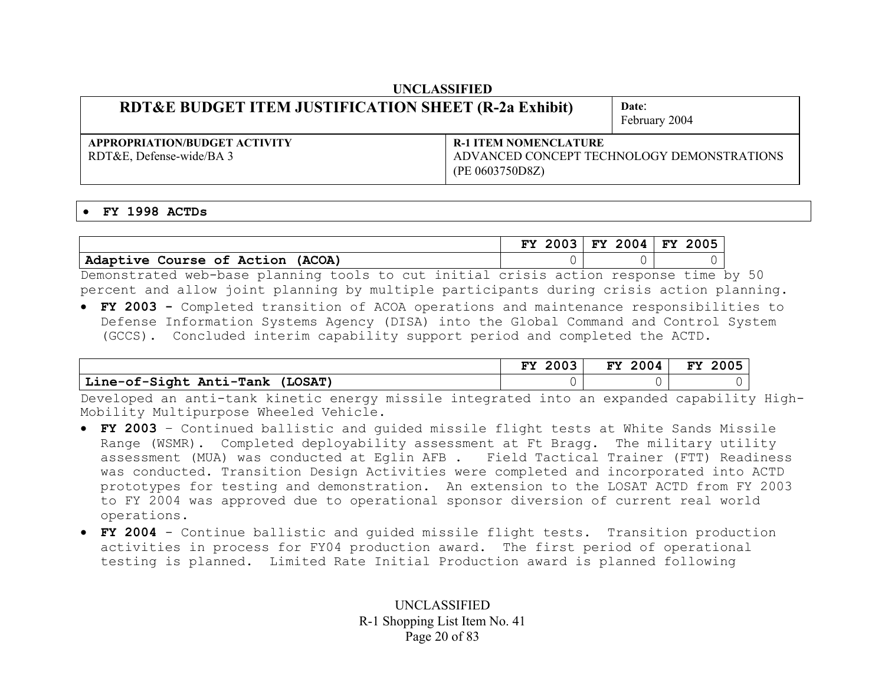| RDT&E BUDGET ITEM JUSTIFICATION SHEET (R-2a Exhibit)             |                                                 | Date:<br>February 2004                     |
|------------------------------------------------------------------|-------------------------------------------------|--------------------------------------------|
| <b>APPROPRIATION/BUDGET ACTIVITY</b><br>RDT&E, Defense-wide/BA 3 | <b>R-1 ITEM NOMENCLATURE</b><br>(PE 0603750D8Z) | ADVANCED CONCEPT TECHNOLOGY DEMONSTRATIONS |

## • **FY 1998 ACTDs**

|                                  | 2003 l<br>FY | FY 2004 | FY 2005 |
|----------------------------------|--------------|---------|---------|
| Adaptive Course of Action (ACOA) |              |         |         |

Demonstrated web-base planning tools to cut initial crisis action response time by 50 percent and allow joint planning by multiple participants during crisis action planning.

• **FY 2003 -** Completed transition of ACOA operations and maintenance responsibilities to Defense Information Systems Agency (DISA) into the Global Command and Control System (GCCS). Concluded interim capability support period and completed the ACTD.

|                                       | 2003<br>٣v | 2004<br>FΥ | 2005<br>πv<br>. . |
|---------------------------------------|------------|------------|-------------------|
| Line-of-Sight<br>(LOSAT)<br>Anti-Tank |            |            |                   |

Developed an anti-tank kinetic energy missile integrated into an expanded capability High-Mobility Multipurpose Wheeled Vehicle.

- **FY 2003** Continued ballistic and guided missile flight tests at White Sands Missile Range (WSMR). Completed deployability assessment at Ft Bragg. The military utility assessment (MUA) was conducted at Eglin AFB . Field Tactical Trainer (FTT) Readiness was conducted. Transition Design Activities were completed and incorporated into ACTD prototypes for testing and demonstration. An extension to the LOSAT ACTD from FY 2003 to FY 2004 was approved due to operational sponsor diversion of current real world operations.
- **FY 2004** Continue ballistic and guided missile flight tests. Transition production activities in process for FY04 production award. The first period of operational testing is planned. Limited Rate Initial Production award is planned following

UNCLASSIFIED R-1 Shopping List Item No. 41 Page 20 of 83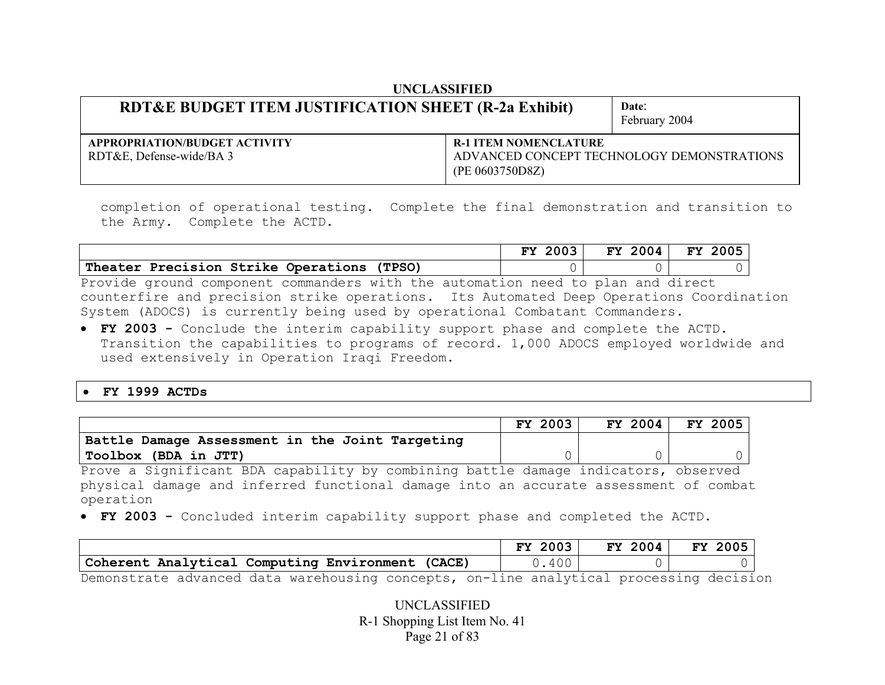| RDT&E BUDGET ITEM JUSTIFICATION SHEET (R-2a Exhibit)             |                                                 | Date:<br>February 2004                     |
|------------------------------------------------------------------|-------------------------------------------------|--------------------------------------------|
| <b>APPROPRIATION/BUDGET ACTIVITY</b><br>RDT&E, Defense-wide/BA 3 | <b>R-1 ITEM NOMENCLATURE</b><br>(PE 0603750D8Z) | ADVANCED CONCEPT TECHNOLOGY DEMONSTRATIONS |

completion of operational testing. Complete the final demonstration and transition to the Army. Complete the ACTD.

|                                            | 2003 <sub>1</sub> | FY 2004 | <b>FY 2005</b> |
|--------------------------------------------|-------------------|---------|----------------|
| Theater Precision Strike Operations (TPSO) |                   |         |                |

Provide ground component commanders with the automation need to plan and direct counterfire and precision strike operations. Its Automated Deep Operations Coordination System (ADOCS) is currently being used by operational Combatant Commanders.

• **FY 2003 -** Conclude the interim capability support phase and complete the ACTD. Transition the capabilities to programs of record. 1,000 ADOCS employed worldwide and used extensively in Operation Iraqi Freedom.

#### •**FY 1999 ACTDs**

|                                                 | <b>FY 2003</b> | FY 2004 | <b>FY 2005</b> |
|-------------------------------------------------|----------------|---------|----------------|
| Battle Damage Assessment in the Joint Targeting |                |         |                |
| Toolbox (BDA in JTT)                            |                |         |                |

Prove a Significant BDA capability by combining battle damage indicators, observed physical damage and inferred functional damage into an accurate assessment of combat operation

• **FY 2003 -** Concluded interim capability support phase and completed the ACTD.

|                                                        | 2003 | $2004$ | 2005 |
|--------------------------------------------------------|------|--------|------|
|                                                        | ਜ਼v  | FY.    | FY.  |
| (CACE)<br>Coherent Analytical<br>Computing Environment | 400  |        |      |

Demonstrate advanced data warehousing concepts, on-line analytical processing decision

UNCLASSIFIED R-1 Shopping List Item No. 41 Page 21 of 83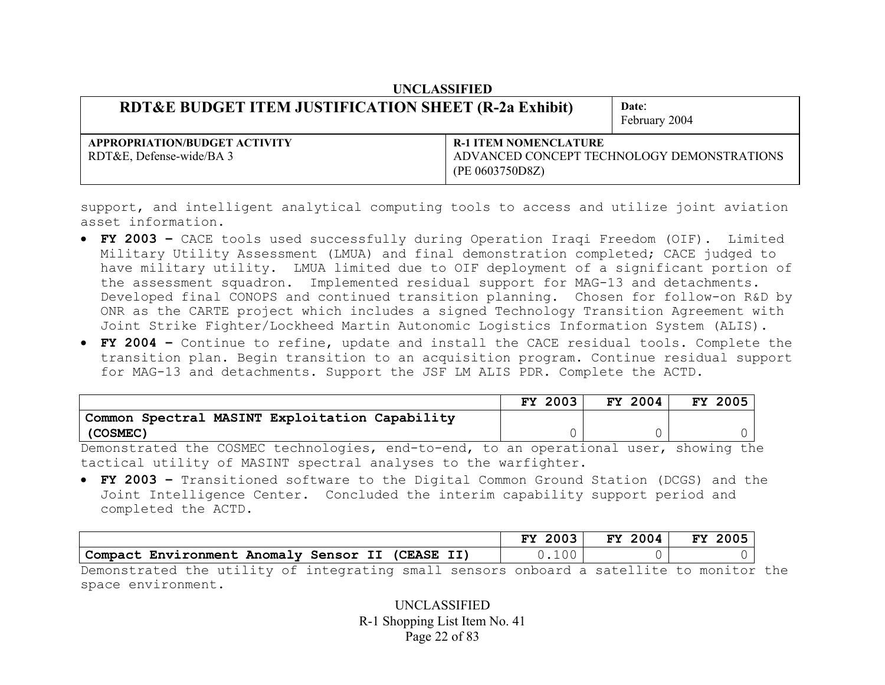| RDT&E BUDGET ITEM JUSTIFICATION SHEET (R-2a Exhibit)             |                                                 | Date:<br>February 2004                     |
|------------------------------------------------------------------|-------------------------------------------------|--------------------------------------------|
| <b>APPROPRIATION/BUDGET ACTIVITY</b><br>RDT&E, Defense-wide/BA 3 | <b>R-1 ITEM NOMENCLATURE</b><br>(PE 0603750D8Z) | ADVANCED CONCEPT TECHNOLOGY DEMONSTRATIONS |

support, and intelligent analytical computing tools to access and utilize joint aviation asset information.

- **FY 2003** CACE tools used successfully during Operation Iraqi Freedom (OIF). Limited Military Utility Assessment (LMUA) and final demonstration completed; CACE judged to have military utility. LMUA limited due to OIF deployment of a significant portion of the assessment squadron. Implemented residual support for MAG-13 and detachments. Developed final CONOPS and continued transition planning. Chosen for follow-on R&D by ONR as the CARTE project which includes a signed Technology Transition Agreement with Joint Strike Fighter/Lockheed Martin Autonomic Logistics Information System (ALIS).
- **FY 2004 –** Continue to refine, update and install the CACE residual tools. Complete the transition plan. Begin transition to an acquisition program. Continue residual support for MAG-13 and detachments. Support the JSF LM ALIS PDR. Complete the ACTD.

|                                                | $FY$ 2003 | FY 2004 | 2005<br>FY. |
|------------------------------------------------|-----------|---------|-------------|
| Common Spectral MASINT Exploitation Capability |           |         |             |
| (COSMEC)                                       |           |         |             |

Demonstrated the COSMEC technologies, end-to-end, to an operational user, showing the tactical utility of MASINT spectral analyses to the warfighter.

• **FY 2003 –** Transitioned software to the Digital Common Ground Station (DCGS) and the Joint Intelligence Center. Concluded the interim capability support period and completed the ACTD.

|                                                                           | 2003      | 2004 | 2005 |
|---------------------------------------------------------------------------|-----------|------|------|
|                                                                           | <b>LV</b> | FΥ   | πv   |
| <b>(CEASE)</b><br>--<br>Compact<br>Environment Anomaly Sensor<br>II<br>ᆂᆂ |           |      |      |

Demonstrated the utility of integrating small sensors onboard a satellite to monitor the space environment.

> UNCLASSIFIED R-1 Shopping List Item No. 41 Page 22 of 83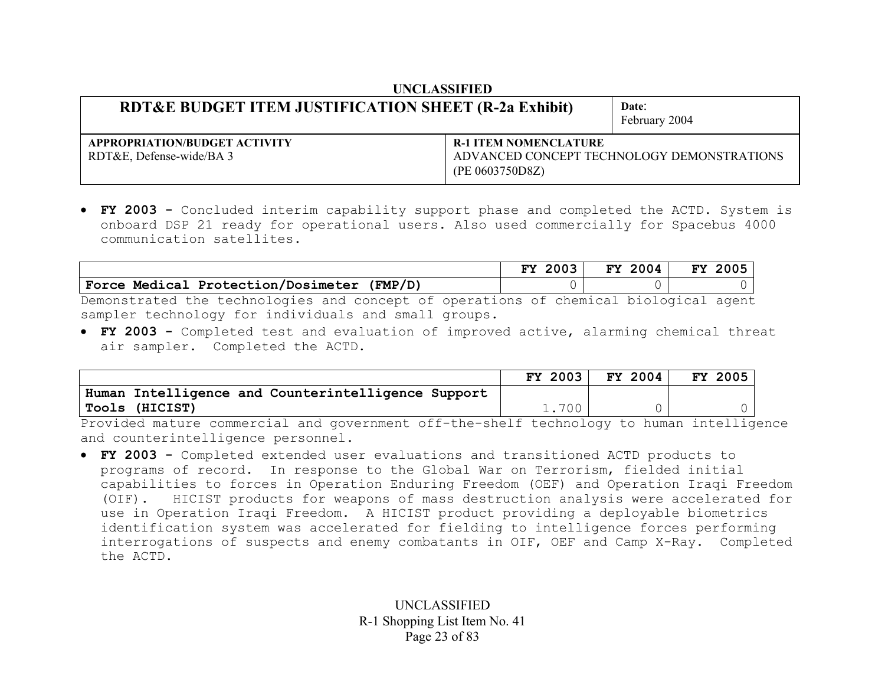| RDT&E BUDGET ITEM JUSTIFICATION SHEET (R-2a Exhibit)      |                                                 | Date:<br>February 2004                     |
|-----------------------------------------------------------|-------------------------------------------------|--------------------------------------------|
| APPROPRIATION/BUDGET ACTIVITY<br>RDT&E, Defense-wide/BA 3 | <b>R-1 ITEM NOMENCLATURE</b><br>(PE 0603750D8Z) | ADVANCED CONCEPT TECHNOLOGY DEMONSTRATIONS |

• **FY 2003 -** Concluded interim capability support phase and completed the ACTD. System is onboard DSP 21 ready for operational users. Also used commercially for Spacebus 4000 communication satellites.

|                                               | 2003<br>πv | 2004<br>πY | 2005<br>FY |
|-----------------------------------------------|------------|------------|------------|
| Force Medical Protection/Dosimeter<br>(FMP/D) |            |            |            |
|                                               |            |            |            |

Demonstrated the technologies and concept of operations of chemical biological agent sampler technology for individuals and small groups.

• **FY 2003 -** Completed test and evaluation of improved active, alarming chemical threat air sampler. Completed the ACTD.

|                                                    | <b>FY 2003</b> | FY 2004 | <b>FY 2005</b> |
|----------------------------------------------------|----------------|---------|----------------|
| Human Intelligence and Counterintelligence Support |                |         |                |
| <b>Tools (HICIST)</b>                              | 1.700          |         |                |

Provided mature commercial and government off-the-shelf technology to human intelligence and counterintelligence personnel.

• **FY 2003 -** Completed extended user evaluations and transitioned ACTD products to programs of record. In response to the Global War on Terrorism, fielded initial capabilities to forces in Operation Enduring Freedom (OEF) and Operation Iraqi Freedom (OIF). HICIST products for weapons of mass destruction analysis were accelerated for use in Operation Iraqi Freedom. A HICIST product providing a deployable biometrics identification system was accelerated for fielding to intelligence forces performing interrogations of suspects and enemy combatants in OIF, OEF and Camp X-Ray. Completed the ACTD.

> UNCLASSIFIED R-1 Shopping List Item No. 41 Page 23 of 83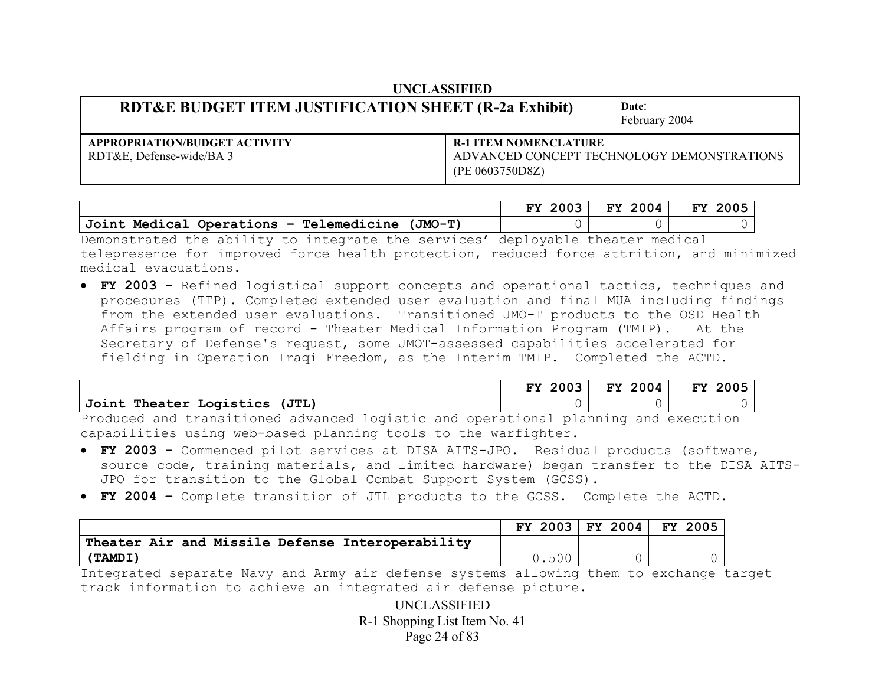| RDT&E BUDGET ITEM JUSTIFICATION SHEET (R-2a Exhibit)             |                                                 | Date:<br>February 2004                     |
|------------------------------------------------------------------|-------------------------------------------------|--------------------------------------------|
| <b>APPROPRIATION/BUDGET ACTIVITY</b><br>RDT&E, Defense-wide/BA 3 | <b>R-1 ITEM NOMENCLATURE</b><br>(PE 0603750D8Z) | ADVANCED CONCEPT TECHNOLOGY DEMONSTRATIONS |

|                                                            | 2003<br>ᠳᢦ | 2004<br>FY | 2005<br>FY |
|------------------------------------------------------------|------------|------------|------------|
| Joint<br>Operations - Telemedicine .<br>Medical<br>(JMO-T) |            |            |            |
|                                                            |            |            |            |

Demonstrated the ability to integrate the services' deployable theater medical telepresence for improved force health protection, reduced force attrition, and minimized medical evacuations.

• **FY 2003 -** Refined logistical support concepts and operational tactics, techniques and procedures (TTP). Completed extended user evaluation and final MUA including findings from the extended user evaluations. Transitioned JMO-T products to the OSD Health Affairs program of record - Theater Medical Information Program (TMIP). At the Secretary of Defense's request, some JMOT-assessed capabilities accelerated for fielding in Operation Iraqi Freedom, as the Interim TMIP. Completed the ACTD.

|                                        | 2003<br>πv | 2004<br>FY. | 2005<br>πv |
|----------------------------------------|------------|-------------|------------|
| Joint<br>(JTL)<br>Logistics<br>Theater |            |             |            |
|                                        |            |             |            |

Produced and transitioned advanced logistic and operational planning and execution capabilities using web-based planning tools to the warfighter.

- **FY 2003** Commenced pilot services at DISA AITS-JPO. Residual products (software, source code, training materials, and limited hardware) began transfer to the DISA AITS-JPO for transition to the Global Combat Support System (GCSS).
- **FY 2004 –** Complete transition of JTL products to the GCSS. Complete the ACTD.

|                                                  |               | $FY$ 2003 FY 2004 FY 2005 |
|--------------------------------------------------|---------------|---------------------------|
| Theater Air and Missile Defense Interoperability |               |                           |
| (TAMDI)                                          | $F \cap \cap$ |                           |

Integrated separate Navy and Army air defense systems allowing them to exchange target track information to achieve an integrated air defense picture.

> UNCLASSIFIED R-1 Shopping List Item No. 41 Page 24 of 83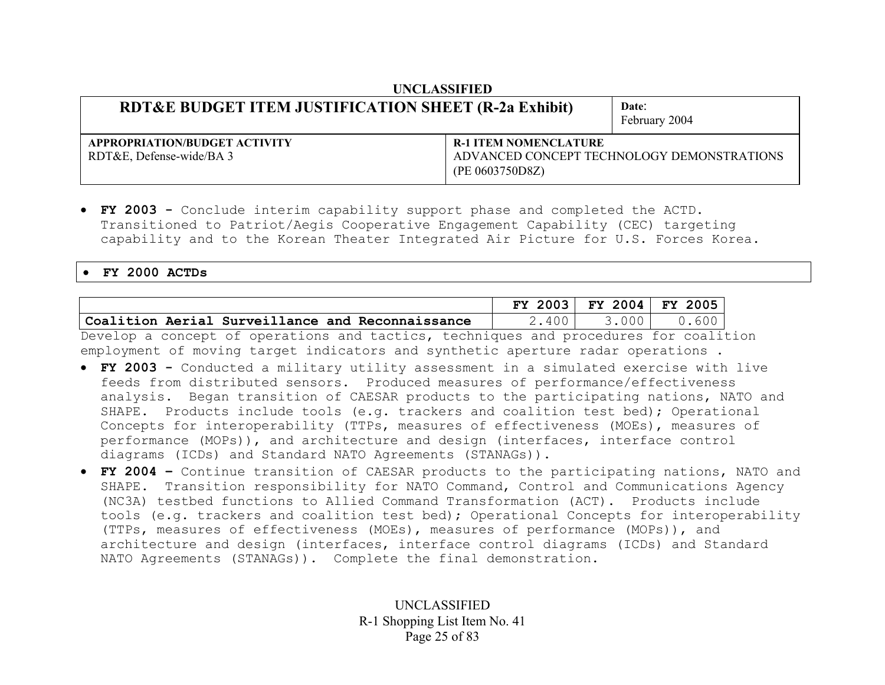| RDT&E BUDGET ITEM JUSTIFICATION SHEET (R-2a Exhibit)             |                                                 | Date:<br>February 2004                     |
|------------------------------------------------------------------|-------------------------------------------------|--------------------------------------------|
| <b>APPROPRIATION/BUDGET ACTIVITY</b><br>RDT&E, Defense-wide/BA 3 | <b>R-1 ITEM NOMENCLATURE</b><br>(PE 0603750D8Z) | ADVANCED CONCEPT TECHNOLOGY DEMONSTRATIONS |

• **FY 2003 -** Conclude interim capability support phase and completed the ACTD. Transitioned to Patriot/Aegis Cooperative Engagement Capability (CEC) targeting capability and to the Korean Theater Integrated Air Picture for U.S. Forces Korea.

| <b>EV</b><br>. .<br>. . | $\sim$ mn $\sim$<br>95 ש<br>. .<br>~~▽▽ |  |  |  |
|-------------------------|-----------------------------------------|--|--|--|
|                         |                                         |  |  |  |

|                                                  | 2003<br>FY | FY 2004 | FY 2005 |
|--------------------------------------------------|------------|---------|---------|
| Coalition Aerial Surveillance and Reconnaissance |            |         | .60 C   |
|                                                  |            |         |         |

Develop a concept of operations and tactics, techniques and procedures for coalition employment of moving target indicators and synthetic aperture radar operations .

- **FY 2003 -** Conducted a military utility assessment in a simulated exercise with live feeds from distributed sensors. Produced measures of performance/effectiveness analysis. Began transition of CAESAR products to the participating nations, NATO and SHAPE. Products include tools (e.g. trackers and coalition test bed); Operational Concepts for interoperability (TTPs, measures of effectiveness (MOEs), measures of performance (MOPs)), and architecture and design (interfaces, interface control diagrams (ICDs) and Standard NATO Agreements (STANAGs)).
- **FY 2004** Continue transition of CAESAR products to the participating nations, NATO and SHAPE. Transition responsibility for NATO Command, Control and Communications Agency (NC3A) testbed functions to Allied Command Transformation (ACT). Products include tools (e.g. trackers and coalition test bed); Operational Concepts for interoperability (TTPs, measures of effectiveness (MOEs), measures of performance (MOPs)), and architecture and design (interfaces, interface control diagrams (ICDs) and Standard NATO Agreements (STANAGs)). Complete the final demonstration.

UNCLASSIFIED R-1 Shopping List Item No. 41 Page 25 of 83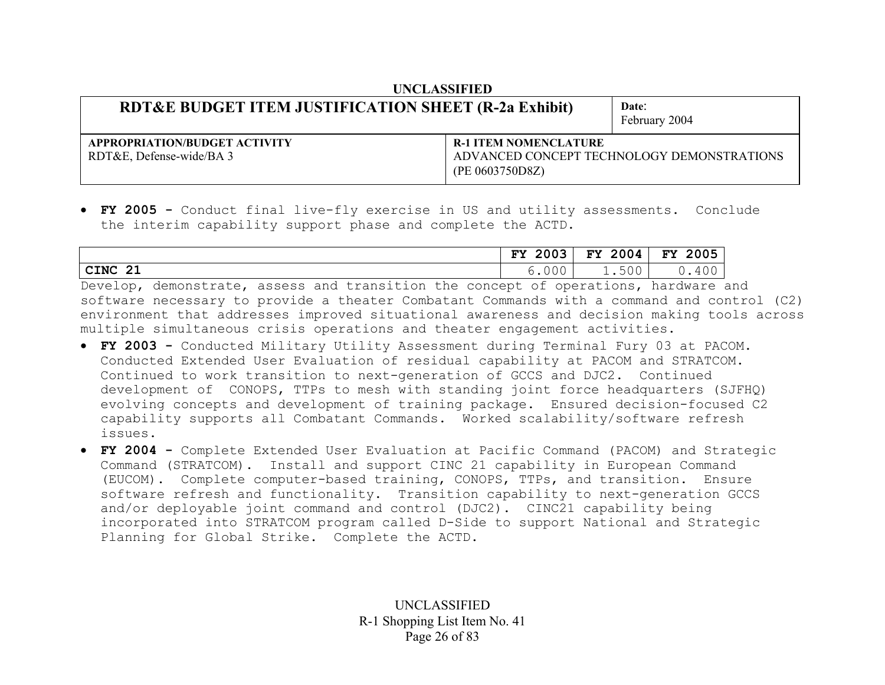| RDT&E BUDGET ITEM JUSTIFICATION SHEET (R-2a Exhibit)      |                                                 | Date:<br>February 2004                     |
|-----------------------------------------------------------|-------------------------------------------------|--------------------------------------------|
| APPROPRIATION/BUDGET ACTIVITY<br>RDT&E, Defense-wide/BA 3 | <b>R-1 ITEM NOMENCLATURE</b><br>(PE 0603750D8Z) | ADVANCED CONCEPT TECHNOLOGY DEMONSTRATIONS |

• **FY 2005 -** Conduct final live-fly exercise in US and utility assessments. Conclude the interim capability support phase and complete the ACTD.

|                                   | $\sim$ $\sim$ $\sim$<br>でび<br>ZUUS<br>. . | 2004<br>᠊᠇᠇                       | <b>FY</b><br>2005 |
|-----------------------------------|-------------------------------------------|-----------------------------------|-------------------|
| $\sim$<br><b>CINC</b><br><u>_</u> | $\sim$ $\sim$<br>ししし<br>ັ                 | $-$ 0 0<br>∽<br>しぃぃ<br><b>. د</b> | $\sim$<br>4 U U   |

Develop, demonstrate, assess and transition the concept of operations, hardware and software necessary to provide a theater Combatant Commands with a command and control (C2) environment that addresses improved situational awareness and decision making tools across multiple simultaneous crisis operations and theater engagement activities.

- **FY 2003** Conducted Military Utility Assessment during Terminal Fury 03 at PACOM. Conducted Extended User Evaluation of residual capability at PACOM and STRATCOM. Continued to work transition to next-generation of GCCS and DJC2. Continued development of CONOPS, TTPs to mesh with standing joint force headquarters (SJFHQ) evolving concepts and development of training package. Ensured decision-focused C2 capability supports all Combatant Commands. Worked scalability/software refresh issues.
- **FY 2004** Complete Extended User Evaluation at Pacific Command (PACOM) and Strategic Command (STRATCOM). Install and support CINC 21 capability in European Command (EUCOM). Complete computer-based training, CONOPS, TTPs, and transition. Ensure software refresh and functionality. Transition capability to next-generation GCCS and/or deployable joint command and control (DJC2). CINC21 capability being incorporated into STRATCOM program called D-Side to support National and Strategic Planning for Global Strike. Complete the ACTD.

UNCLASSIFIED R-1 Shopping List Item No. 41 Page 26 of 83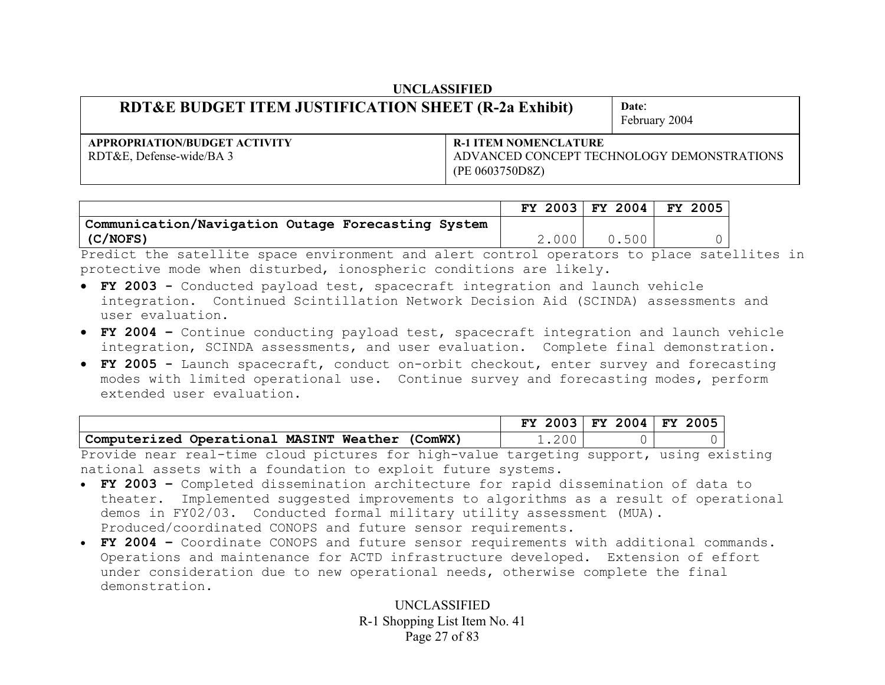| RDT&E BUDGET ITEM JUSTIFICATION SHEET (R-2a Exhibit)      |                                                 | Date:<br>February 2004                     |
|-----------------------------------------------------------|-------------------------------------------------|--------------------------------------------|
| APPROPRIATION/BUDGET ACTIVITY<br>RDT&E, Defense-wide/BA 3 | <b>R-1 ITEM NOMENCLATURE</b><br>(PE 0603750D8Z) | ADVANCED CONCEPT TECHNOLOGY DEMONSTRATIONS |

|                                                    |       |       | FY 2003 FY 2004 FY 2005 |
|----------------------------------------------------|-------|-------|-------------------------|
| Communication/Navigation Outage Forecasting System |       |       |                         |
| (C/NOFS)                                           | 2.000 | 0.500 |                         |

Predict the satellite space environment and alert control operators to place satellites in protective mode when disturbed, ionospheric conditions are likely.

- **FY 2003 -** Conducted payload test, spacecraft integration and launch vehicle integration. Continued Scintillation Network Decision Aid (SCINDA) assessments and user evaluation.
- **FY 2004** Continue conducting payload test, spacecraft integration and launch vehicle integration, SCINDA assessments, and user evaluation. Complete final demonstration.
- **FY 2005** Launch spacecraft, conduct on-orbit checkout, enter survey and forecasting modes with limited operational use. Continue survey and forecasting modes, perform extended user evaluation.

|                                                 | $FY$ 2003 FY 2004 FY 2005 |  |
|-------------------------------------------------|---------------------------|--|
| Computerized Operational MASINT Weather (ComWX) |                           |  |
|                                                 |                           |  |

Provide near real-time cloud pictures for high-value targeting support, using existing national assets with a foundation to exploit future systems.

- **FY 2003 –** Completed dissemination architecture for rapid dissemination of data to theater. Implemented suggested improvements to algorithms as a result of operational demos in FY02/03. Conducted formal military utility assessment (MUA). Produced/coordinated CONOPS and future sensor requirements.
- **FY 2004 –** Coordinate CONOPS and future sensor requirements with additional commands. Operations and maintenance for ACTD infrastructure developed. Extension of effort under consideration due to new operational needs, otherwise complete the final demonstration.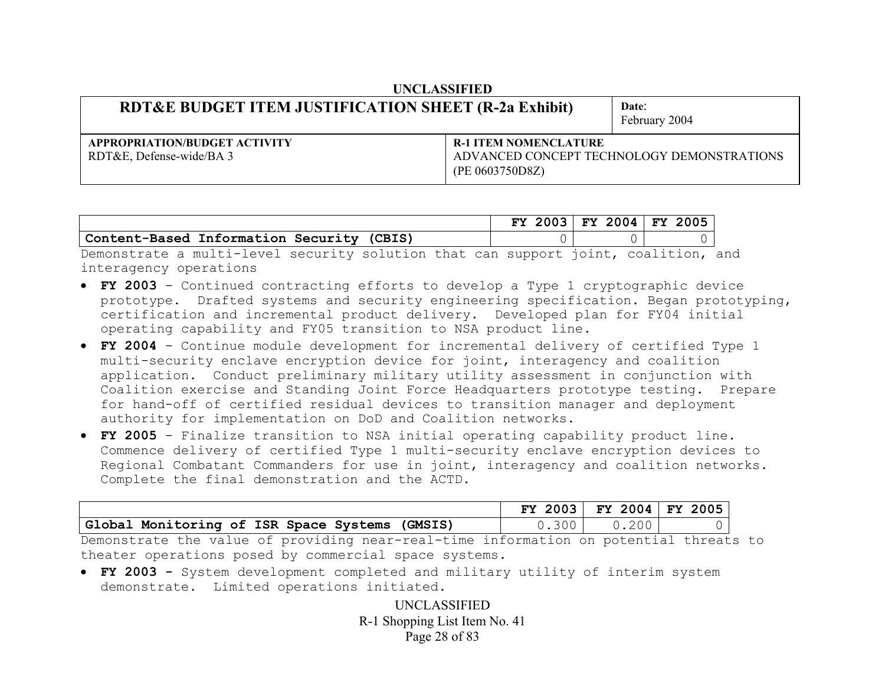| RDT&E BUDGET ITEM JUSTIFICATION SHEET (R-2a Exhibit)      |                                                 | Date:<br>February 2004                     |
|-----------------------------------------------------------|-------------------------------------------------|--------------------------------------------|
| APPROPRIATION/BUDGET ACTIVITY<br>RDT&E, Defense-wide/BA 3 | <b>R-1 ITEM NOMENCLATURE</b><br>(PE 0603750D8Z) | ADVANCED CONCEPT TECHNOLOGY DEMONSTRATIONS |

|                                                                              | $FY$ 2003 FY 2004 FY 2005 |        |
|------------------------------------------------------------------------------|---------------------------|--------|
| Content-Based Information Security (CBIS)                                    |                           |        |
| Domanstrate a multi-level sequrity selution that can support inint sealition |                           | $\cap$ |

Demonstrate a multi-level security solution that can support joint, coalition, and interagency operations

- **FY 2003** Continued contracting efforts to develop a Type 1 cryptographic device prototype. Drafted systems and security engineering specification. Began prototyping, certification and incremental product delivery. Developed plan for FY04 initial operating capability and FY05 transition to NSA product line.
- **FY 2004** Continue module development for incremental delivery of certified Type 1 multi-security enclave encryption device for joint, interagency and coalition application. Conduct preliminary military utility assessment in conjunction with Coalition exercise and Standing Joint Force Headquarters prototype testing. Prepare for hand-off of certified residual devices to transition manager and deployment authority for implementation on DoD and Coalition networks.
- **FY 2005** Finalize transition to NSA initial operating capability product line. Commence delivery of certified Type 1 multi-security enclave encryption devices to Regional Combatant Commanders for use in joint, interagency and coalition networks. Complete the final demonstration and the ACTD.

|                                                |         | $FY$ 2003 FY 2004 FY 2005 |  |
|------------------------------------------------|---------|---------------------------|--|
| Global Monitoring of ISR Space Systems (GMSIS) | $0.300$ | $0.200$                   |  |
|                                                |         |                           |  |

Demonstrate the value of providing near-real-time information on potential threats to theater operations posed by commercial space systems.

• **FY 2003 -** System development completed and military utility of interim system demonstrate. Limited operations initiated.

> UNCLASSIFIED R-1 Shopping List Item No. 41 Page 28 of 83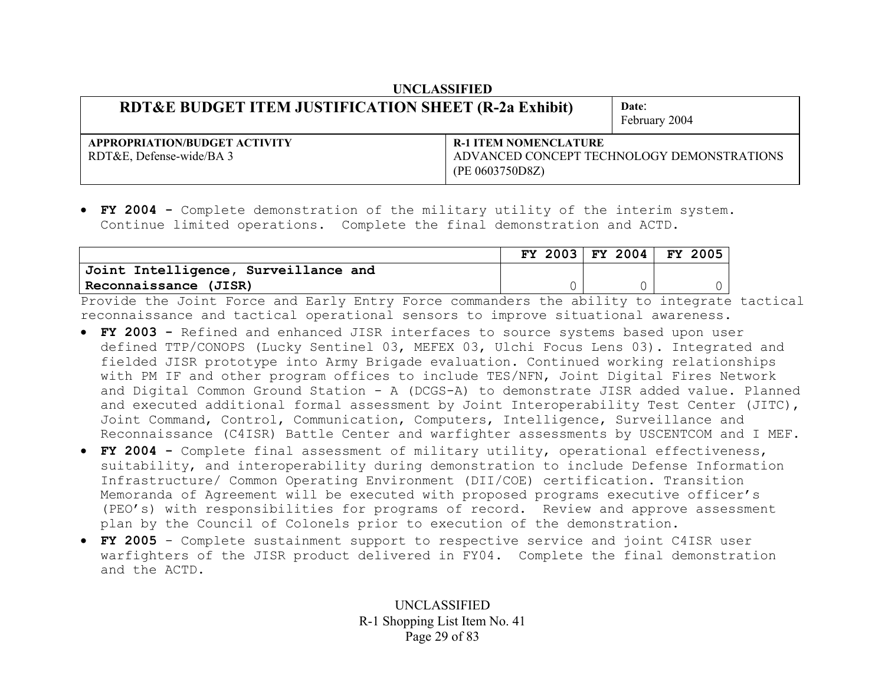| RDT&E BUDGET ITEM JUSTIFICATION SHEET (R-2a Exhibit)      |                                                 | Date:<br>February 2004                     |
|-----------------------------------------------------------|-------------------------------------------------|--------------------------------------------|
| APPROPRIATION/BUDGET ACTIVITY<br>RDT&E, Defense-wide/BA 3 | <b>R-1 ITEM NOMENCLATURE</b><br>(PE 0603750D8Z) | ADVANCED CONCEPT TECHNOLOGY DEMONSTRATIONS |

• **FY 2004 -** Complete demonstration of the military utility of the interim system. Continue limited operations. Complete the final demonstration and ACTD.

|                                      |  | $FY$ 2003 FY 2004 FY 2005 |
|--------------------------------------|--|---------------------------|
| Joint Intelligence, Surveillance and |  |                           |
| Reconnaissance (JISR)                |  |                           |

Provide the Joint Force and Early Entry Force commanders the ability to integrate tactical reconnaissance and tactical operational sensors to improve situational awareness.

- **FY 2003** Refined and enhanced JISR interfaces to source systems based upon user defined TTP/CONOPS (Lucky Sentinel 03, MEFEX 03, Ulchi Focus Lens 03). Integrated and fielded JISR prototype into Army Brigade evaluation. Continued working relationships with PM IF and other program offices to include TES/NFN, Joint Digital Fires Network and Digital Common Ground Station - A (DCGS-A) to demonstrate JISR added value. Planned and executed additional formal assessment by Joint Interoperability Test Center (JITC), Joint Command, Control, Communication, Computers, Intelligence, Surveillance and Reconnaissance (C4ISR) Battle Center and warfighter assessments by USCENTCOM and I MEF.
- **FY 2004** Complete final assessment of military utility, operational effectiveness, suitability, and interoperability during demonstration to include Defense Information Infrastructure/ Common Operating Environment (DII/COE) certification. Transition Memoranda of Agreement will be executed with proposed programs executive officer's (PEO's) with responsibilities for programs of record. Review and approve assessment plan by the Council of Colonels prior to execution of the demonstration.
- **FY 2005** Complete sustainment support to respective service and joint C4ISR user warfighters of the JISR product delivered in FY04. Complete the final demonstration and the ACTD.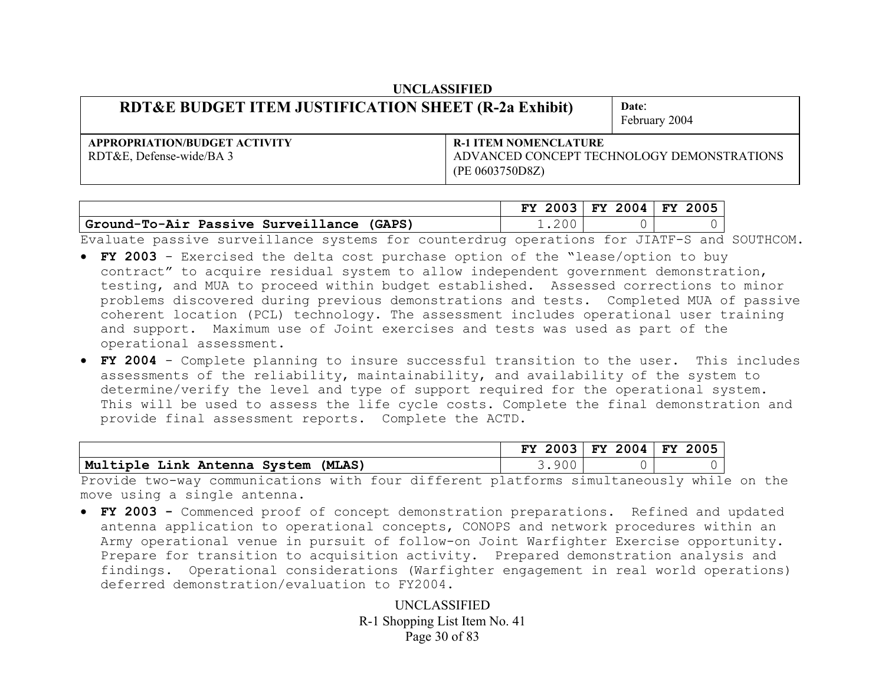| RDT&E BUDGET ITEM JUSTIFICATION SHEET (R-2a Exhibit)             |                                                 | Date:<br>February 2004                     |
|------------------------------------------------------------------|-------------------------------------------------|--------------------------------------------|
| <b>APPROPRIATION/BUDGET ACTIVITY</b><br>RDT&E, Defense-wide/BA 3 | <b>R-1 ITEM NOMENCLATURE</b><br>(PE 0603750D8Z) | ADVANCED CONCEPT TECHNOLOGY DEMONSTRATIONS |

|                                              | ついいつ<br>ᠳᢦ | 2004<br>πv | 2005<br><b>FY</b> |
|----------------------------------------------|------------|------------|-------------------|
| (GAPS)<br>Ground-To-Air Passive Surveillance |            |            |                   |
|                                              |            |            |                   |

Evaluate passive surveillance systems for counterdrug operations for JIATF-S and SOUTHCOM.

- **FY 2003** Exercised the delta cost purchase option of the "lease/option to buy contract" to acquire residual system to allow independent government demonstration, testing, and MUA to proceed within budget established. Assessed corrections to minor problems discovered during previous demonstrations and tests. Completed MUA of passive coherent location (PCL) technology. The assessment includes operational user training and support. Maximum use of Joint exercises and tests was used as part of the operational assessment.
- **FY 2004**  Complete planning to insure successful transition to the user. This includes assessments of the reliability, maintainability, and availability of the system to determine/verify the level and type of support required for the operational system. This will be used to assess the life cycle costs. Complete the final demonstration and provide final assessment reports. Complete the ACTD.

|                                     | $2003 +$ | 2004      | FY     |
|-------------------------------------|----------|-----------|--------|
|                                     | πv       | <b>FY</b> | $2005$ |
| Multiple Link Antenna System (MLAS) | an c     |           |        |

Provide two-way communications with four different platforms simultaneously while on the move using a single antenna.

• **FY 2003 -** Commenced proof of concept demonstration preparations. Refined and updated antenna application to operational concepts, CONOPS and network procedures within an Army operational venue in pursuit of follow-on Joint Warfighter Exercise opportunity. Prepare for transition to acquisition activity. Prepared demonstration analysis and findings. Operational considerations (Warfighter engagement in real world operations) deferred demonstration/evaluation to FY2004.

> UNCLASSIFIED R-1 Shopping List Item No. 41 Page 30 of 83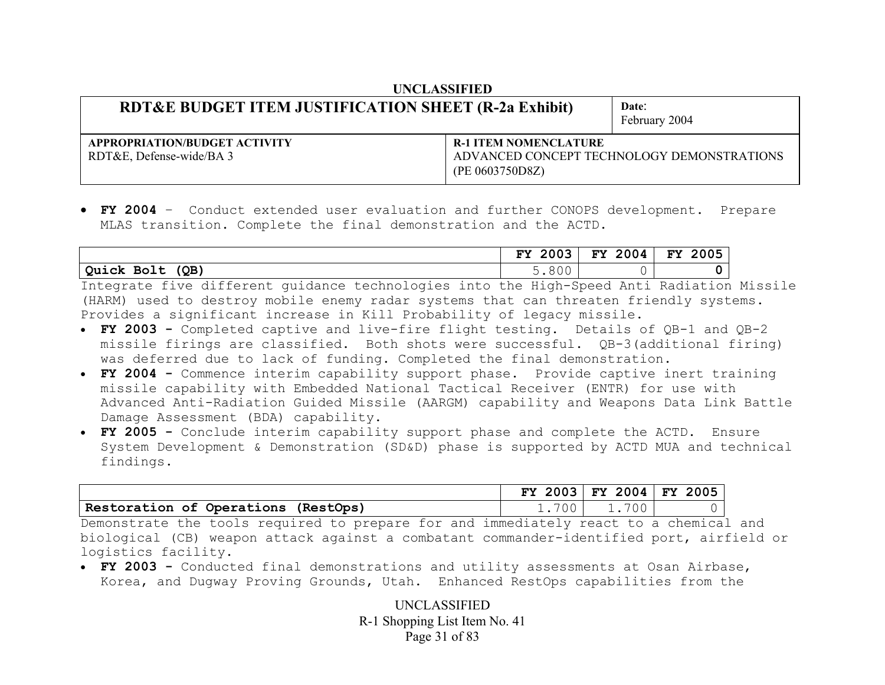| RDT&E BUDGET ITEM JUSTIFICATION SHEET (R-2a Exhibit)      |                                                 | Date:<br>February 2004                     |
|-----------------------------------------------------------|-------------------------------------------------|--------------------------------------------|
| APPROPRIATION/BUDGET ACTIVITY<br>RDT&E, Defense-wide/BA 3 | <b>R-1 ITEM NOMENCLATURE</b><br>(PE 0603750D8Z) | ADVANCED CONCEPT TECHNOLOGY DEMONSTRATIONS |

• **FY 2004** – Conduct extended user evaluation and further CONOPS development. Prepare MLAS transition. Complete the final demonstration and the ACTD.

|                               | 2005 |
|-------------------------------|------|
| (QB)<br>Quick Bolt<br>- v v v |      |

Integrate five different guidance technologies into the High-Speed Anti Radiation Missile (HARM) used to destroy mobile enemy radar systems that can threaten friendly systems. Provides a significant increase in Kill Probability of legacy missile.

- **FY 2003** Completed captive and live-fire flight testing. Details of QB-1 and QB-2 missile firings are classified. Both shots were successful. QB-3(additional firing) was deferred due to lack of funding. Completed the final demonstration.
- **FY 2004** Commence interim capability support phase. Provide captive inert training missile capability with Embedded National Tactical Receiver (ENTR) for use with Advanced Anti-Radiation Guided Missile (AARGM) capability and Weapons Data Link Battle Damage Assessment (BDA) capability.
- **FY 2005 -** Conclude interim capability support phase and complete the ACTD. Ensure System Development & Demonstration (SD&D) phase is supported by ACTD MUA and technical findings.

|                                     |  | $FY$ 2003   FY 2004   FY 2005 |
|-------------------------------------|--|-------------------------------|
| Restoration of Operations (RestOps) |  |                               |

Demonstrate the tools required to prepare for and immediately react to a chemical and biological (CB) weapon attack against a combatant commander-identified port, airfield or logistics facility.

• **FY 2003 -** Conducted final demonstrations and utility assessments at Osan Airbase, Korea, and Dugway Proving Grounds, Utah. Enhanced RestOps capabilities from the

> UNCLASSIFIED R-1 Shopping List Item No. 41 Page 31 of 83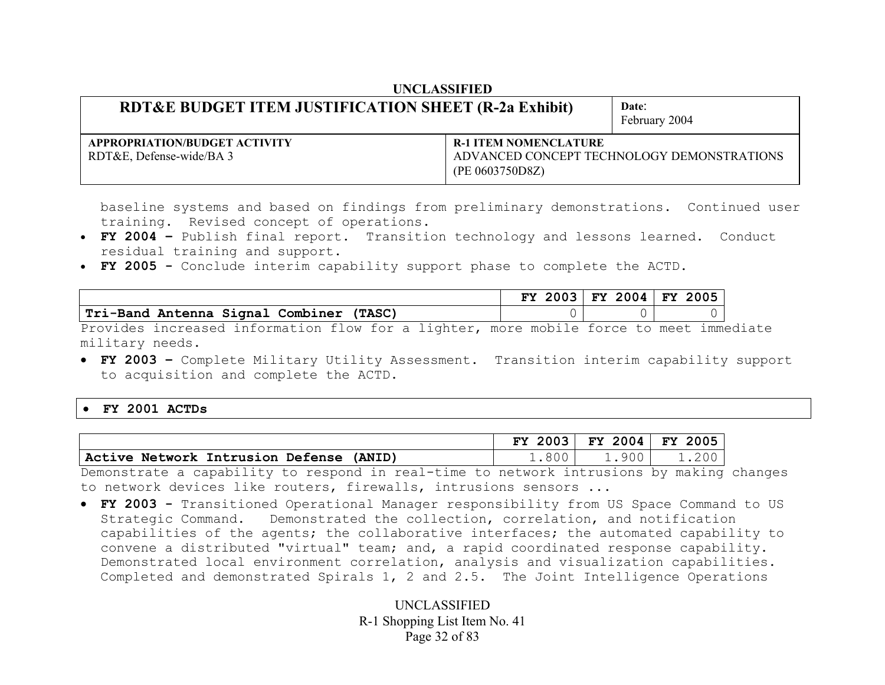| RDT&E BUDGET ITEM JUSTIFICATION SHEET (R-2a Exhibit)      |                                                 | Date:<br>February 2004                     |
|-----------------------------------------------------------|-------------------------------------------------|--------------------------------------------|
| APPROPRIATION/BUDGET ACTIVITY<br>RDT&E, Defense-wide/BA 3 | <b>R-1 ITEM NOMENCLATURE</b><br>(PE 0603750D8Z) | ADVANCED CONCEPT TECHNOLOGY DEMONSTRATIONS |

baseline systems and based on findings from preliminary demonstrations. Continued user training. Revised concept of operations.

- **FY 2004** Publish final report. Transition technology and lessons learned. Conduct residual training and support.
- **FY 2005 -** Conclude interim capability support phase to complete the ACTD.

|                                                 | $2003 +$  | 2004 | 2005 |
|-------------------------------------------------|-----------|------|------|
|                                                 | <b>FY</b> | FΥ   | FY   |
| Tri-Band Antenna Signal (<br>(TASC)<br>Combiner |           |      |      |

Provides increased information flow for a lighter, more mobile force to meet immediate military needs.

• **FY 2003 –** Complete Military Utility Assessment. Transition interim capability support to acquisition and complete the ACTD.

#### •**FY 2001 ACTDs**

|                                            | .2003 | FY 2004 | <b>FY 2005</b> |
|--------------------------------------------|-------|---------|----------------|
| Active Network Intrusion Defense<br>(ANID) | R C   | 900     |                |

Demonstrate a capability to respond in real-time to network intrusions by making changes to network devices like routers, firewalls, intrusions sensors ...

• **FY 2003 -** Transitioned Operational Manager responsibility from US Space Command to US Strategic Command. Demonstrated the collection, correlation, and notification capabilities of the agents; the collaborative interfaces; the automated capability to convene a distributed "virtual" team; and, a rapid coordinated response capability. Demonstrated local environment correlation, analysis and visualization capabilities. Completed and demonstrated Spirals 1, 2 and 2.5. The Joint Intelligence Operations

> UNCLASSIFIED R-1 Shopping List Item No. 41 Page 32 of 83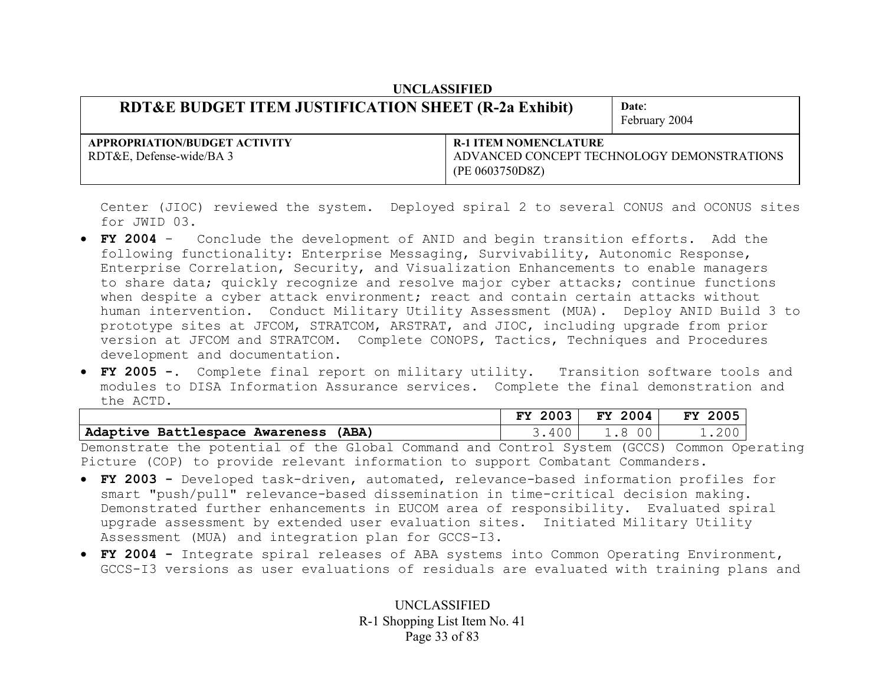| RDT&E BUDGET ITEM JUSTIFICATION SHEET (R-2a Exhibit)      |                                                 | Date:<br>February 2004                     |
|-----------------------------------------------------------|-------------------------------------------------|--------------------------------------------|
| APPROPRIATION/BUDGET ACTIVITY<br>RDT&E, Defense-wide/BA 3 | <b>R-1 ITEM NOMENCLATURE</b><br>(PE 0603750D8Z) | ADVANCED CONCEPT TECHNOLOGY DEMONSTRATIONS |

Center (JIOC) reviewed the system. Deployed spiral 2 to several CONUS and OCONUS sites for JWID 03.

- **FY 2004** Conclude the development of ANID and begin transition efforts. Add the following functionality: Enterprise Messaging, Survivability, Autonomic Response, Enterprise Correlation, Security, and Visualization Enhancements to enable managers to share data; quickly recognize and resolve major cyber attacks; continue functions when despite a cyber attack environment; react and contain certain attacks without human intervention. Conduct Military Utility Assessment (MUA). Deploy ANID Build 3 to prototype sites at JFCOM, STRATCOM, ARSTRAT, and JIOC, including upgrade from prior version at JFCOM and STRATCOM. Complete CONOPS, Tactics, Techniques and Procedures development and documentation.
- **FY 2005 -**. Complete final report on military utility. Transition software tools and modules to DISA Information Assurance services. Complete the final demonstration and the ACTD.

|                                               | 2003 | 2004 | 2005 |
|-----------------------------------------------|------|------|------|
|                                               | mv   | ٣v   | πv   |
| Adaptive<br>(ABA)<br>Battlespace<br>Awareness | -    | υu   | ムUU  |

Demonstrate the potential of the Global Command and Control System (GCCS) Common Operating Picture (COP) to provide relevant information to support Combatant Commanders.

- **FY 2003 -** Developed task-driven, automated, relevance-based information profiles for smart "push/pull" relevance-based dissemination in time-critical decision making. Demonstrated further enhancements in EUCOM area of responsibility. Evaluated spiral upgrade assessment by extended user evaluation sites. Initiated Military Utility Assessment (MUA) and integration plan for GCCS-I3.
- **FY 2004** Integrate spiral releases of ABA systems into Common Operating Environment, GCCS-I3 versions as user evaluations of residuals are evaluated with training plans and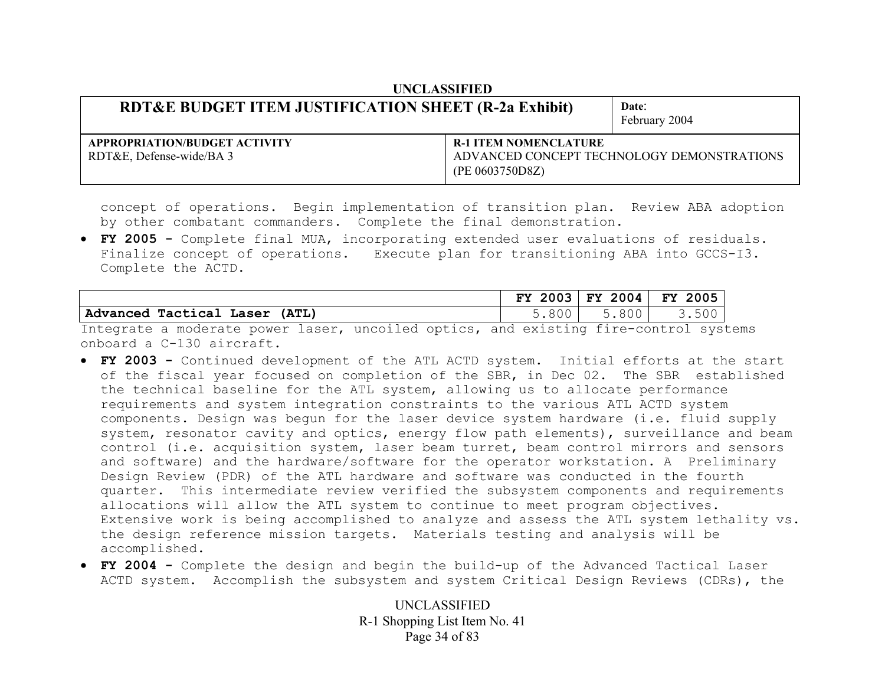| RDT&E BUDGET ITEM JUSTIFICATION SHEET (R-2a Exhibit)             |                                                 | Date:<br>February 2004                     |
|------------------------------------------------------------------|-------------------------------------------------|--------------------------------------------|
| <b>APPROPRIATION/BUDGET ACTIVITY</b><br>RDT&E, Defense-wide/BA 3 | <b>R-1 ITEM NOMENCLATURE</b><br>(PE 0603750D8Z) | ADVANCED CONCEPT TECHNOLOGY DEMONSTRATIONS |

concept of operations. Begin implementation of transition plan. Review ABA adoption by other combatant commanders. Complete the final demonstration.

• **FY 2005 -** Complete final MUA, incorporating extended user evaluations of residuals. Finalize concept of operations. Execute plan for transitioning ABA into GCCS-I3. Complete the ACTD.

|                                        | 2003       | 2004                          | <b>FY</b> |
|----------------------------------------|------------|-------------------------------|-----------|
|                                        | w          | πv                            | 2005      |
| Advanced<br>(ATL)<br>Tactical<br>Laser | .<br>O U U | $\sim$ $\sim$ $\sim$<br>5.80c | <u>_</u>  |

Integrate a moderate power laser, uncoiled optics, and existing fire-control systems onboard a C-130 aircraft.

- **FY 2003** Continued development of the ATL ACTD system. Initial efforts at the start of the fiscal year focused on completion of the SBR, in Dec 02. The SBR established the technical baseline for the ATL system, allowing us to allocate performance requirements and system integration constraints to the various ATL ACTD system components. Design was begun for the laser device system hardware (i.e. fluid supply system, resonator cavity and optics, energy flow path elements), surveillance and beam control (i.e. acquisition system, laser beam turret, beam control mirrors and sensors and software) and the hardware/software for the operator workstation. A Preliminary Design Review (PDR) of the ATL hardware and software was conducted in the fourth quarter. This intermediate review verified the subsystem components and requirements allocations will allow the ATL system to continue to meet program objectives. Extensive work is being accomplished to analyze and assess the ATL system lethality vs. the design reference mission targets. Materials testing and analysis will be accomplished.
- **FY 2004** Complete the design and begin the build-up of the Advanced Tactical Laser ACTD system. Accomplish the subsystem and system Critical Design Reviews (CDRs), the

UNCLASSIFIED R-1 Shopping List Item No. 41 Page 34 of 83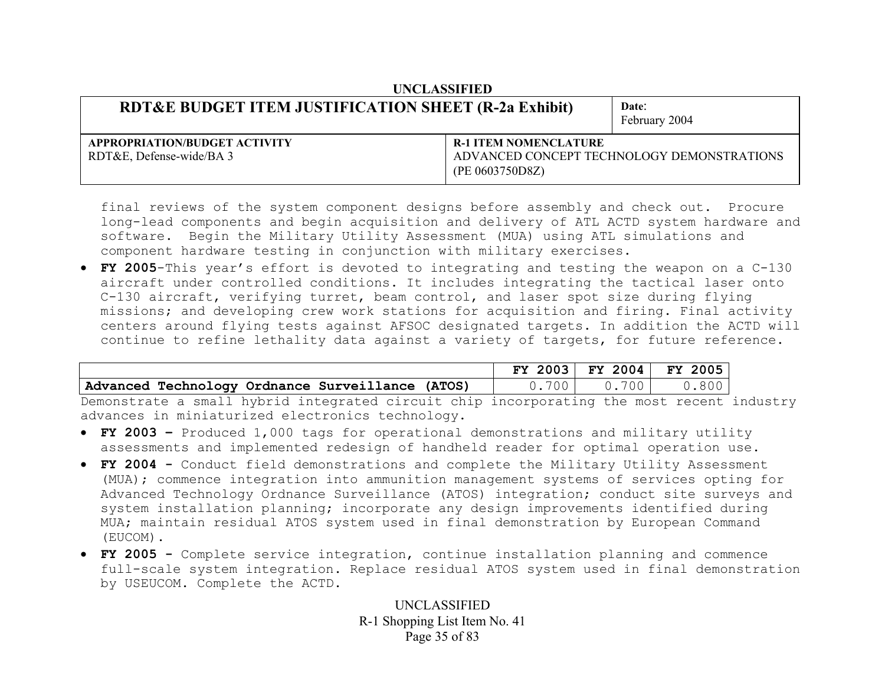| RDT&E BUDGET ITEM JUSTIFICATION SHEET (R-2a Exhibit)      |                                                 | Date:<br>February 2004                     |
|-----------------------------------------------------------|-------------------------------------------------|--------------------------------------------|
| APPROPRIATION/BUDGET ACTIVITY<br>RDT&E, Defense-wide/BA 3 | <b>R-1 ITEM NOMENCLATURE</b><br>(PE 0603750D8Z) | ADVANCED CONCEPT TECHNOLOGY DEMONSTRATIONS |

final reviews of the system component designs before assembly and check out. Procure long-lead components and begin acquisition and delivery of ATL ACTD system hardware and software. Begin the Military Utility Assessment (MUA) using ATL simulations and component hardware testing in conjunction with military exercises.

• **FY 2005**-This year's effort is devoted to integrating and testing the weapon on a C-130 aircraft under controlled conditions. It includes integrating the tactical laser onto C-130 aircraft, verifying turret, beam control, and laser spot size during flying missions; and developing crew work stations for acquisition and firing. Final activity centers around flying tests against AFSOC designated targets. In addition the ACTD will continue to refine lethality data against a variety of targets, for future reference.

|                                                  | $FY$ 2003   $FY$ 2004 | <b>FY 2005</b> |
|--------------------------------------------------|-----------------------|----------------|
| Advanced Technology Ordnance Surveillance (ATOS) |                       | .800           |

Demonstrate a small hybrid integrated circuit chip incorporating the most recent industry advances in miniaturized electronics technology.

- **FY 2003 –** Produced 1,000 tags for operational demonstrations and military utility assessments and implemented redesign of handheld reader for optimal operation use.
- **FY 2004 -** Conduct field demonstrations and complete the Military Utility Assessment (MUA); commence integration into ammunition management systems of services opting for Advanced Technology Ordnance Surveillance (ATOS) integration; conduct site surveys and system installation planning; incorporate any design improvements identified during MUA; maintain residual ATOS system used in final demonstration by European Command (EUCOM).
- **FY 2005 -** Complete service integration, continue installation planning and commence full-scale system integration. Replace residual ATOS system used in final demonstration by USEUCOM. Complete the ACTD.

UNCLASSIFIED R-1 Shopping List Item No. 41 Page 35 of 83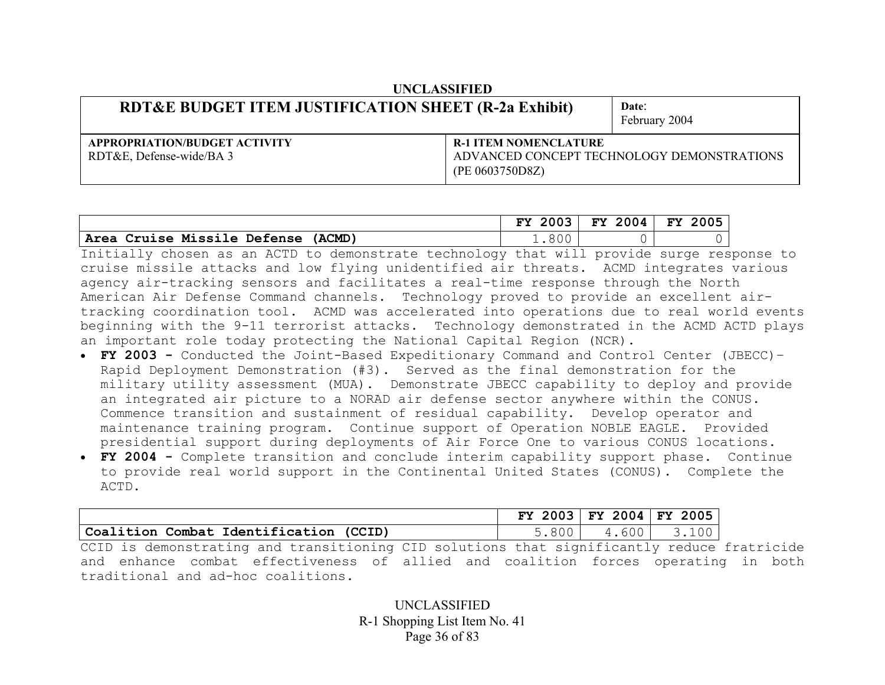| RDT&E BUDGET ITEM JUSTIFICATION SHEET (R-2a Exhibit)      |                                                 | Date:<br>February 2004                     |
|-----------------------------------------------------------|-------------------------------------------------|--------------------------------------------|
| APPROPRIATION/BUDGET ACTIVITY<br>RDT&E, Defense-wide/BA 3 | <b>R-1 ITEM NOMENCLATURE</b><br>(PE 0603750D8Z) | ADVANCED CONCEPT TECHNOLOGY DEMONSTRATIONS |

|                                            | 2003           | 2004 | -2005     |
|--------------------------------------------|----------------|------|-----------|
|                                            | <b>FY</b>      | FΥ   | <b>FY</b> |
| . Cruise Missile Defense<br>(ACMD)<br>Area | ➤<br>. . ∪ ∪ ∪ |      |           |

Initially chosen as an ACTD to demonstrate technology that will provide surge response to cruise missile attacks and low flying unidentified air threats. ACMD integrates various agency air-tracking sensors and facilitates a real-time response through the North American Air Defense Command channels. Technology proved to provide an excellent airtracking coordination tool. ACMD was accelerated into operations due to real world events beginning with the 9-11 terrorist attacks. Technology demonstrated in the ACMD ACTD plays an important role today protecting the National Capital Region (NCR).

- **FY 2003 -** Conducted the Joint-Based Expeditionary Command and Control Center (JBECC)– Rapid Deployment Demonstration (#3). Served as the final demonstration for the military utility assessment (MUA). Demonstrate JBECC capability to deploy and provide an integrated air picture to a NORAD air defense sector anywhere within the CONUS. Commence transition and sustainment of residual capability. Develop operator and maintenance training program. Continue support of Operation NOBLE EAGLE. Provided presidential support during deployments of Air Force One to various CONUS locations.
- **FY 2004** Complete transition and conclude interim capability support phase. Continue to provide real world support in the Continental United States (CONUS). Complete the ACTD.

|                                        |         | $FY$ 2003 FY 2004 FY 2005 |  |
|----------------------------------------|---------|---------------------------|--|
| Coalition Combat Identification (CCID) | $5.800$ | 4.600                     |  |

CCID is demonstrating and transitioning CID solutions that significantly reduce fratricide and enhance combat effectiveness of allied and coalition forces operating in both traditional and ad-hoc coalitions.

> UNCLASSIFIED R-1 Shopping List Item No. 41 Page 36 of 83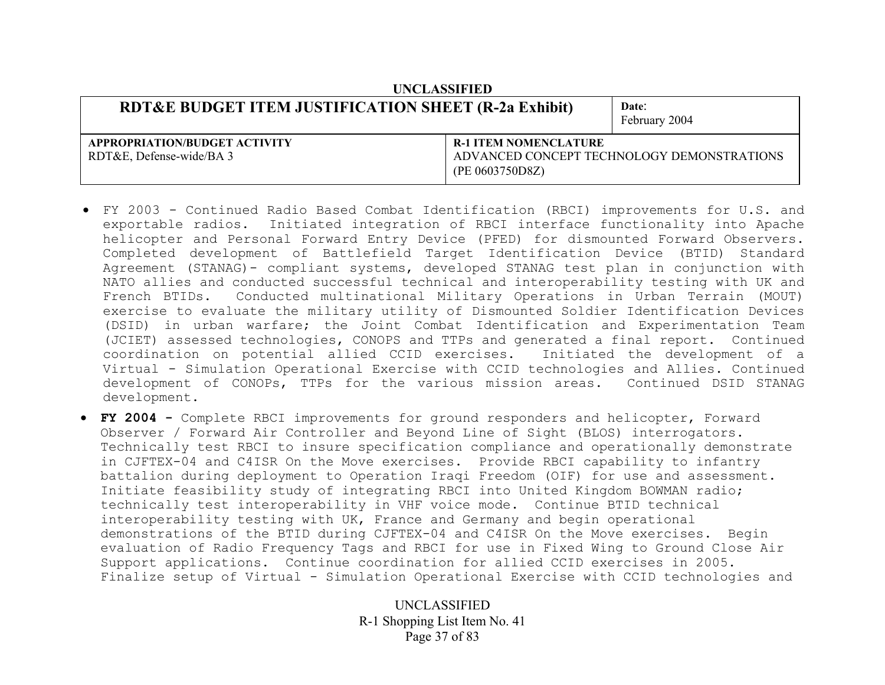| RDT&E BUDGET ITEM JUSTIFICATION SHEET (R-2a Exhibit)      |                                                 | Date:<br>February 2004                     |  |
|-----------------------------------------------------------|-------------------------------------------------|--------------------------------------------|--|
| APPROPRIATION/BUDGET ACTIVITY<br>RDT&E, Defense-wide/BA 3 | <b>R-1 ITEM NOMENCLATURE</b><br>(PE 0603750D8Z) | ADVANCED CONCEPT TECHNOLOGY DEMONSTRATIONS |  |

- FY 2003 Continued Radio Based Combat Identification (RBCI) improvements for U.S. and exportable radios. Initiated integration of RBCI interface functionality into Apache helicopter and Personal Forward Entry Device (PFED) for dismounted Forward Observers. Completed development of Battlefield Target Identification Device (BTID) Standard Agreement (STANAG)- compliant systems, developed STANAG test plan in conjunction with NATO allies and conducted successful technical and interoperability testing with UK and French BTIDs. Conducted multinational Military Operations in Urban Terrain (MOUT) exercise to evaluate the military utility of Dismounted Soldier Identification Devices (DSID) in urban warfare; the Joint Combat Identification and Experimentation Team (JCIET) assessed technologies, CONOPS and TTPs and generated a final report. Continued coordination on potential allied CCID exercises. Initiated the development of a Virtual - Simulation Operational Exercise with CCID technologies and Allies. Continued development of CONOPs, TTPs for the various mission areas. Continued DSID STANAG development.
- **FY 2004 -** Complete RBCI improvements for ground responders and helicopter, Forward Observer / Forward Air Controller and Beyond Line of Sight (BLOS) interrogators. Technically test RBCI to insure specification compliance and operationally demonstrate in CJFTEX-04 and C4ISR On the Move exercises. Provide RBCI capability to infantry battalion during deployment to Operation Iraqi Freedom (OIF) for use and assessment. Initiate feasibility study of integrating RBCI into United Kingdom BOWMAN radio; technically test interoperability in VHF voice mode. Continue BTID technical interoperability testing with UK, France and Germany and begin operational demonstrations of the BTID during CJFTEX-04 and C4ISR On the Move exercises. Begin evaluation of Radio Frequency Tags and RBCI for use in Fixed Wing to Ground Close Air Support applications. Continue coordination for allied CCID exercises in 2005. Finalize setup of Virtual - Simulation Operational Exercise with CCID technologies and

UNCLASSIFIED R-1 Shopping List Item No. 41 Page 37 of 83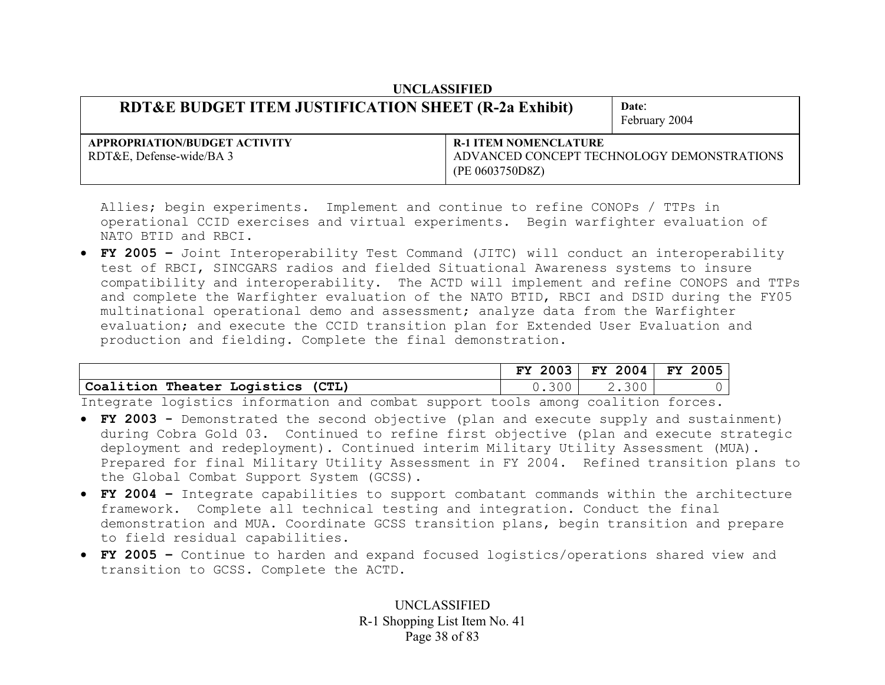| RDT&E BUDGET ITEM JUSTIFICATION SHEET (R-2a Exhibit)      |                                                 | Date:<br>February 2004                     |
|-----------------------------------------------------------|-------------------------------------------------|--------------------------------------------|
| APPROPRIATION/BUDGET ACTIVITY<br>RDT&E, Defense-wide/BA 3 | <b>R-1 ITEM NOMENCLATURE</b><br>(PE 0603750D8Z) | ADVANCED CONCEPT TECHNOLOGY DEMONSTRATIONS |

Allies; begin experiments. Implement and continue to refine CONOPs / TTPs in operational CCID exercises and virtual experiments. Begin warfighter evaluation of NATO BTID and RBCI.

• **FY 2005 –** Joint Interoperability Test Command (JITC) will conduct an interoperability test of RBCI, SINCGARS radios and fielded Situational Awareness systems to insure compatibility and interoperability. The ACTD will implement and refine CONOPS and TTPs and complete the Warfighter evaluation of the NATO BTID, RBCI and DSID during the FY05 multinational operational demo and assessment; analyze data from the Warfighter evaluation; and execute the CCID transition plan for Extended User Evaluation and production and fielding. Complete the final demonstration.

|                                   | 2003<br>πY. | FY 2004   FY 2005 |
|-----------------------------------|-------------|-------------------|
| Coalition Theater Logistics (CTL) | 0.300       |                   |
|                                   |             |                   |

Integrate logistics information and combat support tools among coalition forces.

- **FY 2003 -** Demonstrated the second objective (plan and execute supply and sustainment) during Cobra Gold 03. Continued to refine first objective (plan and execute strategic deployment and redeployment). Continued interim Military Utility Assessment (MUA). Prepared for final Military Utility Assessment in FY 2004. Refined transition plans to the Global Combat Support System (GCSS).
- **FY 2004 –** Integrate capabilities to support combatant commands within the architecture framework. Complete all technical testing and integration. Conduct the final demonstration and MUA. Coordinate GCSS transition plans, begin transition and prepare to field residual capabilities.
- **FY 2005 –** Continue to harden and expand focused logistics/operations shared view and transition to GCSS. Complete the ACTD.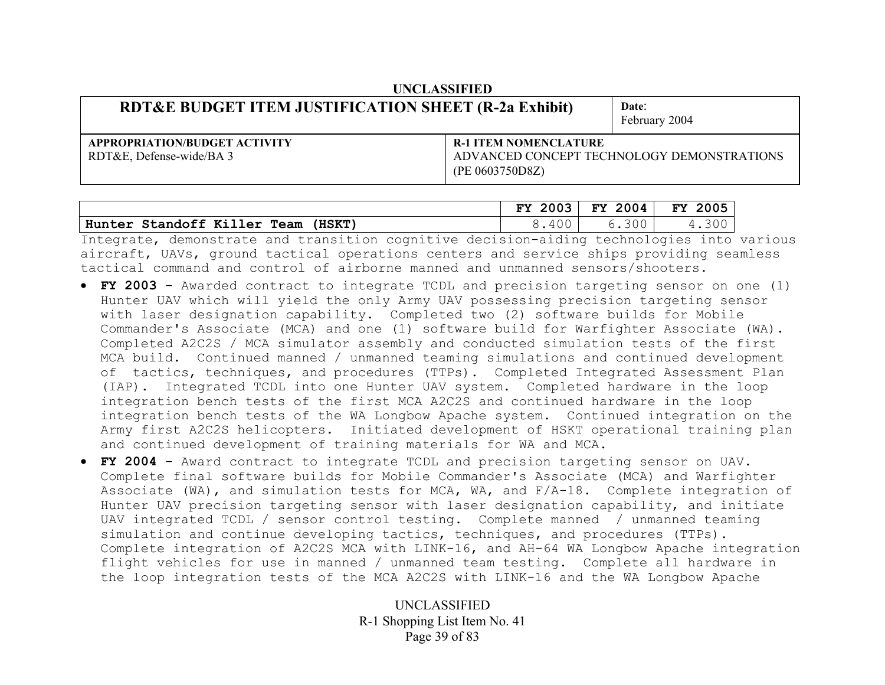| RDT&E BUDGET ITEM JUSTIFICATION SHEET (R-2a Exhibit)      |                                                 | Date:<br>February 2004                     |
|-----------------------------------------------------------|-------------------------------------------------|--------------------------------------------|
| APPROPRIATION/BUDGET ACTIVITY<br>RDT&E, Defense-wide/BA 3 | <b>R-1 ITEM NOMENCLATURE</b><br>(PE 0603750D8Z) | ADVANCED CONCEPT TECHNOLOGY DEMONSTRATIONS |

|                                                       | 2003<br>πv                  | 2004<br><b>FY</b> | 2005<br><b>FY</b>          |
|-------------------------------------------------------|-----------------------------|-------------------|----------------------------|
| . Kil'<br>Standoff<br>(HSKT)<br>Hunter<br>Team<br>ler | $\sim$ $\sim$ $\sim$<br>ュぃぃ | $\cap$ $\cap$     | $\sim$ $\sim$ $\sim$<br>゚ぃ |
|                                                       |                             |                   |                            |

Integrate, demonstrate and transition cognitive decision-aiding technologies into various aircraft, UAVs, ground tactical operations centers and service ships providing seamless tactical command and control of airborne manned and unmanned sensors/shooters.

- **FY 2003** Awarded contract to integrate TCDL and precision targeting sensor on one (1) Hunter UAV which will yield the only Army UAV possessing precision targeting sensor with laser designation capability. Completed two (2) software builds for Mobile Commander's Associate (MCA) and one (1) software build for Warfighter Associate (WA). Completed A2C2S / MCA simulator assembly and conducted simulation tests of the first MCA build. Continued manned / unmanned teaming simulations and continued development of tactics, techniques, and procedures (TTPs). Completed Integrated Assessment Plan (IAP). Integrated TCDL into one Hunter UAV system. Completed hardware in the loop integration bench tests of the first MCA A2C2S and continued hardware in the loop integration bench tests of the WA Longbow Apache system. Continued integration on the Army first A2C2S helicopters. Initiated development of HSKT operational training plan and continued development of training materials for WA and MCA.
- **FY 2004** Award contract to integrate TCDL and precision targeting sensor on UAV. Complete final software builds for Mobile Commander's Associate (MCA) and Warfighter Associate (WA), and simulation tests for MCA, WA, and F/A-18. Complete integration of Hunter UAV precision targeting sensor with laser designation capability, and initiate UAV integrated TCDL / sensor control testing. Complete manned / unmanned teaming simulation and continue developing tactics, techniques, and procedures (TTPs). Complete integration of A2C2S MCA with LINK-16, and AH-64 WA Longbow Apache integration flight vehicles for use in manned / unmanned team testing. Complete all hardware in the loop integration tests of the MCA A2C2S with LINK-16 and the WA Longbow Apache

UNCLASSIFIED R-1 Shopping List Item No. 41 Page 39 of 83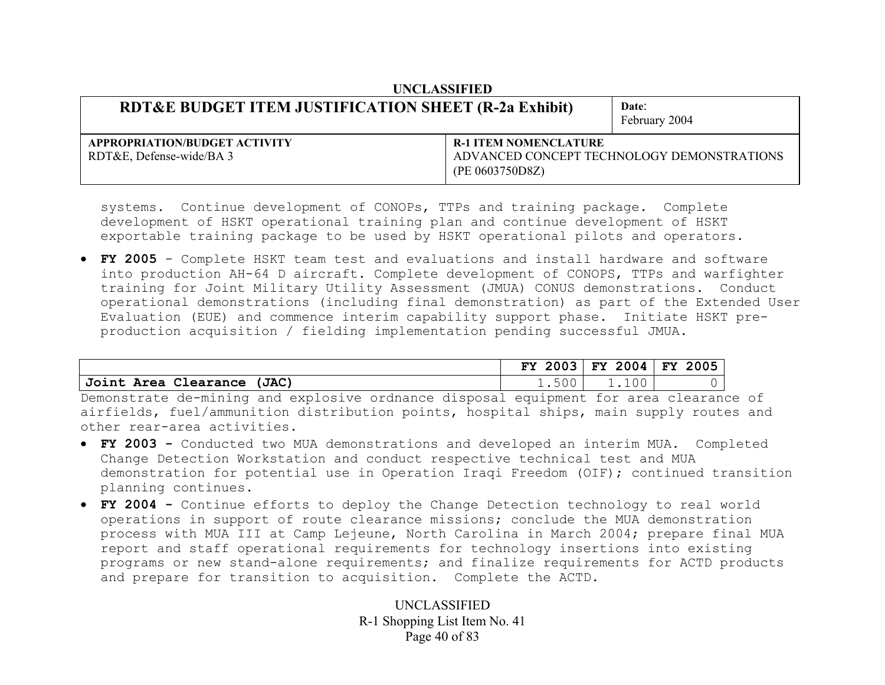| RDT&E BUDGET ITEM JUSTIFICATION SHEET (R-2a Exhibit)      |                                                 | Date:<br>February 2004                     |
|-----------------------------------------------------------|-------------------------------------------------|--------------------------------------------|
| APPROPRIATION/BUDGET ACTIVITY<br>RDT&E, Defense-wide/BA 3 | <b>R-1 ITEM NOMENCLATURE</b><br>(PE 0603750D8Z) | ADVANCED CONCEPT TECHNOLOGY DEMONSTRATIONS |

systems. Continue development of CONOPs, TTPs and training package. Complete development of HSKT operational training plan and continue development of HSKT exportable training package to be used by HSKT operational pilots and operators.

• **FY 2005** - Complete HSKT team test and evaluations and install hardware and software into production AH-64 D aircraft. Complete development of CONOPS, TTPs and warfighter training for Joint Military Utility Assessment (JMUA) CONUS demonstrations. Conduct operational demonstrations (including final demonstration) as part of the Extended User Evaluation (EUE) and commence interim capability support phase. Initiate HSKT preproduction acquisition / fielding implementation pending successful JMUA.

|                               | FY  | $2003$ FY 2004 FY 2005 |
|-------------------------------|-----|------------------------|
| Joint Area Clearance<br>(JAC) | 500 |                        |

Demonstrate de-mining and explosive ordnance disposal equipment for area clearance of airfields, fuel/ammunition distribution points, hospital ships, main supply routes and other rear-area activities.

- **FY 2003 -** Conducted two MUA demonstrations and developed an interim MUA. Completed Change Detection Workstation and conduct respective technical test and MUA demonstration for potential use in Operation Iraqi Freedom (OIF); continued transition planning continues.
- **FY 2004** Continue efforts to deploy the Change Detection technology to real world operations in support of route clearance missions; conclude the MUA demonstration process with MUA III at Camp Lejeune, North Carolina in March 2004; prepare final MUA report and staff operational requirements for technology insertions into existing programs or new stand-alone requirements; and finalize requirements for ACTD products and prepare for transition to acquisition. Complete the ACTD.

UNCLASSIFIED R-1 Shopping List Item No. 41 Page 40 of 83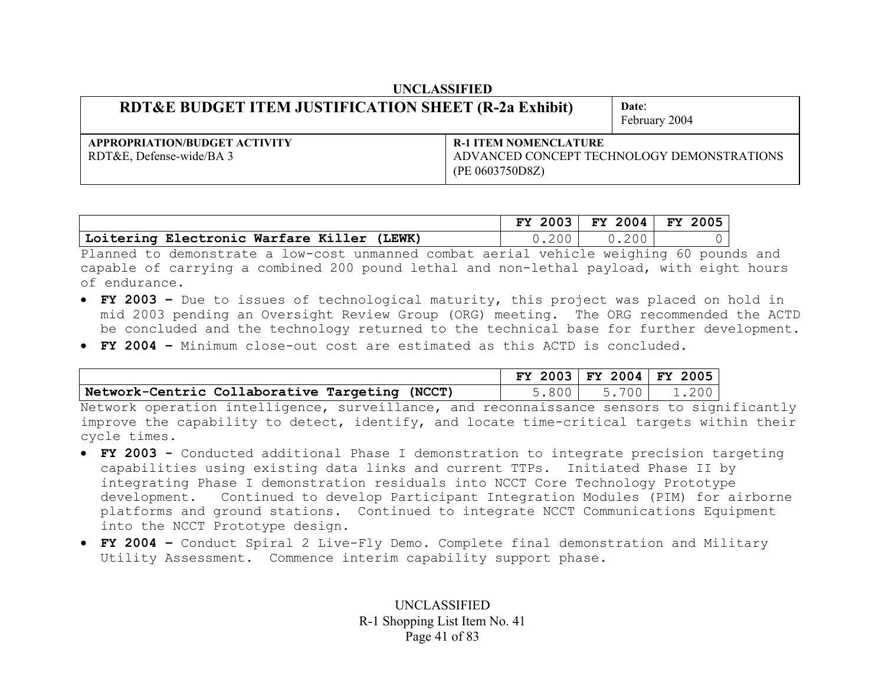| RDT&E BUDGET ITEM JUSTIFICATION SHEET (R-2a Exhibit)      |                                                 | Date:<br>February 2004                     |
|-----------------------------------------------------------|-------------------------------------------------|--------------------------------------------|
| APPROPRIATION/BUDGET ACTIVITY<br>RDT&E, Defense-wide/BA 3 | <b>R-1 ITEM NOMENCLATURE</b><br>(PE 0603750D8Z) | ADVANCED CONCEPT TECHNOLOGY DEMONSTRATIONS |

|                                            | $FY$ 2003 FY 2004 FY 2005 |  |
|--------------------------------------------|---------------------------|--|
| Loitering Electronic Warfare Killer (LEWK) |                           |  |

Planned to demonstrate a low-cost unmanned combat aerial vehicle weighing 60 pounds and capable of carrying a combined 200 pound lethal and non-lethal payload, with eight hours of endurance.

- **FY 2003 –** Due to issues of technological maturity, this project was placed on hold in mid 2003 pending an Oversight Review Group (ORG) meeting. The ORG recommended the ACTD be concluded and the technology returned to the technical base for further development.
- **FY 2004 –** Minimum close-out cost are estimated as this ACTD is concluded.

|                                                | FY 2003 FY 2004 FY 2005 |  |
|------------------------------------------------|-------------------------|--|
| Network-Centric Collaborative Targeting (NCCT) | 100                     |  |

Network operation intelligence, surveillance, and reconnaissance sensors to significantly improve the capability to detect, identify, and locate time-critical targets within their cycle times.

- **FY 2003 -** Conducted additional Phase I demonstration to integrate precision targeting capabilities using existing data links and current TTPs. Initiated Phase II by integrating Phase I demonstration residuals into NCCT Core Technology Prototype development. Continued to develop Participant Integration Modules (PIM) for airborne platforms and ground stations. Continued to integrate NCCT Communications Equipment into the NCCT Prototype design.
- **FY 2004** Conduct Spiral 2 Live-Fly Demo. Complete final demonstration and Military Utility Assessment. Commence interim capability support phase.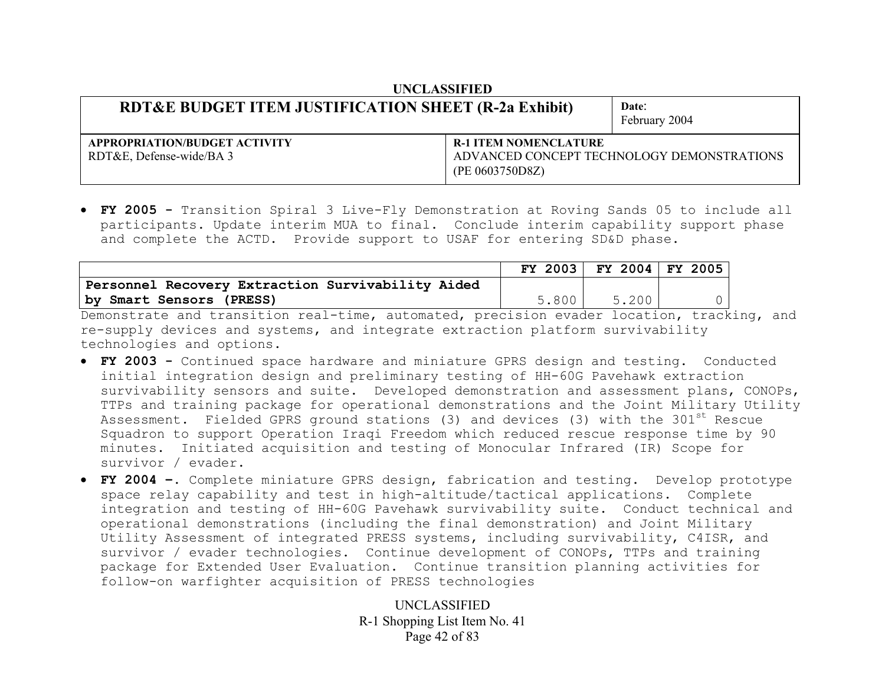| RDT&E BUDGET ITEM JUSTIFICATION SHEET (R-2a Exhibit)      |                                                 | Date:<br>February 2004                     |
|-----------------------------------------------------------|-------------------------------------------------|--------------------------------------------|
| APPROPRIATION/BUDGET ACTIVITY<br>RDT&E, Defense-wide/BA 3 | <b>R-1 ITEM NOMENCLATURE</b><br>(PE 0603750D8Z) | ADVANCED CONCEPT TECHNOLOGY DEMONSTRATIONS |

• **FY 2005 -** Transition Spiral 3 Live-Fly Demonstration at Roving Sands 05 to include all participants. Update interim MUA to final. Conclude interim capability support phase and complete the ACTD. Provide support to USAF for entering SD&D phase.

|                                                   |       | $FY$ 2003 FY 2004 FY 2005 |  |
|---------------------------------------------------|-------|---------------------------|--|
| Personnel Recovery Extraction Survivability Aided |       |                           |  |
| by Smart Sensors (PRESS)                          | 5.800 | 5.200                     |  |

Demonstrate and transition real-time, automated, precision evader location, tracking, and re-supply devices and systems, and integrate extraction platform survivability technologies and options.

- **FY 2003 -** Continued space hardware and miniature GPRS design and testing. Conducted initial integration design and preliminary testing of HH-60G Pavehawk extraction survivability sensors and suite. Developed demonstration and assessment plans, CONOPs, TTPs and training package for operational demonstrations and the Joint Military Utility Assessment. Fielded GPRS ground stations (3) and devices (3) with the  $301<sup>st</sup>$  Rescue Squadron to support Operation Iraqi Freedom which reduced rescue response time by 90 minutes. Initiated acquisition and testing of Monocular Infrared (IR) Scope for survivor / evader.
- **FY 2004 –**. Complete miniature GPRS design, fabrication and testing. Develop prototype space relay capability and test in high-altitude/tactical applications. Complete integration and testing of HH-60G Pavehawk survivability suite. Conduct technical and operational demonstrations (including the final demonstration) and Joint Military Utility Assessment of integrated PRESS systems, including survivability, C4ISR, and survivor / evader technologies. Continue development of CONOPs, TTPs and training package for Extended User Evaluation. Continue transition planning activities for follow-on warfighter acquisition of PRESS technologies

UNCLASSIFIED R-1 Shopping List Item No. 41 Page 42 of 83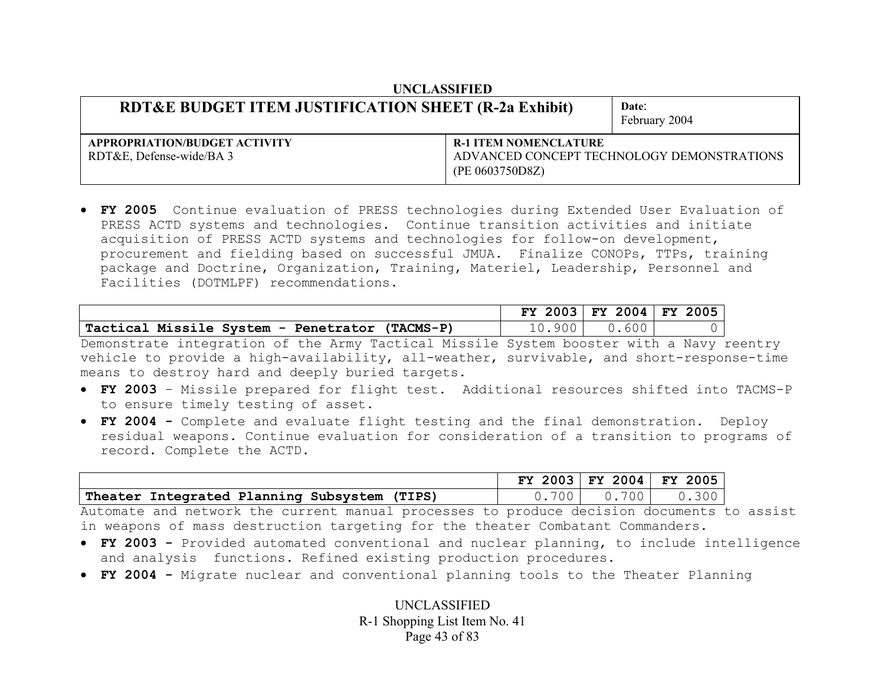| RDT&E BUDGET ITEM JUSTIFICATION SHEET (R-2a Exhibit)             |                                                 | Date:<br>February 2004                     |
|------------------------------------------------------------------|-------------------------------------------------|--------------------------------------------|
| <b>APPROPRIATION/BUDGET ACTIVITY</b><br>RDT&E, Defense-wide/BA 3 | <b>R-1 ITEM NOMENCLATURE</b><br>(PE 0603750D8Z) | ADVANCED CONCEPT TECHNOLOGY DEMONSTRATIONS |

• **FY 2005** Continue evaluation of PRESS technologies during Extended User Evaluation of PRESS ACTD systems and technologies. Continue transition activities and initiate acquisition of PRESS ACTD systems and technologies for follow-on development, procurement and fielding based on successful JMUA. Finalize CONOPs, TTPs, training package and Doctrine, Organization, Training, Materiel, Leadership, Personnel and Facilities (DOTMLPF) recommendations.

|                                                |                | FY 2003   FY 2004   FY 2005 <sub> </sub> |
|------------------------------------------------|----------------|------------------------------------------|
| Tactical Missile System - Penetrator (TACMS-P) | $10.900$ 0.600 |                                          |

Demonstrate integration of the Army Tactical Missile System booster with a Navy reentry vehicle to provide a high-availability, all-weather, survivable, and short-response-time means to destroy hard and deeply buried targets.

- **FY 2003**  Missile prepared for flight test. Additional resources shifted into TACMS-P to ensure timely testing of asset.
- **FY 2004 -** Complete and evaluate flight testing and the final demonstration. Deploy residual weapons. Continue evaluation for consideration of a transition to programs of record. Complete the ACTD.

|                                              |        |                                                                         | $FY$ 2003 FY 2004 FY 2005 |
|----------------------------------------------|--------|-------------------------------------------------------------------------|---------------------------|
| Theater Integrated Planning Subsystem (TIPS) | 0.7001 | $\begin{array}{ccc} \begin{array}{ccc} \end{array} & 0.700 \end{array}$ | 0.300                     |

Automate and network the current manual processes to produce decision documents to assist in weapons of mass destruction targeting for the theater Combatant Commanders.

- **FY 2003 -** Provided automated conventional and nuclear planning, to include intelligence and analysis functions. Refined existing production procedures.
- **FY 2004** Migrate nuclear and conventional planning tools to the Theater Planning

UNCLASSIFIED R-1 Shopping List Item No. 41 Page 43 of 83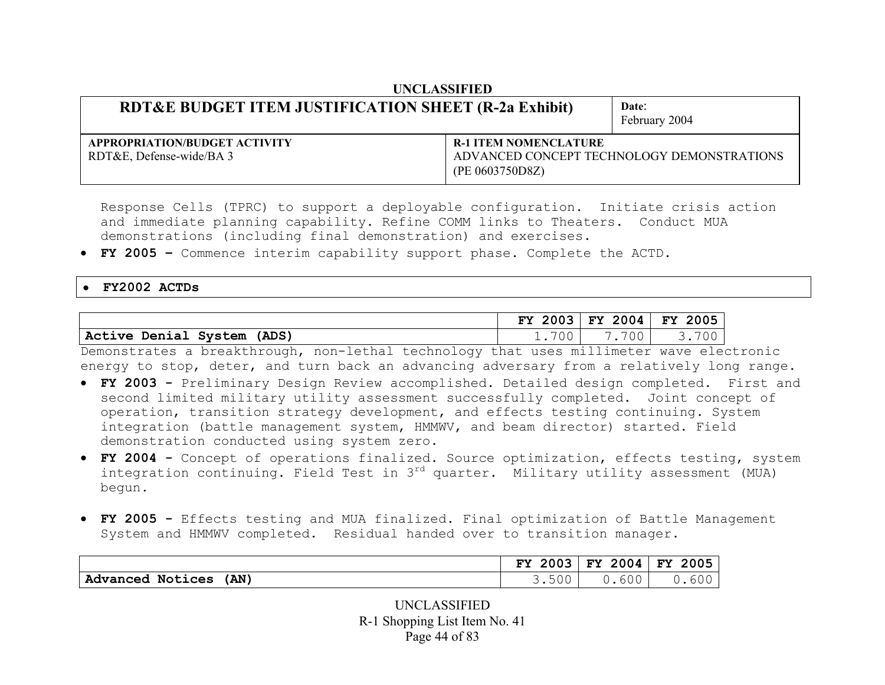| RDT&E BUDGET ITEM JUSTIFICATION SHEET (R-2a Exhibit)             |                                                 | Date:<br>February 2004                     |
|------------------------------------------------------------------|-------------------------------------------------|--------------------------------------------|
| <b>APPROPRIATION/BUDGET ACTIVITY</b><br>RDT&E, Defense-wide/BA 3 | <b>R-1 ITEM NOMENCLATURE</b><br>(PE 0603750D8Z) | ADVANCED CONCEPT TECHNOLOGY DEMONSTRATIONS |

Response Cells (TPRC) to support a deployable configuration. Initiate crisis action and immediate planning capability. Refine COMM links to Theaters. Conduct MUA demonstrations (including final demonstration) and exercises.

• **FY 2005 –** Commence interim capability support phase. Complete the ACTD.

### •**FY2002 ACTDs**

|                            |      | FY 2003 FY 2004 FY 2005 |
|----------------------------|------|-------------------------|
| Active Denial System (ADS) | .700 | 3.700                   |

Demonstrates a breakthrough, non-lethal technology that uses millimeter wave electronic energy to stop, deter, and turn back an advancing adversary from a relatively long range.

- **FY 2003 -** Preliminary Design Review accomplished. Detailed design completed. First and second limited military utility assessment successfully completed. Joint concept of operation, transition strategy development, and effects testing continuing. System integration (battle management system, HMMWV, and beam director) started. Field demonstration conducted using system zero.
- **FY 2004** Concept of operations finalized. Source optimization, effects testing, system integration continuing. Field Test in  $3^{rd}$  quarter. Military utility assessment (MUA) begun.
- **FY 2005** Effects testing and MUA finalized. Final optimization of Battle Management System and HMMWV completed. Residual handed over to transition manager.

|                                 | FY. | $2003$ FY 2004 FY 2005 |     |
|---------------------------------|-----|------------------------|-----|
| <b>Advanced Notices</b><br>(AN) | --  | .600                   | 600 |

UNCLASSIFIED R-1 Shopping List Item No. 41 Page 44 of 83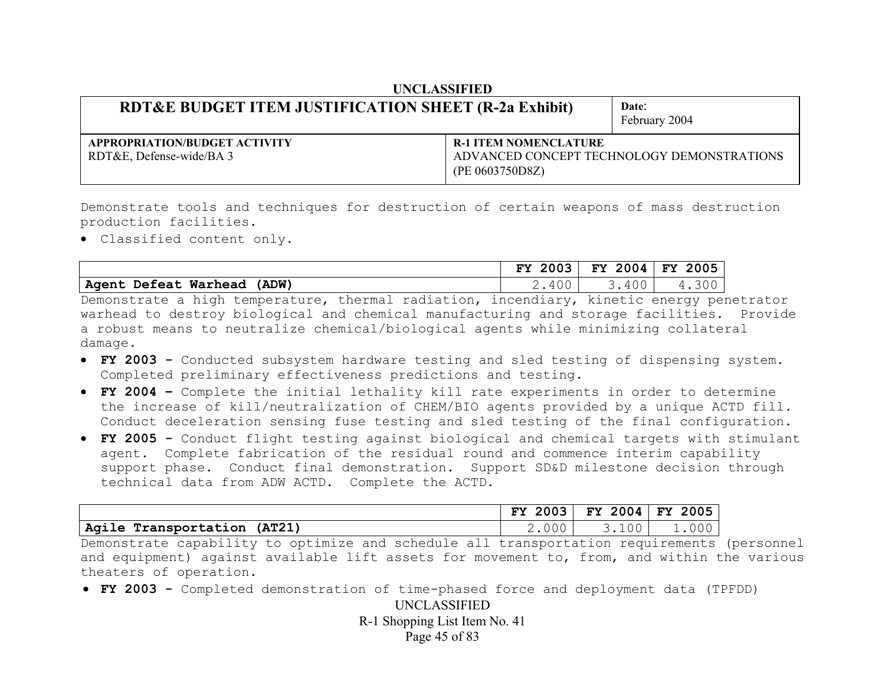| RDT&E BUDGET ITEM JUSTIFICATION SHEET (R-2a Exhibit)      |                                                 | Date:<br>February 2004                     |
|-----------------------------------------------------------|-------------------------------------------------|--------------------------------------------|
| APPROPRIATION/BUDGET ACTIVITY<br>RDT&E, Defense-wide/BA 3 | <b>R-1 ITEM NOMENCLATURE</b><br>(PE 0603750D8Z) | ADVANCED CONCEPT TECHNOLOGY DEMONSTRATIONS |

Demonstrate tools and techniques for destruction of certain weapons of mass destruction production facilities.

• Classified content only.

|                                     | 2003              | 2004      | 2005 |
|-------------------------------------|-------------------|-----------|------|
|                                     | πv                | <b>FY</b> | FY   |
| (ADW)<br>Warhead<br>Defeat<br>Agent | : U U<br><u>.</u> | 740 U     |      |

Demonstrate a high temperature, thermal radiation, incendiary, kinetic energy penetrator warhead to destroy biological and chemical manufacturing and storage facilities. Provide a robust means to neutralize chemical/biological agents while minimizing collateral damage.

- **FY 2003 -** Conducted subsystem hardware testing and sled testing of dispensing system. Completed preliminary effectiveness predictions and testing.
- **FY 2004 –** Complete the initial lethality kill rate experiments in order to determine the increase of kill/neutralization of CHEM/BIO agents provided by a unique ACTD fill. Conduct deceleration sensing fuse testing and sled testing of the final configuration.
- **FY 2005 -** Conduct flight testing against biological and chemical targets with stimulant agent. Complete fabrication of the residual round and commence interim capability support phase. Conduct final demonstration. Support SD&D milestone decision through technical data from ADW ACTD. Complete the ACTD.

|                             | 2003<br>FY. | $FY 2004$ $FY 2005$ |  |
|-----------------------------|-------------|---------------------|--|
| Agile Transportation (AT21) |             |                     |  |

Demonstrate capability to optimize and schedule all transportation requirements (personnel and equipment) against available lift assets for movement to, from, and within the various theaters of operation.

• **FY 2003 -** Completed demonstration of time-phased force and deployment data (TPFDD)

UNCLASSIFIED

R-1 Shopping List Item No. 41 Page 45 of 83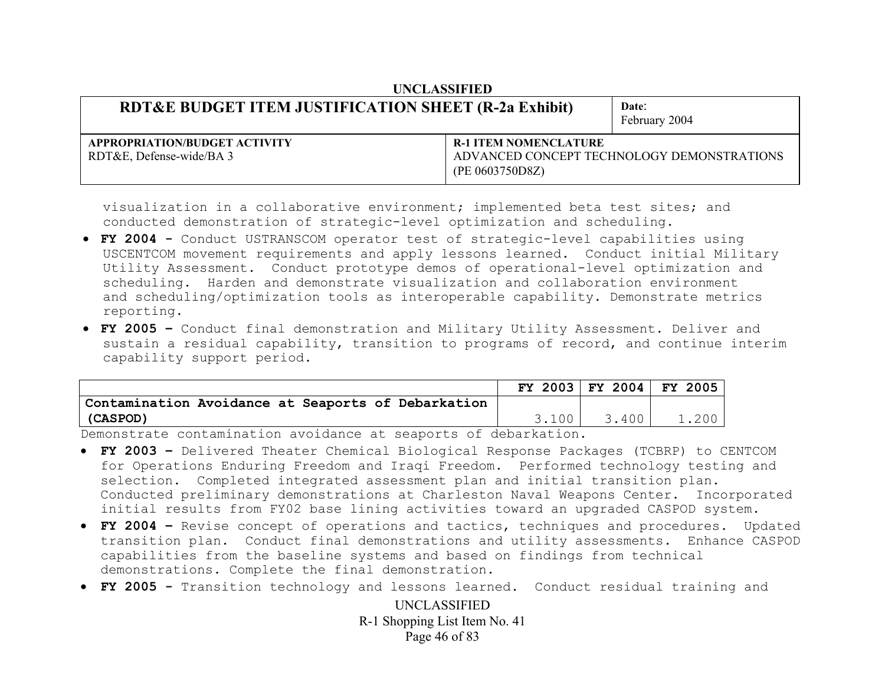| RDT&E BUDGET ITEM JUSTIFICATION SHEET (R-2a Exhibit)      |                                                 | Date:<br>February 2004                     |
|-----------------------------------------------------------|-------------------------------------------------|--------------------------------------------|
| APPROPRIATION/BUDGET ACTIVITY<br>RDT&E, Defense-wide/BA 3 | <b>R-1 ITEM NOMENCLATURE</b><br>(PE 0603750D8Z) | ADVANCED CONCEPT TECHNOLOGY DEMONSTRATIONS |

visualization in a collaborative environment; implemented beta test sites; and conducted demonstration of strategic-level optimization and scheduling.

- **FY 2004 -** Conduct USTRANSCOM operator test of strategic-level capabilities using USCENTCOM movement requirements and apply lessons learned. Conduct initial Military Utility Assessment. Conduct prototype demos of operational-level optimization and scheduling. Harden and demonstrate visualization and collaboration environment and scheduling/optimization tools as interoperable capability. Demonstrate metrics reporting.
- **FY 2005 –** Conduct final demonstration and Military Utility Assessment. Deliver and sustain a residual capability, transition to programs of record, and continue interim capability support period.

|                                                    |       |       | FY 2003 FY 2004 FY 2005 |
|----------------------------------------------------|-------|-------|-------------------------|
| Contamination Avoidance at Seaports of Debarkation |       |       |                         |
| (CASPOD)                                           | 3.100 | 3.400 | 1.200 <sub>1</sub>      |

Demonstrate contamination avoidance at seaports of debarkation.

- **FY 2003 –** Delivered Theater Chemical Biological Response Packages (TCBRP) to CENTCOM for Operations Enduring Freedom and Iraqi Freedom. Performed technology testing and selection. Completed integrated assessment plan and initial transition plan. Conducted preliminary demonstrations at Charleston Naval Weapons Center. Incorporated initial results from FY02 base lining activities toward an upgraded CASPOD system.
- **FY 2004** Revise concept of operations and tactics, techniques and procedures. Updated transition plan. Conduct final demonstrations and utility assessments. Enhance CASPOD capabilities from the baseline systems and based on findings from technical demonstrations. Complete the final demonstration.
- **FY 2005 -** Transition technology and lessons learned. Conduct residual training and

UNCLASSIFIED R-1 Shopping List Item No. 41 Page 46 of 83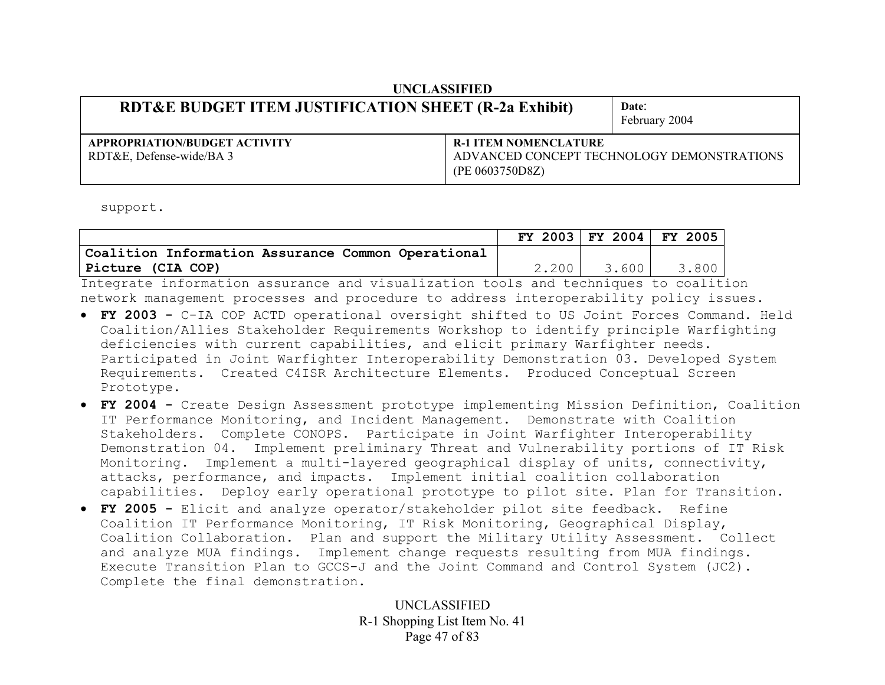| RDT&E BUDGET ITEM JUSTIFICATION SHEET (R-2a Exhibit)             |                                                 | Date:<br>February 2004                     |
|------------------------------------------------------------------|-------------------------------------------------|--------------------------------------------|
| <b>APPROPRIATION/BUDGET ACTIVITY</b><br>RDT&E, Defense-wide/BA 3 | <b>R-1 ITEM NOMENCLATURE</b><br>(PE 0603750D8Z) | ADVANCED CONCEPT TECHNOLOGY DEMONSTRATIONS |

support.

|                                                    |       |       | $FY$ 2003 FY 2004 FY 2005 |
|----------------------------------------------------|-------|-------|---------------------------|
| Coalition Information Assurance Common Operational |       |       |                           |
| Picture (CIA COP)                                  | 2,200 | 3.600 | 3.800                     |

Integrate information assurance and visualization tools and techniques to coalition network management processes and procedure to address interoperability policy issues.

- **FY 2003 -** C-IA COP ACTD operational oversight shifted to US Joint Forces Command. Held Coalition/Allies Stakeholder Requirements Workshop to identify principle Warfighting deficiencies with current capabilities, and elicit primary Warfighter needs. Participated in Joint Warfighter Interoperability Demonstration 03. Developed System Requirements. Created C4ISR Architecture Elements. Produced Conceptual Screen Prototype.
- **FY 2004** Create Design Assessment prototype implementing Mission Definition, Coalition IT Performance Monitoring, and Incident Management. Demonstrate with Coalition Stakeholders. Complete CONOPS. Participate in Joint Warfighter Interoperability Demonstration 04. Implement preliminary Threat and Vulnerability portions of IT Risk Monitoring. Implement a multi-layered geographical display of units, connectivity, attacks, performance, and impacts. Implement initial coalition collaboration capabilities. Deploy early operational prototype to pilot site. Plan for Transition.
- **FY 2005 -** Elicit and analyze operator/stakeholder pilot site feedback. Refine Coalition IT Performance Monitoring, IT Risk Monitoring, Geographical Display, Coalition Collaboration. Plan and support the Military Utility Assessment. Collect and analyze MUA findings. Implement change requests resulting from MUA findings. Execute Transition Plan to GCCS-J and the Joint Command and Control System (JC2). Complete the final demonstration.

UNCLASSIFIED R-1 Shopping List Item No. 41 Page 47 of 83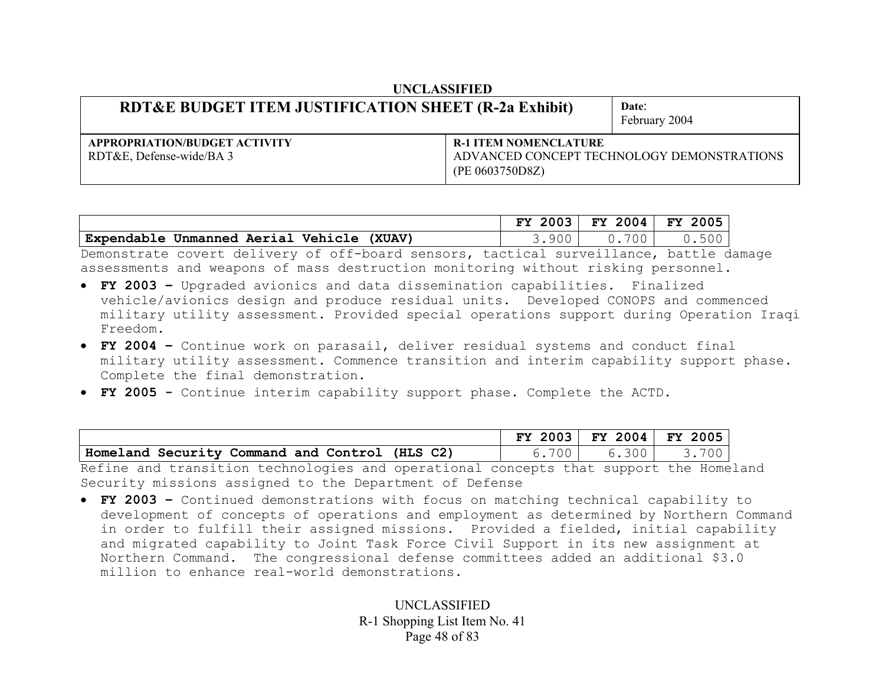| RDT&E BUDGET ITEM JUSTIFICATION SHEET (R-2a Exhibit)      |                                                 | Date:<br>February 2004                     |
|-----------------------------------------------------------|-------------------------------------------------|--------------------------------------------|
| APPROPRIATION/BUDGET ACTIVITY<br>RDT&E, Defense-wide/BA 3 | <b>R-1 ITEM NOMENCLATURE</b><br>(PE 0603750D8Z) | ADVANCED CONCEPT TECHNOLOGY DEMONSTRATIONS |

|                                                       | 2003          | 2004                 | 2005 |
|-------------------------------------------------------|---------------|----------------------|------|
|                                                       | πv            | πv                   | πY   |
| (XUAV)<br>Vehicle<br>Unmanned<br>Expendable<br>Aerial | . J<br>$\cup$ | $\sim$ $\sim$<br>UU. |      |

Demonstrate covert delivery of off-board sensors, tactical surveillance, battle damage assessments and weapons of mass destruction monitoring without risking personnel.

- **FY 2003** Upgraded avionics and data dissemination capabilities. Finalized vehicle/avionics design and produce residual units. Developed CONOPS and commenced military utility assessment. Provided special operations support during Operation Iraqi Freedom.
- **FY 2004** Continue work on parasail, deliver residual systems and conduct final military utility assessment. Commence transition and interim capability support phase. Complete the final demonstration.
- **FY 2005** Continue interim capability support phase. Complete the ACTD.

|                                                | FY 2003 | $FY$ 2004 $FY$ 2005 |
|------------------------------------------------|---------|---------------------|
| Homeland Security Command and Control (HLS C2) |         | 700                 |

Refine and transition technologies and operational concepts that support the Homeland Security missions assigned to the Department of Defense

• **FY 2003 –** Continued demonstrations with focus on matching technical capability to development of concepts of operations and employment as determined by Northern Command in order to fulfill their assigned missions. Provided a fielded, initial capability and migrated capability to Joint Task Force Civil Support in its new assignment at Northern Command. The congressional defense committees added an additional \$3.0 million to enhance real-world demonstrations.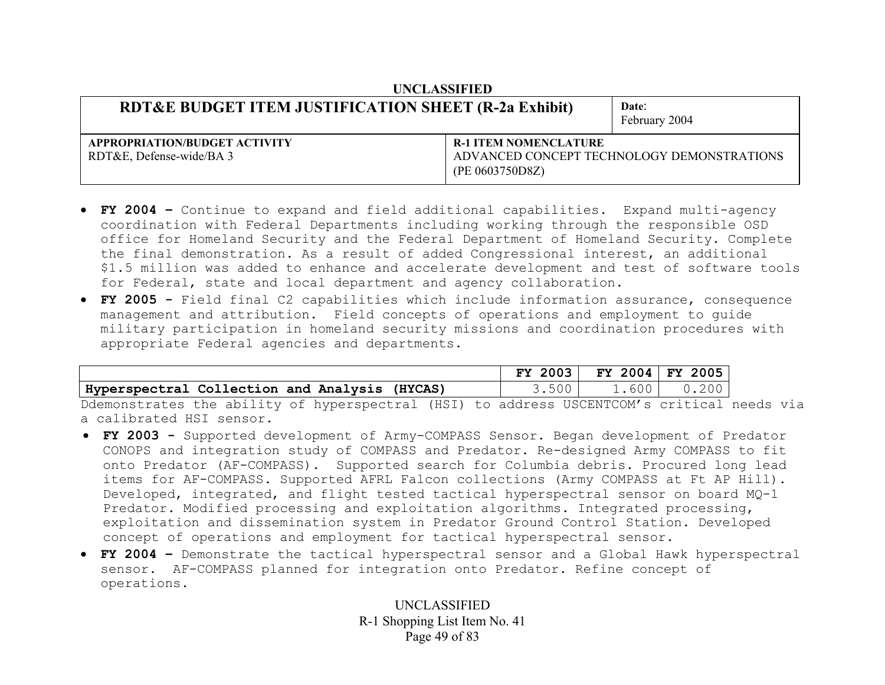| RDT&E BUDGET ITEM JUSTIFICATION SHEET (R-2a Exhibit)      |                                                 | Date:<br>February 2004                     |
|-----------------------------------------------------------|-------------------------------------------------|--------------------------------------------|
| APPROPRIATION/BUDGET ACTIVITY<br>RDT&E, Defense-wide/BA 3 | <b>R-1 ITEM NOMENCLATURE</b><br>(PE 0603750D8Z) | ADVANCED CONCEPT TECHNOLOGY DEMONSTRATIONS |

- **FY 2004 –** Continue to expand and field additional capabilities. Expand multi-agency coordination with Federal Departments including working through the responsible OSD office for Homeland Security and the Federal Department of Homeland Security. Complete the final demonstration. As a result of added Congressional interest, an additional \$1.5 million was added to enhance and accelerate development and test of software tools for Federal, state and local department and agency collaboration.
- **FY 2005** Field final C2 capabilities which include information assurance, consequence management and attribution. Field concepts of operations and employment to guide military participation in homeland security missions and coordination procedures with appropriate Federal agencies and departments.

|                                               | $FY$ 2003 | FY 2004 FY 2005 |  |
|-----------------------------------------------|-----------|-----------------|--|
| Hyperspectral Collection and Analysis (HYCAS) | 500       | .600            |  |

Ddemonstrates the ability of hyperspectral (HSI) to address USCENTCOM's critical needs via a calibrated HSI sensor.

- **FY 2003** Supported development of Army-COMPASS Sensor. Began development of Predator CONOPS and integration study of COMPASS and Predator. Re-designed Army COMPASS to fit onto Predator (AF-COMPASS). Supported search for Columbia debris. Procured long lead items for AF-COMPASS. Supported AFRL Falcon collections (Army COMPASS at Ft AP Hill). Developed, integrated, and flight tested tactical hyperspectral sensor on board MQ-1 Predator. Modified processing and exploitation algorithms. Integrated processing, exploitation and dissemination system in Predator Ground Control Station. Developed concept of operations and employment for tactical hyperspectral sensor.
- **FY 2004 –** Demonstrate the tactical hyperspectral sensor and a Global Hawk hyperspectral sensor. AF-COMPASS planned for integration onto Predator. Refine concept of operations.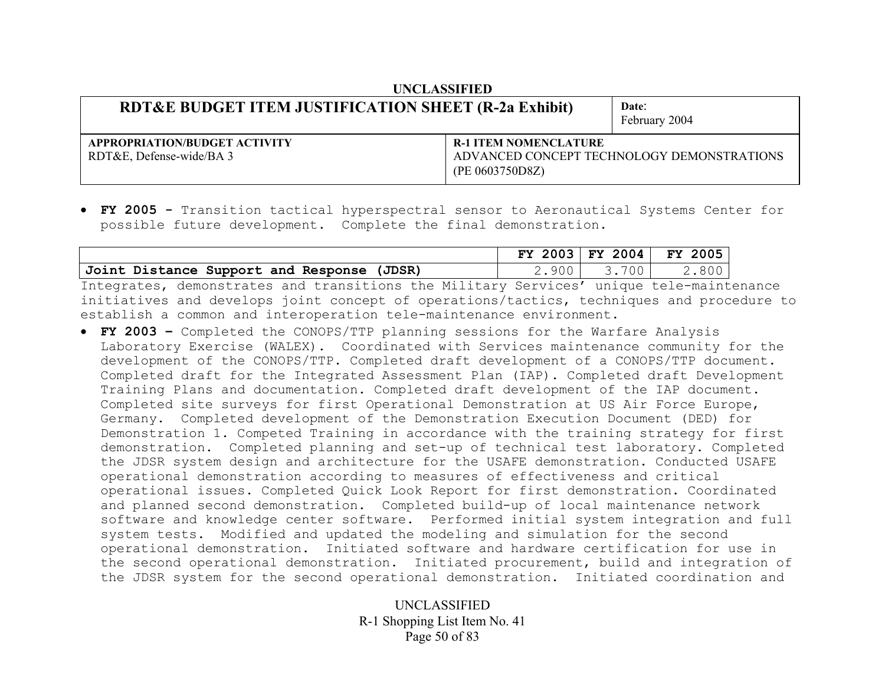| RDT&E BUDGET ITEM JUSTIFICATION SHEET (R-2a Exhibit)      |                                                 | Date:<br>February 2004                     |
|-----------------------------------------------------------|-------------------------------------------------|--------------------------------------------|
| APPROPRIATION/BUDGET ACTIVITY<br>RDT&E, Defense-wide/BA 3 | <b>R-1 ITEM NOMENCLATURE</b><br>(PE 0603750D8Z) | ADVANCED CONCEPT TECHNOLOGY DEMONSTRATIONS |

• **FY 2005 -** Transition tactical hyperspectral sensor to Aeronautical Systems Center for possible future development. Complete the final demonstration.

|                                            |       | $FY$ 2003 FY 2004 | <b>FY 2005</b> |
|--------------------------------------------|-------|-------------------|----------------|
| Joint Distance Support and Response (JDSR) | 900 I | 700 <sub>1</sub>  | .800           |

Integrates, demonstrates and transitions the Military Services' unique tele-maintenance initiatives and develops joint concept of operations/tactics, techniques and procedure to establish a common and interoperation tele-maintenance environment.

• **FY 2003 –** Completed the CONOPS/TTP planning sessions for the Warfare Analysis Laboratory Exercise (WALEX). Coordinated with Services maintenance community for the development of the CONOPS/TTP. Completed draft development of a CONOPS/TTP document. Completed draft for the Integrated Assessment Plan (IAP). Completed draft Development Training Plans and documentation. Completed draft development of the IAP document. Completed site surveys for first Operational Demonstration at US Air Force Europe, Germany. Completed development of the Demonstration Execution Document (DED) for Demonstration 1. Competed Training in accordance with the training strategy for first demonstration. Completed planning and set-up of technical test laboratory. Completed the JDSR system design and architecture for the USAFE demonstration. Conducted USAFE operational demonstration according to measures of effectiveness and critical operational issues. Completed Quick Look Report for first demonstration. Coordinated and planned second demonstration. Completed build-up of local maintenance network software and knowledge center software. Performed initial system integration and full system tests. Modified and updated the modeling and simulation for the second operational demonstration. Initiated software and hardware certification for use in the second operational demonstration. Initiated procurement, build and integration of the JDSR system for the second operational demonstration. Initiated coordination and

> UNCLASSIFIED R-1 Shopping List Item No. 41 Page 50 of 83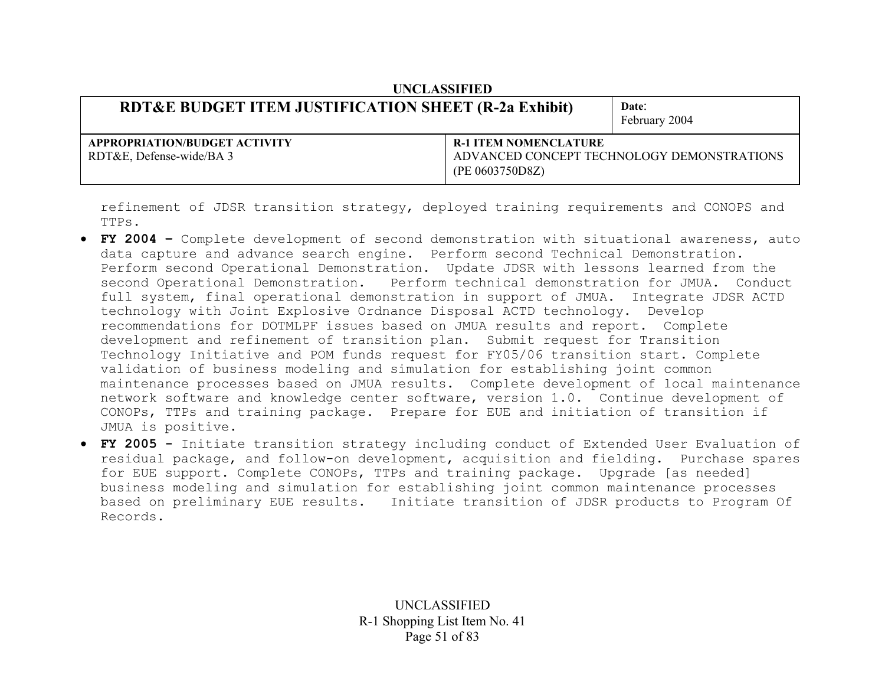| RDT&E BUDGET ITEM JUSTIFICATION SHEET (R-2a Exhibit)             |                                                 | Date:<br>February 2004                     |
|------------------------------------------------------------------|-------------------------------------------------|--------------------------------------------|
| <b>APPROPRIATION/BUDGET ACTIVITY</b><br>RDT&E, Defense-wide/BA 3 | <b>R-1 ITEM NOMENCLATURE</b><br>(PE 0603750D8Z) | ADVANCED CONCEPT TECHNOLOGY DEMONSTRATIONS |

refinement of JDSR transition strategy, deployed training requirements and CONOPS and TTPs.

- **FY 2004** Complete development of second demonstration with situational awareness, auto data capture and advance search engine. Perform second Technical Demonstration. Perform second Operational Demonstration. Update JDSR with lessons learned from the second Operational Demonstration. Perform technical demonstration for JMUA. Conduct full system, final operational demonstration in support of JMUA. Integrate JDSR ACTD technology with Joint Explosive Ordnance Disposal ACTD technology. Develop recommendations for DOTMLPF issues based on JMUA results and report. Complete development and refinement of transition plan. Submit request for Transition Technology Initiative and POM funds request for FY05/06 transition start. Complete validation of business modeling and simulation for establishing joint common maintenance processes based on JMUA results. Complete development of local maintenance network software and knowledge center software, version 1.0. Continue development of CONOPs, TTPs and training package. Prepare for EUE and initiation of transition if JMUA is positive.
- **FY 2005** Initiate transition strategy including conduct of Extended User Evaluation of residual package, and follow-on development, acquisition and fielding. Purchase spares for EUE support. Complete CONOPs, TTPs and training package. Upgrade [as needed] business modeling and simulation for establishing joint common maintenance processes based on preliminary EUE results. Initiate transition of JDSR products to Program Of Records.

UNCLASSIFIED R-1 Shopping List Item No. 41 Page 51 of 83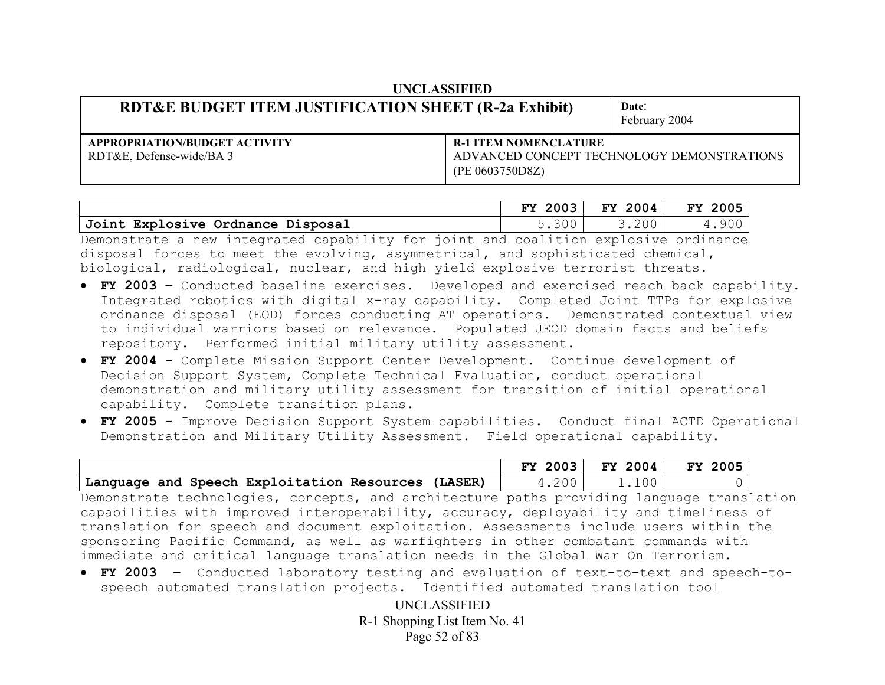| RDT&E BUDGET ITEM JUSTIFICATION SHEET (R-2a Exhibit)             |                                                 | Date:<br>February 2004                     |
|------------------------------------------------------------------|-------------------------------------------------|--------------------------------------------|
| <b>APPROPRIATION/BUDGET ACTIVITY</b><br>RDT&E, Defense-wide/BA 3 | <b>R-1 ITEM NOMENCLATURE</b><br>(PE 0603750D8Z) | ADVANCED CONCEPT TECHNOLOGY DEMONSTRATIONS |

|                                   | 2003<br>FY    | <b>FY 2004</b> | FY 2005 |
|-----------------------------------|---------------|----------------|---------|
| Joint Explosive Ordnance Disposal | $\cap$ $\cap$ | $200 -$        | . 900   |
|                                   |               |                |         |

Demonstrate a new integrated capability for joint and coalition explosive ordinance disposal forces to meet the evolving, asymmetrical, and sophisticated chemical, biological, radiological, nuclear, and high yield explosive terrorist threats.

- **FY 2003 –** Conducted baseline exercises. Developed and exercised reach back capability. Integrated robotics with digital x-ray capability. Completed Joint TTPs for explosive ordnance disposal (EOD) forces conducting AT operations. Demonstrated contextual view to individual warriors based on relevance. Populated JEOD domain facts and beliefs repository. Performed initial military utility assessment.
- **FY 2004 -** Complete Mission Support Center Development. Continue development of Decision Support System, Complete Technical Evaluation, conduct operational demonstration and military utility assessment for transition of initial operational capability. Complete transition plans.
- **FY 2005** Improve Decision Support System capabilities. Conduct final ACTD Operational Demonstration and Military Utility Assessment. Field operational capability.

|                                                    |       | $FY$ 2003   $FY$ 2004 | <b>FY 2005  </b> |
|----------------------------------------------------|-------|-----------------------|------------------|
| Language and Speech Exploitation Resources (LASER) | 4.200 | 1.100                 |                  |

Demonstrate technologies, concepts, and architecture paths providing language translation capabilities with improved interoperability, accuracy, deployability and timeliness of translation for speech and document exploitation. Assessments include users within the sponsoring Pacific Command, as well as warfighters in other combatant commands with immediate and critical language translation needs in the Global War On Terrorism.

• **FY 2003 –** Conducted laboratory testing and evaluation of text-to-text and speech-tospeech automated translation projects. Identified automated translation tool

> UNCLASSIFIED R-1 Shopping List Item No. 41 Page 52 of 83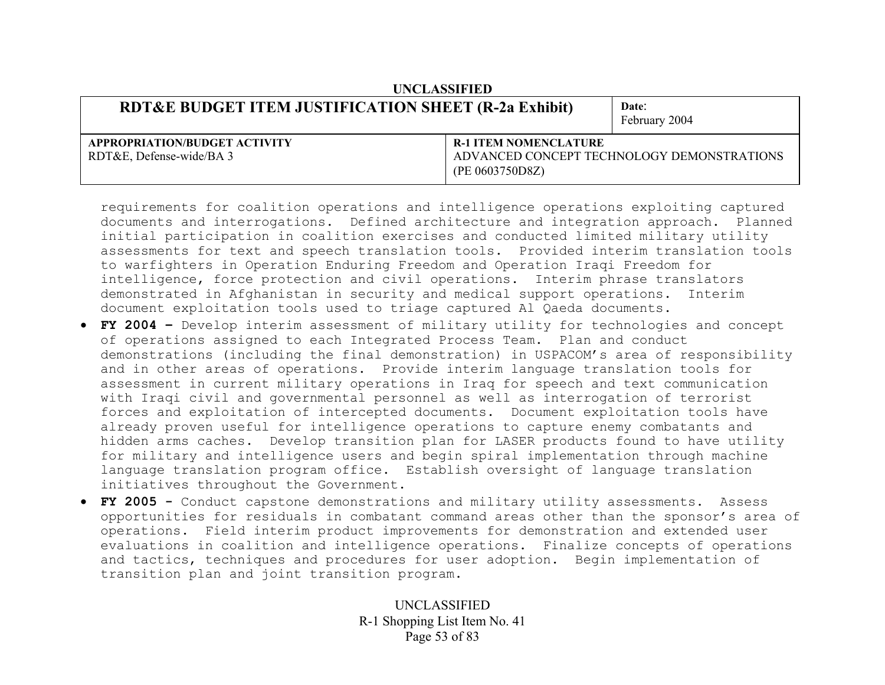| RDT&E BUDGET ITEM JUSTIFICATION SHEET (R-2a Exhibit)      |                                                 | Date:<br>February 2004                     |  |
|-----------------------------------------------------------|-------------------------------------------------|--------------------------------------------|--|
| APPROPRIATION/BUDGET ACTIVITY<br>RDT&E, Defense-wide/BA 3 | <b>R-1 ITEM NOMENCLATURE</b><br>(PE 0603750D8Z) | ADVANCED CONCEPT TECHNOLOGY DEMONSTRATIONS |  |

requirements for coalition operations and intelligence operations exploiting captured documents and interrogations. Defined architecture and integration approach. Planned initial participation in coalition exercises and conducted limited military utility assessments for text and speech translation tools. Provided interim translation tools to warfighters in Operation Enduring Freedom and Operation Iraqi Freedom for intelligence, force protection and civil operations. Interim phrase translators demonstrated in Afghanistan in security and medical support operations. Interim document exploitation tools used to triage captured Al Qaeda documents.

- **FY 2004 –** Develop interim assessment of military utility for technologies and concept of operations assigned to each Integrated Process Team. Plan and conduct demonstrations (including the final demonstration) in USPACOM's area of responsibility and in other areas of operations. Provide interim language translation tools for assessment in current military operations in Iraq for speech and text communication with Iraqi civil and governmental personnel as well as interrogation of terrorist forces and exploitation of intercepted documents. Document exploitation tools have already proven useful for intelligence operations to capture enemy combatants and hidden arms caches. Develop transition plan for LASER products found to have utility for military and intelligence users and begin spiral implementation through machine language translation program office. Establish oversight of language translation initiatives throughout the Government.
- **FY 2005 -** Conduct capstone demonstrations and military utility assessments. Assess opportunities for residuals in combatant command areas other than the sponsor's area of operations. Field interim product improvements for demonstration and extended user evaluations in coalition and intelligence operations. Finalize concepts of operations and tactics, techniques and procedures for user adoption. Begin implementation of transition plan and joint transition program.

UNCLASSIFIED R-1 Shopping List Item No. 41 Page 53 of 83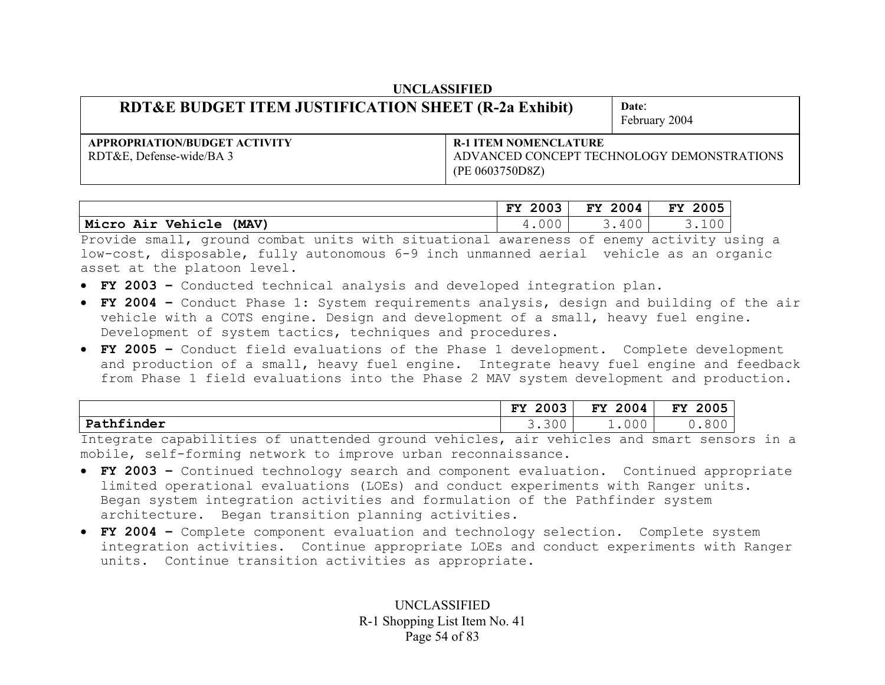| RDT&E BUDGET ITEM JUSTIFICATION SHEET (R-2a Exhibit)      |                                                 | Date:<br>February 2004                     |
|-----------------------------------------------------------|-------------------------------------------------|--------------------------------------------|
| APPROPRIATION/BUDGET ACTIVITY<br>RDT&E, Defense-wide/BA 3 | <b>R-1 ITEM NOMENCLATURE</b><br>(PE 0603750D8Z) | ADVANCED CONCEPT TECHNOLOGY DEMONSTRATIONS |

|                   | 2003               | 2004       | 2005 |
|-------------------|--------------------|------------|------|
|                   | FY                 | <b>FY</b>  | πY   |
| Micro Air Vehicle | $\sim$ $\sim$      | $\sqrt{2}$ | 100  |
| (MAV)             | $\overline{1.000}$ | 4 U U      |      |
|                   |                    |            |      |

Provide small, ground combat units with situational awareness of enemy activity using a low-cost, disposable, fully autonomous 6-9 inch unmanned aerial vehicle as an organic asset at the platoon level.

- **FY 2003 –** Conducted technical analysis and developed integration plan.
- **FY 2004** Conduct Phase 1: System requirements analysis, design and building of the air vehicle with a COTS engine. Design and development of a small, heavy fuel engine. Development of system tactics, techniques and procedures.
- **FY 2005** Conduct field evaluations of the Phase 1 development. Complete development and production of a small, heavy fuel engine. Integrate heavy fuel engine and feedback from Phase 1 field evaluations into the Phase 2 MAV system development and production.

|                                                    |   |        |      |                | 2003<br>πv<br>-                                          |   | 2004<br>πv               | 2005<br>FY    |
|----------------------------------------------------|---|--------|------|----------------|----------------------------------------------------------|---|--------------------------|---------------|
| $\sim$ $\cdot$<br>D <sub>2</sub><br>thfinder<br>ra |   |        |      |                | $\cap$ $\cap$ $\cap$<br>$\overline{\phantom{0}}$<br>---- |   | $\sim$ $\sim$<br>. v v v | $\sim$<br>ノママ |
|                                                    | . | $\sim$ | ____ | __<br>.<br>___ |                                                          | . | __                       |               |

Integrate capabilities of unattended ground vehicles, air vehicles and smart sensors in a mobile, self-forming network to improve urban reconnaissance.

- **FY 2003 –** Continued technology search and component evaluation. Continued appropriate limited operational evaluations (LOEs) and conduct experiments with Ranger units. Began system integration activities and formulation of the Pathfinder system architecture. Began transition planning activities.
- **FY 2004 –** Complete component evaluation and technology selection. Complete system integration activities. Continue appropriate LOEs and conduct experiments with Ranger units. Continue transition activities as appropriate.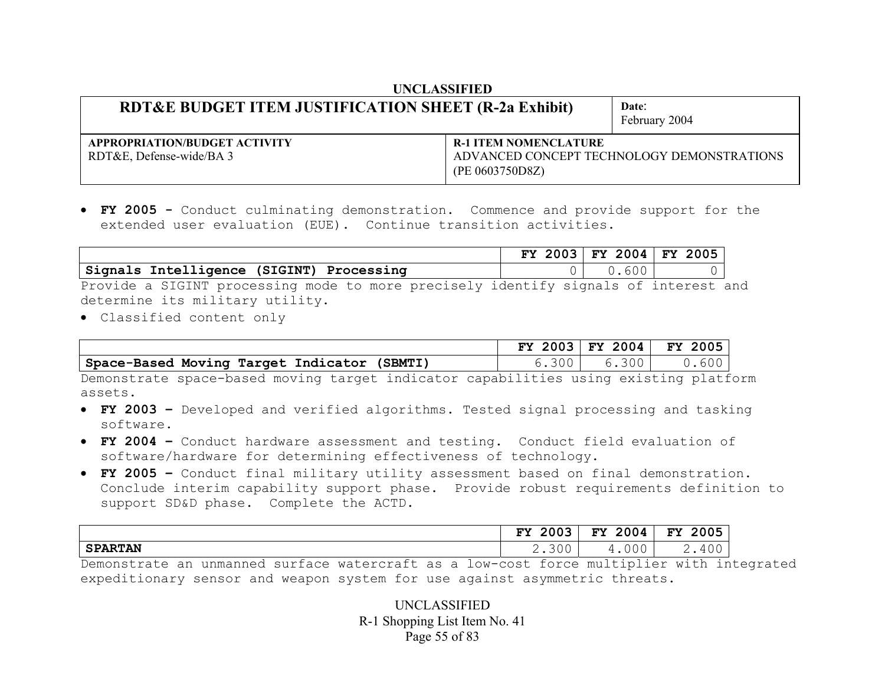| RDT&E BUDGET ITEM JUSTIFICATION SHEET (R-2a Exhibit)             |                                                 | Date:<br>February 2004                     |
|------------------------------------------------------------------|-------------------------------------------------|--------------------------------------------|
| <b>APPROPRIATION/BUDGET ACTIVITY</b><br>RDT&E, Defense-wide/BA 3 | <b>R-1 ITEM NOMENCLATURE</b><br>(PE 0603750D8Z) | ADVANCED CONCEPT TECHNOLOGY DEMONSTRATIONS |

• **FY 2005 -** Conduct culminating demonstration. Commence and provide support for the extended user evaluation (EUE). Continue transition activities.

|                                          | πY | 2003 FY 2004 | FY.<br>2005 |
|------------------------------------------|----|--------------|-------------|
| Signals Intelligence (SIGINT) Processing |    |              |             |

Provide a SIGINT processing mode to more precisely identify signals of interest and determine its military utility.

• Classified content only

|                                             | $FY$ 2003 | FY 2004 | FY 2005 |
|---------------------------------------------|-----------|---------|---------|
| Space-Based Moving Target Indicator (SBMTI) |           |         |         |

Demonstrate space-based moving target indicator capabilities using existing platform assets.

- **FY 2003 –** Developed and verified algorithms. Tested signal processing and tasking software.
- **FY 2004 –** Conduct hardware assessment and testing. Conduct field evaluation of software/hardware for determining effectiveness of technology.
- **FY 2005 –** Conduct final military utility assessment based on final demonstration. Conclude interim capability support phase. Provide robust requirements definition to support SD&D phase. Complete the ACTD.

|                                                                                                                                                | 0.002<br>πv<br>zuu<br>. .   | 2004<br>πY           | 2005<br>πY           |
|------------------------------------------------------------------------------------------------------------------------------------------------|-----------------------------|----------------------|----------------------|
| <b>ARTAN</b> :<br>C.D<br>ъr<br>the contract of the contract of the contract of the contract of the contract of the contract of the contract of | $\cap$ $\cap$<br>⌒<br>2.JUV | $\sim$<br>↵<br>v v v | $\sim$<br>_<br>: v v |

Demonstrate an unmanned surface watercraft as a low-cost force multiplier with integrated expeditionary sensor and weapon system for use against asymmetric threats.

> UNCLASSIFIED R-1 Shopping List Item No. 41 Page 55 of 83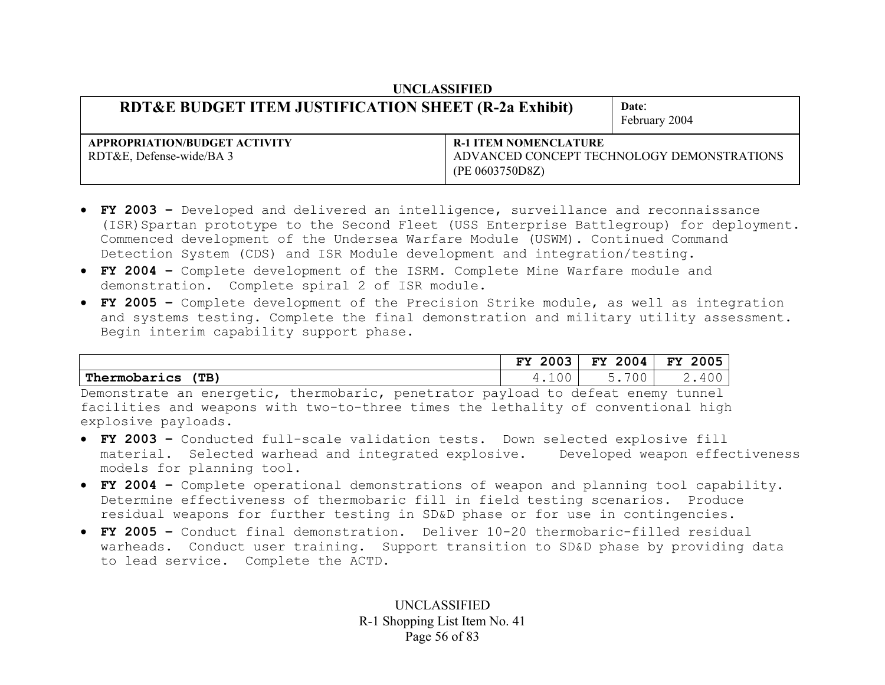| RDT&E BUDGET ITEM JUSTIFICATION SHEET (R-2a Exhibit)      |                                                 | Date:<br>February 2004                     |
|-----------------------------------------------------------|-------------------------------------------------|--------------------------------------------|
| APPROPRIATION/BUDGET ACTIVITY<br>RDT&E, Defense-wide/BA 3 | <b>R-1 ITEM NOMENCLATURE</b><br>(PE 0603750D8Z) | ADVANCED CONCEPT TECHNOLOGY DEMONSTRATIONS |

- **FY 2003 –** Developed and delivered an intelligence, surveillance and reconnaissance (ISR) Spartan prototype to the Second Fleet (USS Enterprise Battlegroup) for deployment. Commenced development of the Undersea Warfare Module (USWM). Continued Command Detection System (CDS) and ISR Module development and integration/testing.
- **FY 2004 –** Complete development of the ISRM. Complete Mine Warfare module and demonstration. Complete spiral 2 of ISR module.
- **FY 2005 –** Complete development of the Precision Strike module, as well as integration and systems testing. Complete the final demonstration and military utility assessment. Begin interim capability support phase.

|                            | 0000<br><b>TILE</b><br>ZUU-<br>-- | ٣V<br>2004<br>. .  | FY<br>$\mathbf{a} \mathbf{a} \mathbf{a} \mathbf{b}$<br>2005 |
|----------------------------|-----------------------------------|--------------------|-------------------------------------------------------------|
| (TB)<br>The.<br>ermobarics | ∽<br>ᠴ.⊥∪◡                        | $\sqrt{2}$<br>ノロレー | $\sim$<br>$\rightarrow$<br>↴◡<br><u>.</u> .                 |

Demonstrate an energetic, thermobaric, penetrator payload to defeat enemy tunnel facilities and weapons with two-to-three times the lethality of conventional high explosive payloads.

- **FY 2003 –** Conducted full-scale validation tests. Down selected explosive fill material. Selected warhead and integrated explosive. Developed weapon effectiveness models for planning tool.
- **FY 2004 –** Complete operational demonstrations of weapon and planning tool capability. Determine effectiveness of thermobaric fill in field testing scenarios. Produce residual weapons for further testing in SD&D phase or for use in contingencies.
- **FY 2005 –** Conduct final demonstration. Deliver 10-20 thermobaric-filled residual warheads. Conduct user training. Support transition to SD&D phase by providing data to lead service. Complete the ACTD.

UNCLASSIFIED R-1 Shopping List Item No. 41 Page 56 of 83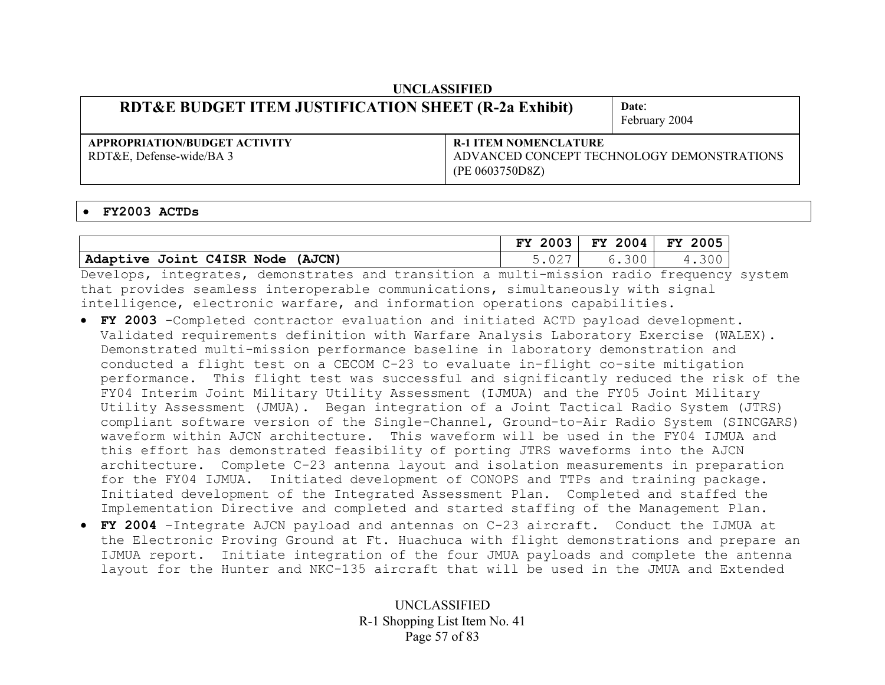| $\mathbf{u}$                                              |                                                 |                                            |  |
|-----------------------------------------------------------|-------------------------------------------------|--------------------------------------------|--|
| RDT&E BUDGET ITEM JUSTIFICATION SHEET (R-2a Exhibit)      |                                                 | Date:<br>February 2004                     |  |
| APPROPRIATION/BUDGET ACTIVITY<br>RDT&E, Defense-wide/BA 3 | <b>R-1 ITEM NOMENCLATURE</b><br>(PE 0603750D8Z) | ADVANCED CONCEPT TECHNOLOGY DEMONSTRATIONS |  |

### **FY2003 ACTDs**

|                                  | 2003 <sub>1</sub><br>FY. | FY 2004 | 2005<br>FY |
|----------------------------------|--------------------------|---------|------------|
| Adaptive Joint C4ISR Node (AJCN) |                          |         | .300       |
|                                  |                          |         |            |

Develops, integrates, demonstrates and transition a multi-mission radio frequency system that provides seamless interoperable communications, simultaneously with signal intelligence, electronic warfare, and information operations capabilities.

- **FY 2003** -Completed contractor evaluation and initiated ACTD payload development. Validated requirements definition with Warfare Analysis Laboratory Exercise (WALEX). Demonstrated multi-mission performance baseline in laboratory demonstration and conducted a flight test on a CECOM C-23 to evaluate in-flight co-site mitigation performance. This flight test was successful and significantly reduced the risk of the FY04 Interim Joint Military Utility Assessment (IJMUA) and the FY05 Joint Military Utility Assessment (JMUA). Began integration of a Joint Tactical Radio System (JTRS) compliant software version of the Single-Channel, Ground-to-Air Radio System (SINCGARS) waveform within AJCN architecture. This waveform will be used in the FY04 IJMUA and this effort has demonstrated feasibility of porting JTRS waveforms into the AJCN architecture. Complete C-23 antenna layout and isolation measurements in preparation for the FY04 IJMUA. Initiated development of CONOPS and TTPs and training package. Initiated development of the Integrated Assessment Plan. Completed and staffed the Implementation Directive and completed and started staffing of the Management Plan.
- **FY 2004** –Integrate AJCN payload and antennas on C-23 aircraft. Conduct the IJMUA at the Electronic Proving Ground at Ft. Huachuca with flight demonstrations and prepare an IJMUA report. Initiate integration of the four JMUA payloads and complete the antenna layout for the Hunter and NKC-135 aircraft that will be used in the JMUA and Extended

UNCLASSIFIED R-1 Shopping List Item No. 41 Page 57 of 83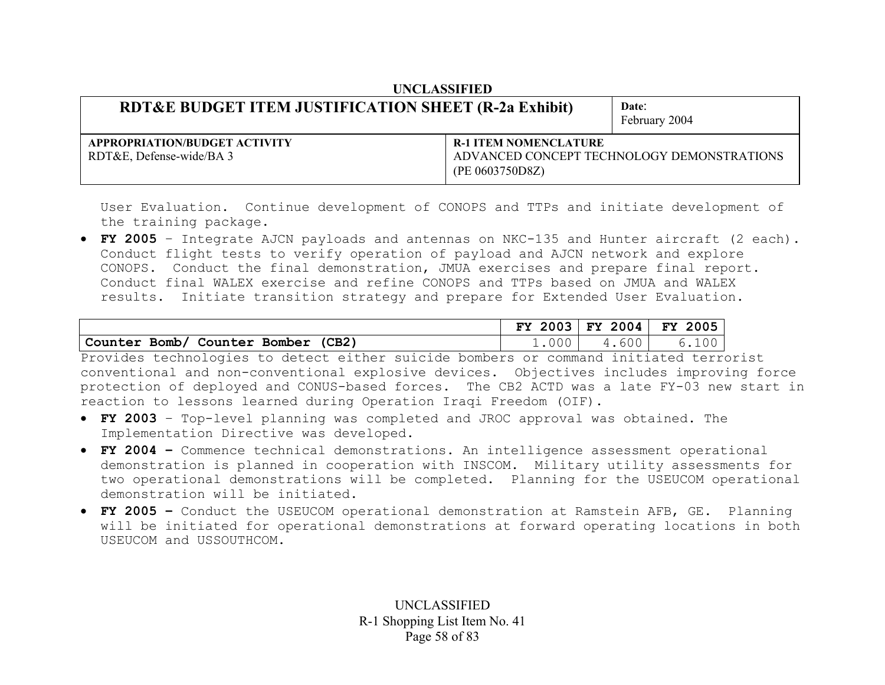| RDT&E BUDGET ITEM JUSTIFICATION SHEET (R-2a Exhibit)      |                                                 | Date:<br>February 2004                     |
|-----------------------------------------------------------|-------------------------------------------------|--------------------------------------------|
| APPROPRIATION/BUDGET ACTIVITY<br>RDT&E, Defense-wide/BA 3 | <b>R-1 ITEM NOMENCLATURE</b><br>(PE 0603750D8Z) | ADVANCED CONCEPT TECHNOLOGY DEMONSTRATIONS |

User Evaluation. Continue development of CONOPS and TTPs and initiate development of the training package.

• **FY 2005** – Integrate AJCN payloads and antennas on NKC-135 and Hunter aircraft (2 each). Conduct flight tests to verify operation of payload and AJCN network and explore CONOPS. Conduct the final demonstration, JMUA exercises and prepare final report. Conduct final WALEX exercise and refine CONOPS and TTPs based on JMUA and WALEX results. Initiate transition strategy and prepare for Extended User Evaluation.

|                                       | $2003 +$<br>FY. | FY 2004 | <b>FY 2005</b> |
|---------------------------------------|-----------------|---------|----------------|
| Bomb/ Counter Bomber (CB2)<br>Counter |                 | 600     |                |

Provides technologies to detect either suicide bombers or command initiated terrorist conventional and non-conventional explosive devices. Objectives includes improving force protection of deployed and CONUS-based forces. The CB2 ACTD was a late FY-03 new start in reaction to lessons learned during Operation Iraqi Freedom (OIF).

- **FY 2003** Top-level planning was completed and JROC approval was obtained. The Implementation Directive was developed.
- **FY 2004** Commence technical demonstrations. An intelligence assessment operational demonstration is planned in cooperation with INSCOM. Military utility assessments for two operational demonstrations will be completed. Planning for the USEUCOM operational demonstration will be initiated.
- **FY 2005 –** Conduct the USEUCOM operational demonstration at Ramstein AFB, GE. Planning will be initiated for operational demonstrations at forward operating locations in both USEUCOM and USSOUTHCOM.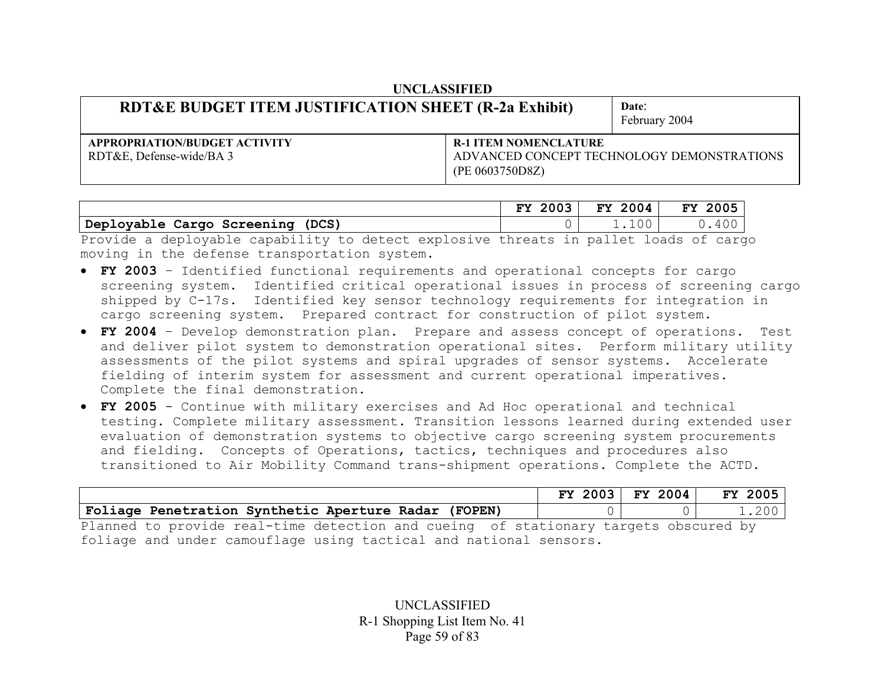| RDT&E BUDGET ITEM JUSTIFICATION SHEET (R-2a Exhibit)             |                                                 | Date:<br>February 2004                     |
|------------------------------------------------------------------|-------------------------------------------------|--------------------------------------------|
| <b>APPROPRIATION/BUDGET ACTIVITY</b><br>RDT&E, Defense-wide/BA 3 | <b>R-1 ITEM NOMENCLATURE</b><br>(PE 0603750D8Z) | ADVANCED CONCEPT TECHNOLOGY DEMONSTRATIONS |

|                                        | 2003<br>᠊ᠣᢦ | 2004<br><b>FY</b> | 2005<br><b>FY</b> |
|----------------------------------------|-------------|-------------------|-------------------|
| Deployable Cargo<br>(DCS)<br>Screening |             |                   | せいい               |
| .<br>$\overline{\phantom{a}}$          |             |                   |                   |

Provide a deployable capability to detect explosive threats in pallet loads of cargo moving in the defense transportation system.

- **FY 2003** Identified functional requirements and operational concepts for cargo screening system. Identified critical operational issues in process of screening cargo shipped by C-17s. Identified key sensor technology requirements for integration in cargo screening system. Prepared contract for construction of pilot system.
- **FY 2004** Develop demonstration plan. Prepare and assess concept of operations. Test and deliver pilot system to demonstration operational sites. Perform military utility assessments of the pilot systems and spiral upgrades of sensor systems. Accelerate fielding of interim system for assessment and current operational imperatives. Complete the final demonstration.
- **FY 2005** Continue with military exercises and Ad Hoc operational and technical testing. Complete military assessment. Transition lessons learned during extended user evaluation of demonstration systems to objective cargo screening system procurements and fielding. Concepts of Operations, tactics, techniques and procedures also transitioned to Air Mobility Command trans-shipment operations. Complete the ACTD.

|                                                      | 2003 <sub>1</sub><br>FY. | FY 2004 | 2005<br>FY. |
|------------------------------------------------------|--------------------------|---------|-------------|
| Foliage Penetration Synthetic Aperture Radar (FOPEN) |                          |         |             |
| __                                                   |                          |         |             |

Planned to provide real-time detection and cueing of stationary targets obscured by foliage and under camouflage using tactical and national sensors.

> UNCLASSIFIED R-1 Shopping List Item No. 41 Page 59 of 83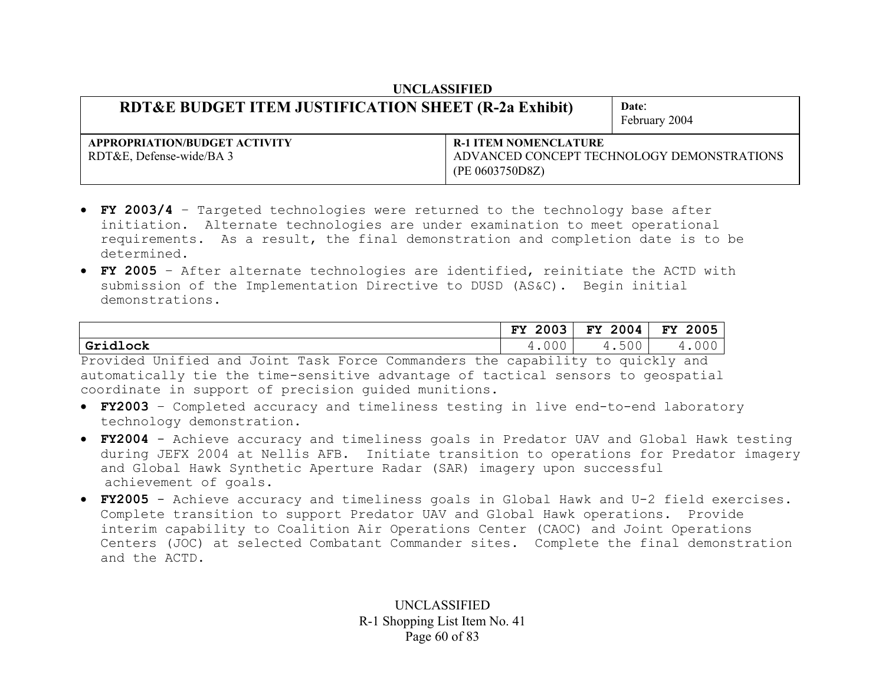| RDT&E BUDGET ITEM JUSTIFICATION SHEET (R-2a Exhibit)             |                                                 | Date:<br>February 2004                     |
|------------------------------------------------------------------|-------------------------------------------------|--------------------------------------------|
| <b>APPROPRIATION/BUDGET ACTIVITY</b><br>RDT&E, Defense-wide/BA 3 | <b>R-1 ITEM NOMENCLATURE</b><br>(PE 0603750D8Z) | ADVANCED CONCEPT TECHNOLOGY DEMONSTRATIONS |

- **FY 2003/4** Targeted technologies were returned to the technology base after initiation. Alternate technologies are under examination to meet operational requirements. As a result, the final demonstration and completion date is to be determined.
- **FY 2005**  After alternate technologies are identified, reinitiate the ACTD with submission of the Implementation Directive to DUSD (AS&C). Begin initial demonstrations.

|          | 2003<br>πv<br>$\cdot$ v $\cdot$    | 2004<br>πv                         | 2005<br>πv<br>. . |
|----------|------------------------------------|------------------------------------|-------------------|
| Gridlock | $\sim$ $\sim$ $\sim$<br>↵<br>9.∪∪∪ | -<br>$\sim$ $\sim$<br>~<br>→ → → → | n n r<br>9.UUU    |

Provided Unified and Joint Task Force Commanders the capability to quickly and automatically tie the time-sensitive advantage of tactical sensors to geospatial coordinate in support of precision guided munitions.

- **FY2003** Completed accuracy and timeliness testing in live end-to-end laboratory technology demonstration.
- **FY2004** Achieve accuracy and timeliness goals in Predator UAV and Global Hawk testing during JEFX 2004 at Nellis AFB. Initiate transition to operations for Predator imagery and Global Hawk Synthetic Aperture Radar (SAR) imagery upon successful achievement of goals.
- **FY2005** Achieve accuracy and timeliness goals in Global Hawk and U-2 field exercises. Complete transition to support Predator UAV and Global Hawk operations. Provide interim capability to Coalition Air Operations Center (CAOC) and Joint Operations Centers (JOC) at selected Combatant Commander sites. Complete the final demonstration and the ACTD.

UNCLASSIFIED R-1 Shopping List Item No. 41 Page 60 of 83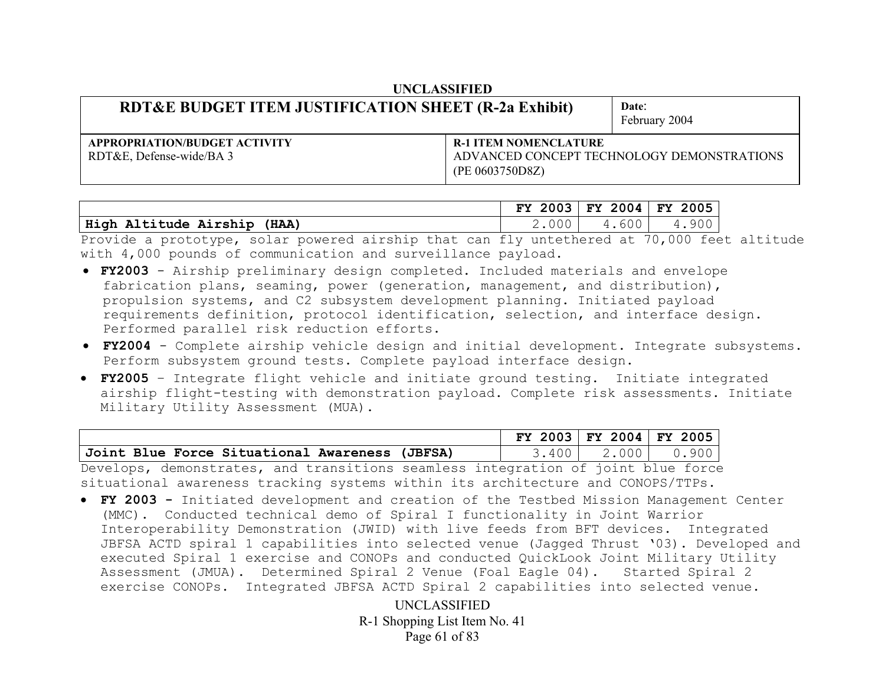| RDT&E BUDGET ITEM JUSTIFICATION SHEET (R-2a Exhibit)      |                                                                                               | Date:<br>February 2004 |
|-----------------------------------------------------------|-----------------------------------------------------------------------------------------------|------------------------|
| APPROPRIATION/BUDGET ACTIVITY<br>RDT&E, Defense-wide/BA 3 | <b>R-1 ITEM NOMENCLATURE</b><br>ADVANCED CONCEPT TECHNOLOGY DEMONSTRATIONS<br>(PE 0603750D8Z) |                        |

|                                                                                                                                                                                                                                                                                                                                                                                                                                                                                                                                                                                                                   | $FY$ 2003 FY 2004 FY 2005 |       |
|-------------------------------------------------------------------------------------------------------------------------------------------------------------------------------------------------------------------------------------------------------------------------------------------------------------------------------------------------------------------------------------------------------------------------------------------------------------------------------------------------------------------------------------------------------------------------------------------------------------------|---------------------------|-------|
| High Altitude Airship (HAA)                                                                                                                                                                                                                                                                                                                                                                                                                                                                                                                                                                                       | 4.600                     | 4.900 |
| $\blacksquare$ $\blacksquare$ $\blacksquare$ $\blacksquare$ $\blacksquare$ $\blacksquare$ $\blacksquare$ $\blacksquare$ $\blacksquare$ $\blacksquare$ $\blacksquare$ $\blacksquare$ $\blacksquare$ $\blacksquare$ $\blacksquare$ $\blacksquare$ $\blacksquare$ $\blacksquare$ $\blacksquare$ $\blacksquare$ $\blacksquare$ $\blacksquare$ $\blacksquare$ $\blacksquare$ $\blacksquare$ $\blacksquare$ $\blacksquare$ $\blacksquare$ $\blacksquare$ $\blacksquare$ $\blacksquare$ $\blacks$<br>and the contract of the contract of the contract of the contract of the contract of the contract of the contract of |                           |       |

Provide a prototype, solar powered airship that can fly untethered at 70,000 feet altitude with 4,000 pounds of communication and surveillance payload.

- **FY2003** Airship preliminary design completed. Included materials and envelope fabrication plans, seaming, power (generation, management, and distribution), propulsion systems, and C2 subsystem development planning. Initiated payload requirements definition, protocol identification, selection, and interface design. Performed parallel risk reduction efforts.
- **FY2004** Complete airship vehicle design and initial development. Integrate subsystems. Perform subsystem ground tests. Complete payload interface design.
- **FY2005** Integrate flight vehicle and initiate ground testing. Initiate integrated airship flight-testing with demonstration payload. Complete risk assessments. Initiate Military Utility Assessment (MUA).

|                                                |         | $FY$ 2003 FY 2004 FY 2005 |       |
|------------------------------------------------|---------|---------------------------|-------|
| Joint Blue Force Situational Awareness (JBFSA) | , 400 - | 2.000                     | 0.900 |

Develops, demonstrates, and transitions seamless integration of joint blue force situational awareness tracking systems within its architecture and CONOPS/TTPs.

• **FY 2003 -** Initiated development and creation of the Testbed Mission Management Center (MMC). Conducted technical demo of Spiral I functionality in Joint Warrior Interoperability Demonstration (JWID) with live feeds from BFT devices. Integrated JBFSA ACTD spiral 1 capabilities into selected venue (Jagged Thrust '03). Developed and executed Spiral 1 exercise and CONOPs and conducted QuickLook Joint Military Utility Assessment (JMUA). Determined Spiral 2 Venue (Foal Eagle 04). Started Spiral 2 exercise CONOPs. Integrated JBFSA ACTD Spiral 2 capabilities into selected venue.

> UNCLASSIFIED R-1 Shopping List Item No. 41 Page 61 of 83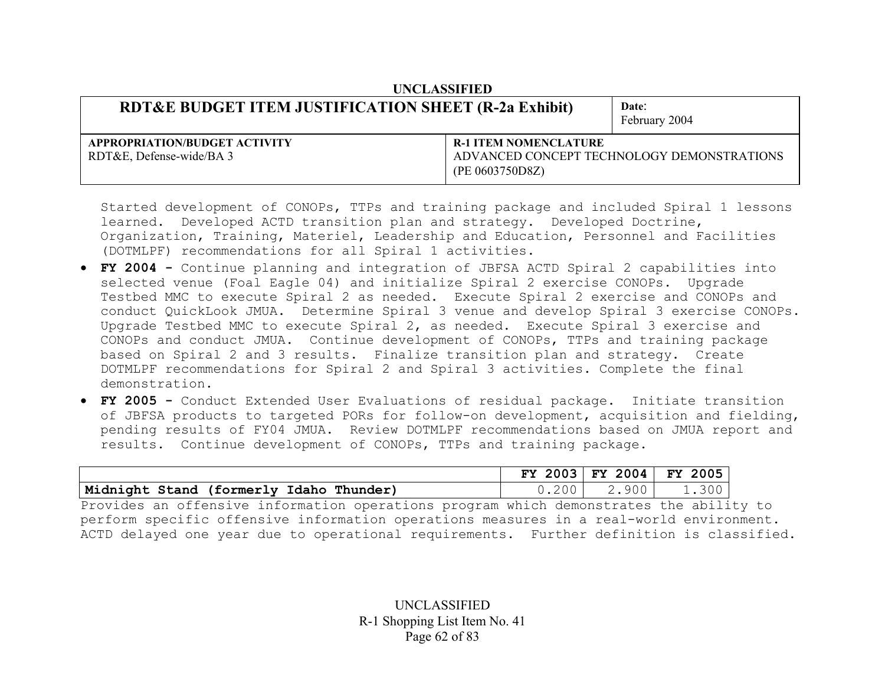| RDT&E BUDGET ITEM JUSTIFICATION SHEET (R-2a Exhibit)      |                                                 | Date:<br>February 2004                     |
|-----------------------------------------------------------|-------------------------------------------------|--------------------------------------------|
| APPROPRIATION/BUDGET ACTIVITY<br>RDT&E, Defense-wide/BA 3 | <b>R-1 ITEM NOMENCLATURE</b><br>(PE 0603750D8Z) | ADVANCED CONCEPT TECHNOLOGY DEMONSTRATIONS |

Started development of CONOPs, TTPs and training package and included Spiral 1 lessons learned. Developed ACTD transition plan and strategy. Developed Doctrine, Organization, Training, Materiel, Leadership and Education, Personnel and Facilities (DOTMLPF) recommendations for all Spiral 1 activities.

- **FY 2004** Continue planning and integration of JBFSA ACTD Spiral 2 capabilities into selected venue (Foal Eagle 04) and initialize Spiral 2 exercise CONOPs. Upgrade Testbed MMC to execute Spiral 2 as needed. Execute Spiral 2 exercise and CONOPs and conduct QuickLook JMUA. Determine Spiral 3 venue and develop Spiral 3 exercise CONOPs. Upgrade Testbed MMC to execute Spiral 2, as needed. Execute Spiral 3 exercise and CONOPs and conduct JMUA. Continue development of CONOPs, TTPs and training package based on Spiral 2 and 3 results. Finalize transition plan and strategy. Create DOTMLPF recommendations for Spiral 2 and Spiral 3 activities. Complete the final demonstration.
- **FY 2005** Conduct Extended User Evaluations of residual package. Initiate transition of JBFSA products to targeted PORs for follow-on development, acquisition and fielding, pending results of FY04 JMUA. Review DOTMLPF recommendations based on JMUA report and results. Continue development of CONOPs, TTPs and training package.

|                                         |                 | $FY$ 2003 FY 2004 FY 2005 |
|-----------------------------------------|-----------------|---------------------------|
| Midnight Stand (formerly Idaho Thunder) | $0.200$   2.900 | 1.300                     |

Provides an offensive information operations program which demonstrates the ability to perform specific offensive information operations measures in a real-world environment. ACTD delayed one year due to operational requirements. Further definition is classified.

> UNCLASSIFIED R-1 Shopping List Item No. 41 Page 62 of 83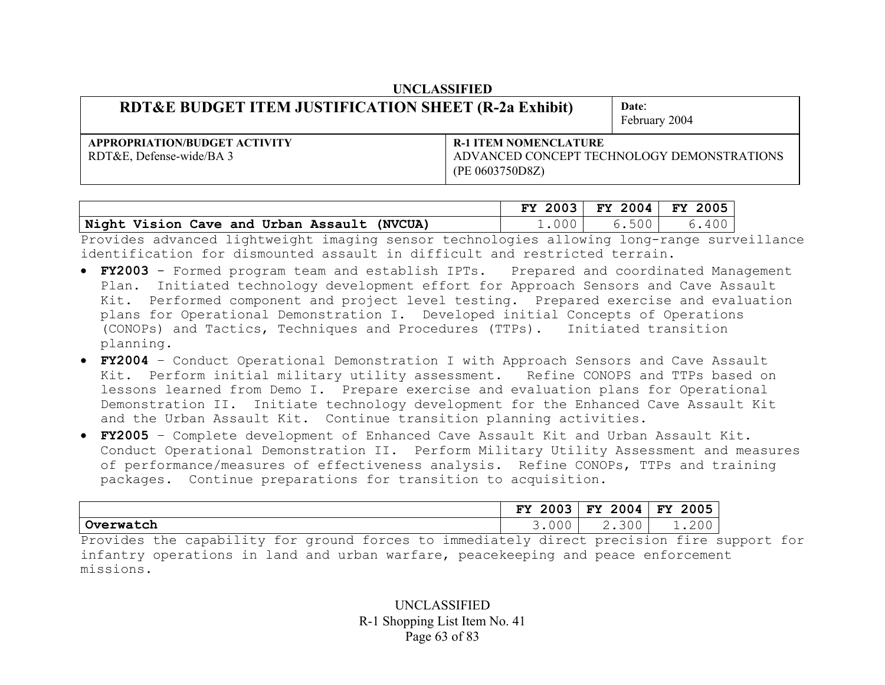| <b>RDT&amp;E BUDGET ITEM JUSTIFICATION SHEET (R-2a Exhibit)</b>  |                                                 | Date:<br>February 2004                     |
|------------------------------------------------------------------|-------------------------------------------------|--------------------------------------------|
| <b>APPROPRIATION/BUDGET ACTIVITY</b><br>RDT&E, Defense-wide/BA 3 | <b>R-1 ITEM NOMENCLATURE</b><br>(PE 0603750D8Z) | ADVANCED CONCEPT TECHNOLOGY DEMONSTRATIONS |

| $'$ FY 2004 $\vert$<br>$FY$ 2003                                | <b>FY 2005</b> |
|-----------------------------------------------------------------|----------------|
| $6.500$  <br>000<br>Night Vision Cave and Urban Assault (NVCUA) |                |

Provides advanced lightweight imaging sensor technologies allowing long-range surveillance identification for dismounted assault in difficult and restricted terrain.

- **FY2003**  Formed program team and establish IPTs. Prepared and coordinated Management Plan. Initiated technology development effort for Approach Sensors and Cave Assault Kit. Performed component and project level testing. Prepared exercise and evaluation plans for Operational Demonstration I. Developed initial Concepts of Operations (CONOPs) and Tactics, Techniques and Procedures (TTPs). Initiated transition planning.
- **FY2004** Conduct Operational Demonstration I with Approach Sensors and Cave Assault Kit. Perform initial military utility assessment. Refine CONOPS and TTPs based on lessons learned from Demo I. Prepare exercise and evaluation plans for Operational Demonstration II. Initiate technology development for the Enhanced Cave Assault Kit and the Urban Assault Kit. Continue transition planning activities.
- **FY2005** Complete development of Enhanced Cave Assault Kit and Urban Assault Kit. Conduct Operational Demonstration II. Perform Military Utility Assessment and measures of performance/measures of effectiveness analysis. Refine CONOPs, TTPs and training packages. Continue preparations for transition to acquisition.

| $\sim$ $\sim$ $\sim$      |           | 2003        | 2004 | 2005                              |
|---------------------------|-----------|-------------|------|-----------------------------------|
| $\sim$ $\sim$             |           | <b>TILE</b> | πv   | ٣V                                |
| $\overline{\phantom{0}}$  |           |             |      |                                   |
| <u>J.VVV</u><br>2 . J V V | Overwatch |             |      | $\sim$ $\sim$ $\sim$<br>1 . 2 U U |

Provides the capability for ground forces to immediately direct precision fire support for infantry operations in land and urban warfare, peacekeeping and peace enforcement missions.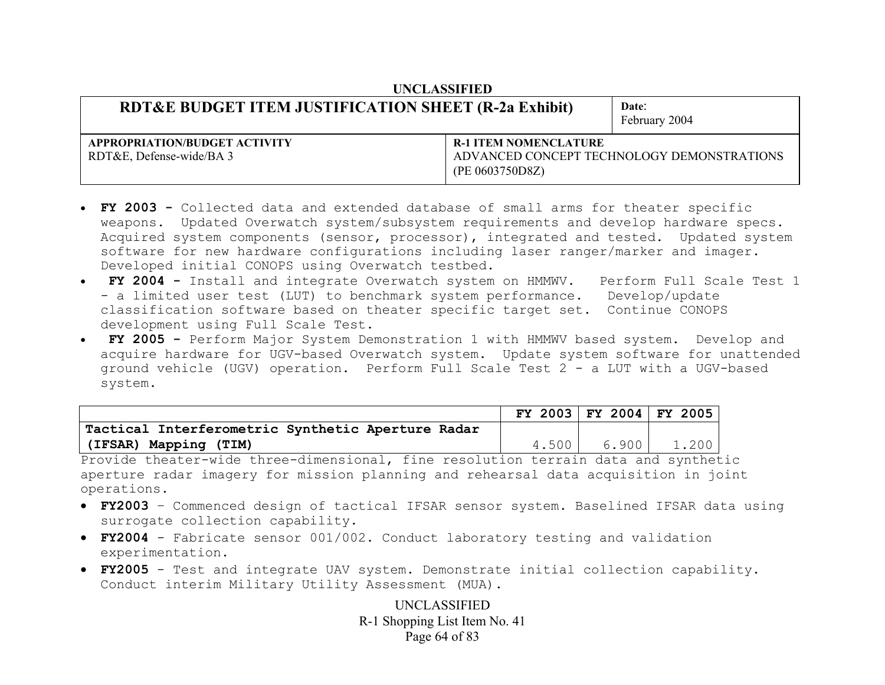| RDT&E BUDGET ITEM JUSTIFICATION SHEET (R-2a Exhibit)      |                                                 | Date:<br>February 2004                     |
|-----------------------------------------------------------|-------------------------------------------------|--------------------------------------------|
| APPROPRIATION/BUDGET ACTIVITY<br>RDT&E, Defense-wide/BA 3 | <b>R-1 ITEM NOMENCLATURE</b><br>(PE 0603750D8Z) | ADVANCED CONCEPT TECHNOLOGY DEMONSTRATIONS |

- **FY 2003** Collected data and extended database of small arms for theater specific weapons. Updated Overwatch system/subsystem requirements and develop hardware specs. Acquired system components (sensor, processor), integrated and tested. Updated system software for new hardware configurations including laser ranger/marker and imager. Developed initial CONOPS using Overwatch testbed.
- **FY 2004** Install and integrate Overwatch system on HMMWV. Perform Full Scale Test 1 - a limited user test (LUT) to benchmark system performance. Develop/update classification software based on theater specific target set. Continue CONOPS development using Full Scale Test.
- **FY 2005** Perform Major System Demonstration 1 with HMMWV based system. Develop and acquire hardware for UGV-based Overwatch system. Update system software for unattended ground vehicle (UGV) operation. Perform Full Scale Test 2 - a LUT with a UGV-based system.

|                                                   |         | $FY$ 2003 FY 2004 FY 2005 |       |
|---------------------------------------------------|---------|---------------------------|-------|
| Tactical Interferometric Synthetic Aperture Radar |         |                           |       |
| (IFSAR) Mapping (TIM)                             | $4.500$ | 6.900                     | 1,200 |

Provide theater-wide three-dimensional, fine resolution terrain data and synthetic aperture radar imagery for mission planning and rehearsal data acquisition in joint operations.

- **FY2003** Commenced design of tactical IFSAR sensor system. Baselined IFSAR data using surrogate collection capability.
- **FY2004** Fabricate sensor 001/002. Conduct laboratory testing and validation experimentation.
- **FY2005** Test and integrate UAV system. Demonstrate initial collection capability. Conduct interim Military Utility Assessment (MUA).

UNCLASSIFIED R-1 Shopping List Item No. 41 Page 64 of 83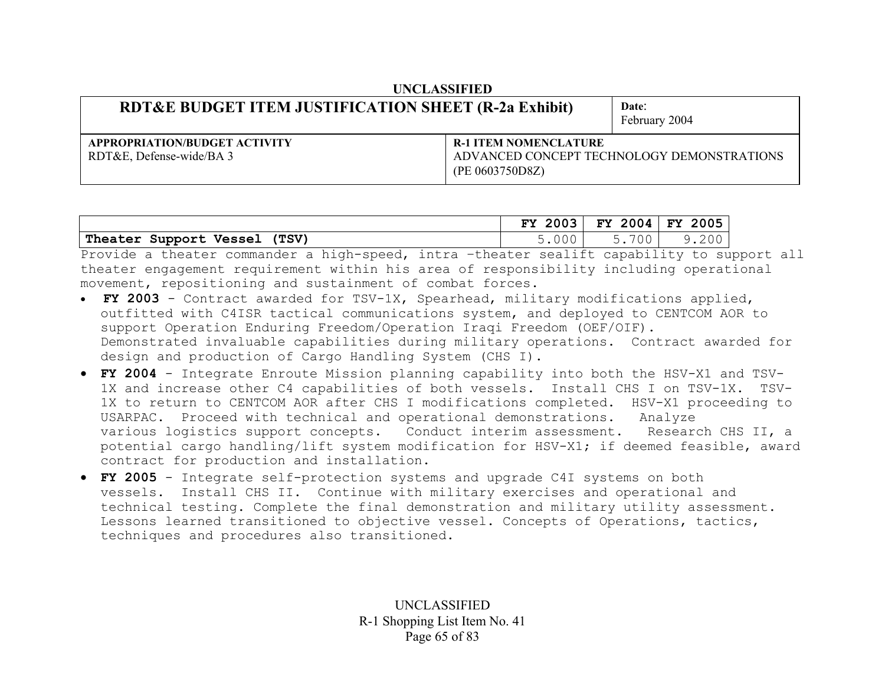| RDT&E BUDGET ITEM JUSTIFICATION SHEET (R-2a Exhibit)      | Date:<br>February 2004                          |                                            |
|-----------------------------------------------------------|-------------------------------------------------|--------------------------------------------|
| APPROPRIATION/BUDGET ACTIVITY<br>RDT&E, Defense-wide/BA 3 | <b>R-1 ITEM NOMENCLATURE</b><br>(PE 0603750D8Z) | ADVANCED CONCEPT TECHNOLOGY DEMONSTRATIONS |

|                              | 2003 <sub>1</sub><br>πv | FY 2004             | FY 2005 |
|------------------------------|-------------------------|---------------------|---------|
| Theater Support Vessel (TSV) | 5.000                   | 700<br>一 にっこう こうしょう |         |
|                              | - - -                   |                     |         |

Provide a theater commander a high-speed, intra –theater sealift capability to support all theater engagement requirement within his area of responsibility including operational movement, repositioning and sustainment of combat forces.

- **FY 2003** Contract awarded for TSV-1X, Spearhead, military modifications applied, outfitted with C4ISR tactical communications system, and deployed to CENTCOM AOR to support Operation Enduring Freedom/Operation Iraqi Freedom (OEF/OIF). Demonstrated invaluable capabilities during military operations. Contract awarded for design and production of Cargo Handling System (CHS I).
- **FY 2004** Integrate Enroute Mission planning capability into both the HSV-X1 and TSV-1X and increase other C4 capabilities of both vessels. Install CHS I on TSV-1X. TSV-1X to return to CENTCOM AOR after CHS I modifications completed. HSV-X1 proceeding to USARPAC. Proceed with technical and operational demonstrations. Analyze various logistics support concepts. Conduct interim assessment. Research CHS II, a potential cargo handling/lift system modification for HSV-X1; if deemed feasible, award contract for production and installation.
- **FY 2005** Integrate self-protection systems and upgrade C4I systems on both vessels. Install CHS II. Continue with military exercises and operational and technical testing. Complete the final demonstration and military utility assessment. Lessons learned transitioned to objective vessel. Concepts of Operations, tactics, techniques and procedures also transitioned.

UNCLASSIFIED R-1 Shopping List Item No. 41 Page 65 of 83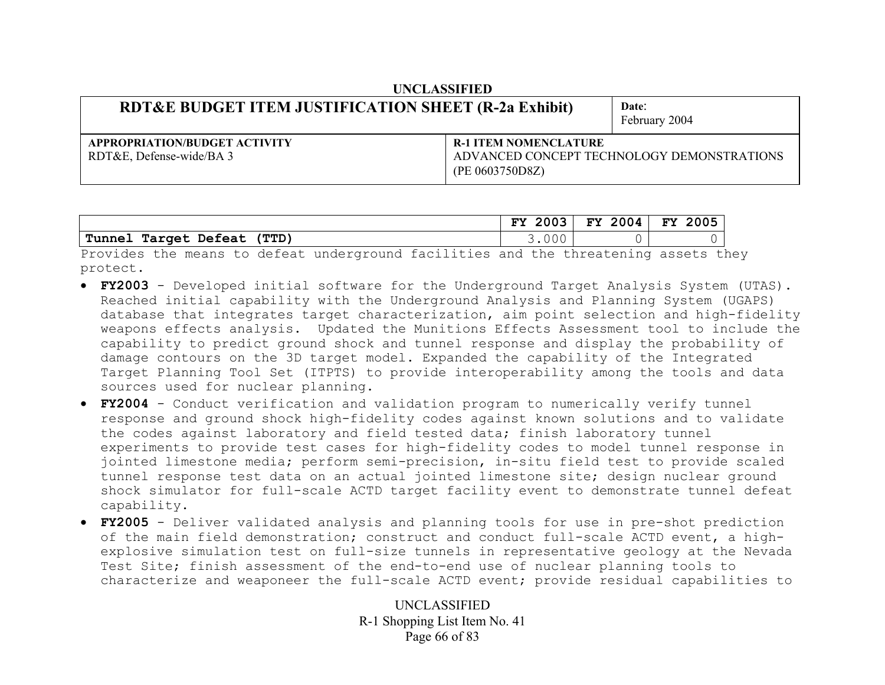| RDT&E BUDGET ITEM JUSTIFICATION SHEET (R-2a Exhibit)             |                                                 | Date:<br>February 2004                     |
|------------------------------------------------------------------|-------------------------------------------------|--------------------------------------------|
| <b>APPROPRIATION/BUDGET ACTIVITY</b><br>RDT&E, Defense-wide/BA 3 | <b>R-1 ITEM NOMENCLATURE</b><br>(PE 0603750D8Z) | ADVANCED CONCEPT TECHNOLOGY DEMONSTRATIONS |

|                                     | $2003 +$<br>πv | 2004<br><b>FY</b> | 2005<br><b>FY</b> |
|-------------------------------------|----------------|-------------------|-------------------|
| (TTD)<br>Tunnel<br>Defeat<br>Target |                |                   |                   |
|                                     |                |                   |                   |

Provides the means to defeat underground facilities and the threatening assets they protect.

- **FY2003**  Developed initial software for the Underground Target Analysis System (UTAS). Reached initial capability with the Underground Analysis and Planning System (UGAPS) database that integrates target characterization, aim point selection and high-fidelity weapons effects analysis. Updated the Munitions Effects Assessment tool to include the capability to predict ground shock and tunnel response and display the probability of damage contours on the 3D target model. Expanded the capability of the Integrated Target Planning Tool Set (ITPTS) to provide interoperability among the tools and data sources used for nuclear planning.
- **FY2004** Conduct verification and validation program to numerically verify tunnel response and ground shock high-fidelity codes against known solutions and to validate the codes against laboratory and field tested data; finish laboratory tunnel experiments to provide test cases for high-fidelity codes to model tunnel response in jointed limestone media; perform semi-precision, in-situ field test to provide scaled tunnel response test data on an actual jointed limestone site; design nuclear ground shock simulator for full-scale ACTD target facility event to demonstrate tunnel defeat capability.
- **FY2005** Deliver validated analysis and planning tools for use in pre-shot prediction of the main field demonstration; construct and conduct full-scale ACTD event, a highexplosive simulation test on full-size tunnels in representative geology at the Nevada Test Site; finish assessment of the end-to-end use of nuclear planning tools to characterize and weaponeer the full-scale ACTD event; provide residual capabilities to

UNCLASSIFIED R-1 Shopping List Item No. 41 Page 66 of 83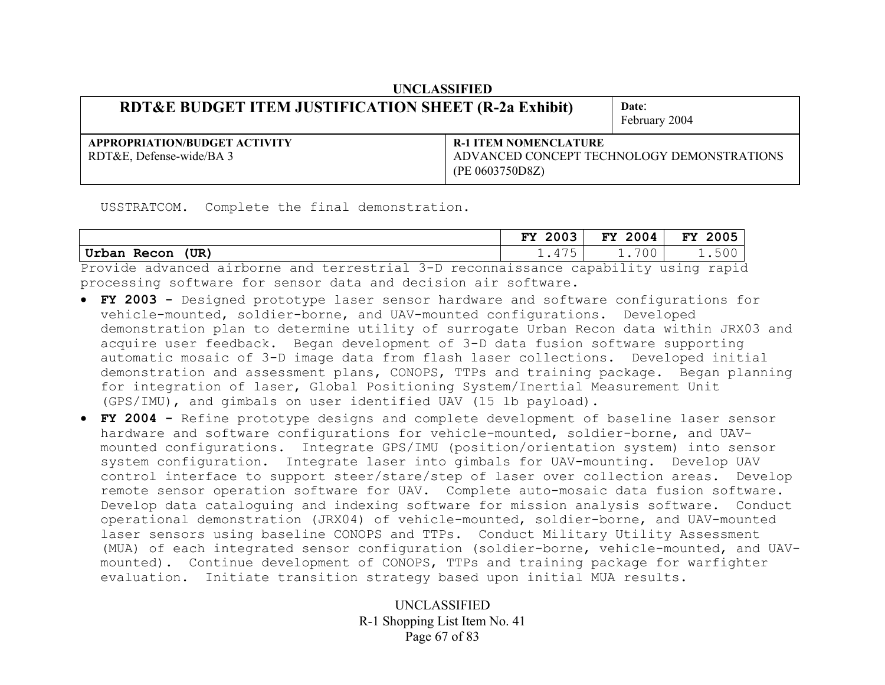| RDT&E BUDGET ITEM JUSTIFICATION SHEET (R-2a Exhibit)      | Date:<br>February 2004                          |                                            |
|-----------------------------------------------------------|-------------------------------------------------|--------------------------------------------|
| APPROPRIATION/BUDGET ACTIVITY<br>RDT&E, Defense-wide/BA 3 | <b>R-1 ITEM NOMENCLATURE</b><br>(PE 0603750D8Z) | ADVANCED CONCEPT TECHNOLOGY DEMONSTRATIONS |

USSTRATCOM. Complete the final demonstration.

|                        | 2003<br>٣v<br>고 고 | 2004<br>FΥ           | FY<br>2005       |
|------------------------|-------------------|----------------------|------------------|
| Urban<br>(UR)<br>Recon | $ -$<br>$\sim$    | $\sim$ $\sim$<br>V V | ∽<br>- - - - - - |
| $\sim$                 |                   | .                    |                  |

Provide advanced airborne and terrestrial 3-D reconnaissance capability using rapid processing software for sensor data and decision air software.

- **FY 2003** Designed prototype laser sensor hardware and software configurations for vehicle-mounted, soldier-borne, and UAV-mounted configurations. Developed demonstration plan to determine utility of surrogate Urban Recon data within JRX03 and acquire user feedback. Began development of 3-D data fusion software supporting automatic mosaic of 3-D image data from flash laser collections. Developed initial demonstration and assessment plans, CONOPS, TTPs and training package. Began planning for integration of laser, Global Positioning System/Inertial Measurement Unit (GPS/IMU), and gimbals on user identified UAV (15 lb payload).
- **FY 2004** Refine prototype designs and complete development of baseline laser sensor hardware and software configurations for vehicle-mounted, soldier-borne, and UAVmounted configurations. Integrate GPS/IMU (position/orientation system) into sensor system configuration. Integrate laser into gimbals for UAV-mounting. Develop UAV control interface to support steer/stare/step of laser over collection areas. Develop remote sensor operation software for UAV. Complete auto-mosaic data fusion software. Develop data cataloguing and indexing software for mission analysis software. Conduct operational demonstration (JRX04) of vehicle-mounted, soldier-borne, and UAV-mounted laser sensors using baseline CONOPS and TTPs. Conduct Military Utility Assessment (MUA) of each integrated sensor configuration (soldier-borne, vehicle-mounted, and UAVmounted). Continue development of CONOPS, TTPs and training package for warfighter evaluation. Initiate transition strategy based upon initial MUA results.

UNCLASSIFIED R-1 Shopping List Item No. 41 Page 67 of 83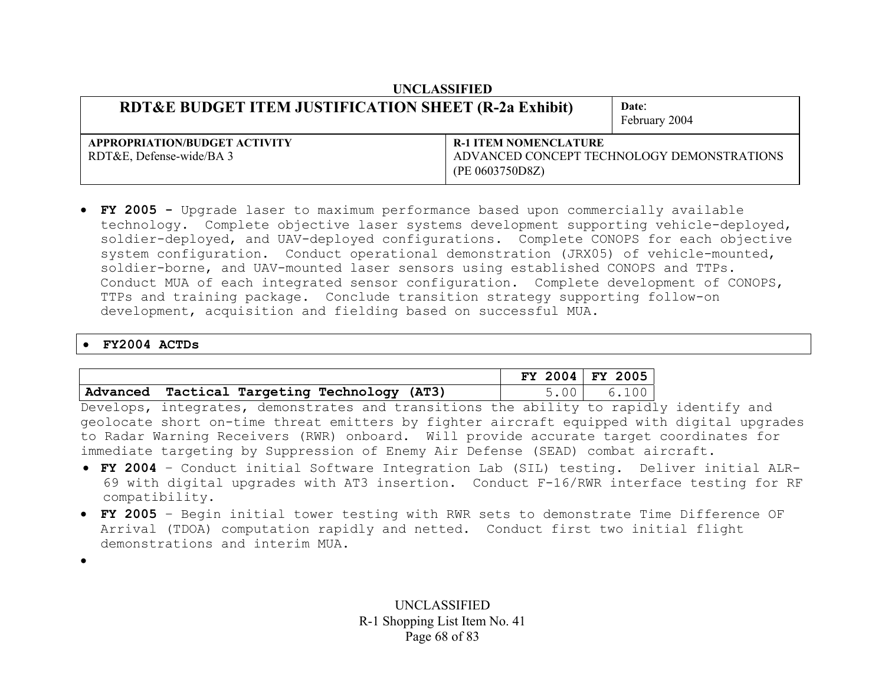| RDT&E BUDGET ITEM JUSTIFICATION SHEET (R-2a Exhibit)      |                                                 | Date:<br>February 2004                     |
|-----------------------------------------------------------|-------------------------------------------------|--------------------------------------------|
| APPROPRIATION/BUDGET ACTIVITY<br>RDT&E, Defense-wide/BA 3 | <b>R-1 ITEM NOMENCLATURE</b><br>(PE 0603750D8Z) | ADVANCED CONCEPT TECHNOLOGY DEMONSTRATIONS |

• **FY 2005 -** Upgrade laser to maximum performance based upon commercially available technology. Complete objective laser systems development supporting vehicle-deployed, soldier-deployed, and UAV-deployed configurations. Complete CONOPS for each objective system configuration. Conduct operational demonstration (JRX05) of vehicle-mounted, soldier-borne, and UAV-mounted laser sensors using established CONOPS and TTPs. Conduct MUA of each integrated sensor configuration. Complete development of CONOPS, TTPs and training package. Conclude transition strategy supporting follow-on development, acquisition and fielding based on successful MUA.

#### •**FY2004 ACTDs**

|  |                                              |       | $FY$ 2004 FY 2005 |
|--|----------------------------------------------|-------|-------------------|
|  | Advanced Tactical Targeting Technology (AT3) | 5.001 | 6.100             |
|  |                                              |       |                   |

Develops, integrates, demonstrates and transitions the ability to rapidly identify and geolocate short on-time threat emitters by fighter aircraft equipped with digital upgrades to Radar Warning Receivers (RWR) onboard. Will provide accurate target coordinates for immediate targeting by Suppression of Enemy Air Defense (SEAD) combat aircraft.

- **FY 2004** Conduct initial Software Integration Lab (SIL) testing. Deliver initial ALR-69 with digital upgrades with AT3 insertion. Conduct F-16/RWR interface testing for RF compatibility.
- **FY 2005** Begin initial tower testing with RWR sets to demonstrate Time Difference OF Arrival (TDOA) computation rapidly and netted. Conduct first two initial flight demonstrations and interim MUA.

•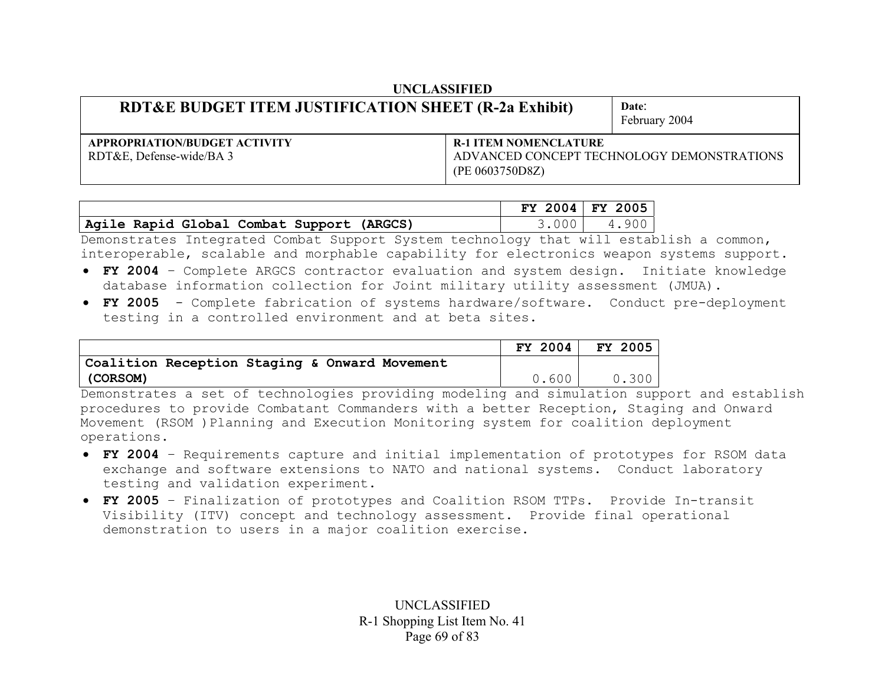| RDT&E BUDGET ITEM JUSTIFICATION SHEET (R-2a Exhibit)             |                                                 | Date:<br>February 2004                     |
|------------------------------------------------------------------|-------------------------------------------------|--------------------------------------------|
| <b>APPROPRIATION/BUDGET ACTIVITY</b><br>RDT&E, Defense-wide/BA 3 | <b>R-1 ITEM NOMENCLATURE</b><br>(PE 0603750D8Z) | ADVANCED CONCEPT TECHNOLOGY DEMONSTRATIONS |

|                                           |        | $FY$ 2004 FY 2005 |
|-------------------------------------------|--------|-------------------|
| Agile Rapid Global Combat Support (ARGCS) | 3.0001 | 4.900             |
|                                           |        |                   |

Demonstrates Integrated Combat Support System technology that will establish a common, interoperable, scalable and morphable capability for electronics weapon systems support.

- **FY 2004** Complete ARGCS contractor evaluation and system design. Initiate knowledge database information collection for Joint military utility assessment (JMUA).
- **FY 2005** Complete fabrication of systems hardware/software. Conduct pre-deployment testing in a controlled environment and at beta sites.

|                                               | FY 2004 | FY 2005 |
|-----------------------------------------------|---------|---------|
| Coalition Reception Staging & Onward Movement |         |         |
| (CORSOM)                                      | 0.600   |         |

Demonstrates a set of technologies providing modeling and simulation support and establish procedures to provide Combatant Commanders with a better Reception, Staging and Onward Movement (RSOM )Planning and Execution Monitoring system for coalition deployment operations.

- **FY 2004** Requirements capture and initial implementation of prototypes for RSOM data exchange and software extensions to NATO and national systems. Conduct laboratory testing and validation experiment.
- **FY 2005** Finalization of prototypes and Coalition RSOM TTPs. Provide In-transit Visibility (ITV) concept and technology assessment. Provide final operational demonstration to users in a major coalition exercise.

UNCLASSIFIED R-1 Shopping List Item No. 41 Page 69 of 83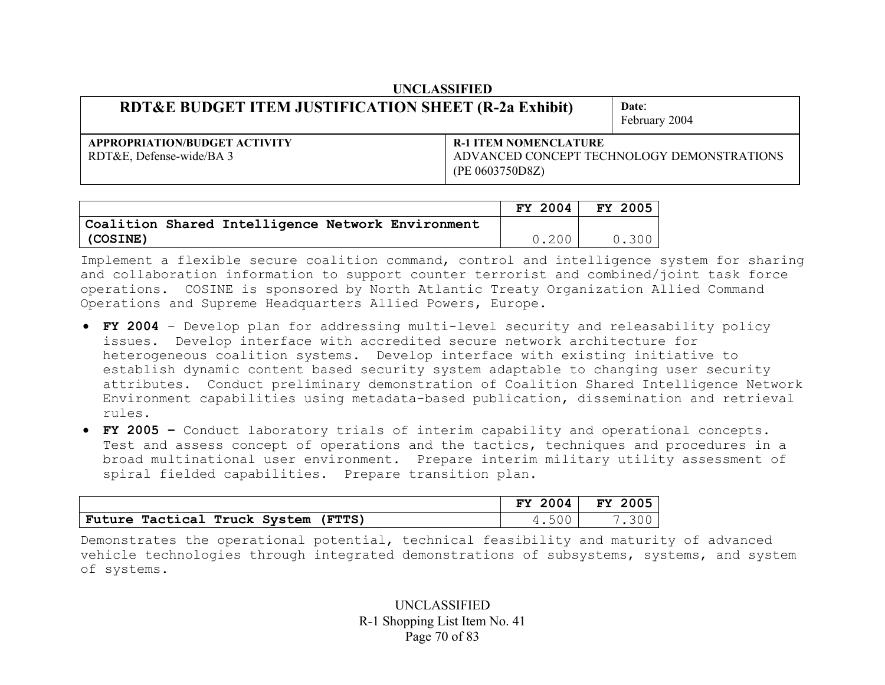| RDT&E BUDGET ITEM JUSTIFICATION SHEET (R-2a Exhibit)             |                                                 | Date:<br>February 2004                     |
|------------------------------------------------------------------|-------------------------------------------------|--------------------------------------------|
| <b>APPROPRIATION/BUDGET ACTIVITY</b><br>RDT&E, Defense-wide/BA 3 | <b>R-1 ITEM NOMENCLATURE</b><br>(PE 0603750D8Z) | ADVANCED CONCEPT TECHNOLOGY DEMONSTRATIONS |

|                                                   | FY 2004 | FY 2005 |
|---------------------------------------------------|---------|---------|
| Coalition Shared Intelligence Network Environment |         |         |
| (COSINE)                                          |         | 0.300   |

Implement a flexible secure coalition command, control and intelligence system for sharing and collaboration information to support counter terrorist and combined/joint task force operations. COSINE is sponsored by North Atlantic Treaty Organization Allied Command Operations and Supreme Headquarters Allied Powers, Europe.

- **FY 2004**  Develop plan for addressing multi-level security and releasability policy issues. Develop interface with accredited secure network architecture for heterogeneous coalition systems. Develop interface with existing initiative to establish dynamic content based security system adaptable to changing user security attributes. Conduct preliminary demonstration of Coalition Shared Intelligence Network Environment capabilities using metadata-based publication, dissemination and retrieval rules.
- **FY 2005** Conduct laboratory trials of interim capability and operational concepts. Test and assess concept of operations and the tactics, techniques and procedures in a broad multinational user environment. Prepare interim military utility assessment of spiral fielded capabilities. Prepare transition plan.

|                                     |       | FY 2004 FY 2005 |
|-------------------------------------|-------|-----------------|
| Future Tactical Truck System (FTTS) | 45001 |                 |

Demonstrates the operational potential, technical feasibility and maturity of advanced vehicle technologies through integrated demonstrations of subsystems, systems, and system of systems.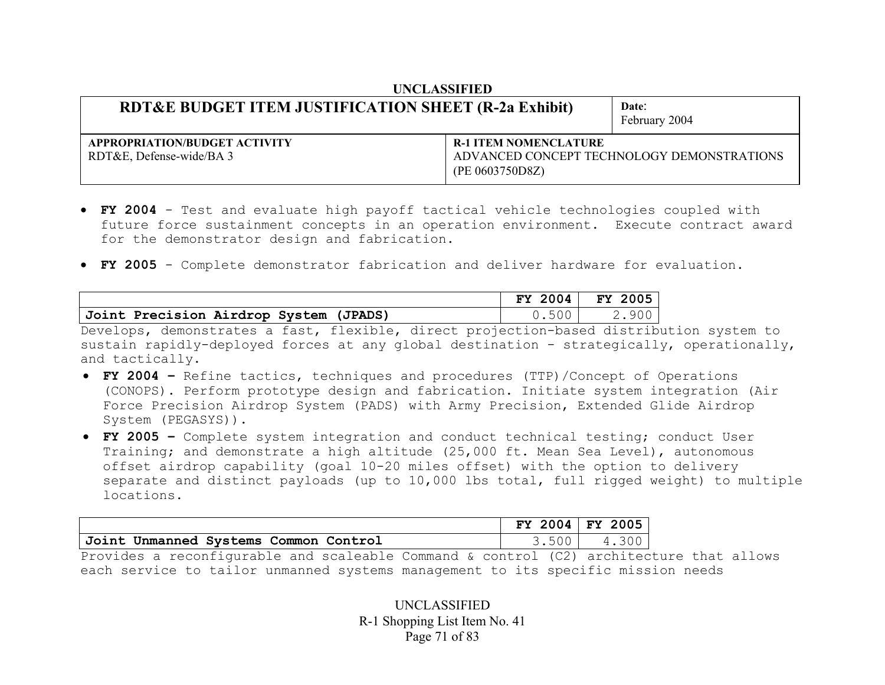| RDT&E BUDGET ITEM JUSTIFICATION SHEET (R-2a Exhibit)      |                                                 | Date:<br>February 2004                     |
|-----------------------------------------------------------|-------------------------------------------------|--------------------------------------------|
| APPROPRIATION/BUDGET ACTIVITY<br>RDT&E, Defense-wide/BA 3 | <b>R-1 ITEM NOMENCLATURE</b><br>(PE 0603750D8Z) | ADVANCED CONCEPT TECHNOLOGY DEMONSTRATIONS |

- **FY 2004** Test and evaluate high payoff tactical vehicle technologies coupled with future force sustainment concepts in an operation environment. Execute contract award for the demonstrator design and fabrication.
- **FY 2005** Complete demonstrator fabrication and deliver hardware for evaluation.

|                                        |        | $FY$ 2004   $FY$ 2005 |
|----------------------------------------|--------|-----------------------|
| Joint Precision Airdrop System (JPADS) | ,.500' | 2.900                 |

Develops, demonstrates a fast, flexible, direct projection-based distribution system to sustain rapidly-deployed forces at any global destination - strategically, operationally, and tactically.

- **FY 2004** Refine tactics, techniques and procedures (TTP)/Concept of Operations (CONOPS). Perform prototype design and fabrication. Initiate system integration (Air Force Precision Airdrop System (PADS) with Army Precision, Extended Glide Airdrop System (PEGASYS)).
- **FY 2005** Complete system integration and conduct technical testing; conduct User Training; and demonstrate a high altitude (25,000 ft. Mean Sea Level), autonomous offset airdrop capability (goal 10-20 miles offset) with the option to delivery separate and distinct payloads (up to 10,000 lbs total, full rigged weight) to multiple locations.

|                                       |         | $FY$ 2004 FY 2005 |
|---------------------------------------|---------|-------------------|
| Joint Unmanned Systems Common Control | $3.500$ | 4.300             |

Provides a reconfigurable and scaleable Command & control (C2) architecture that allows each service to tailor unmanned systems management to its specific mission needs

> UNCLASSIFIED R-1 Shopping List Item No. 41 Page 71 of 83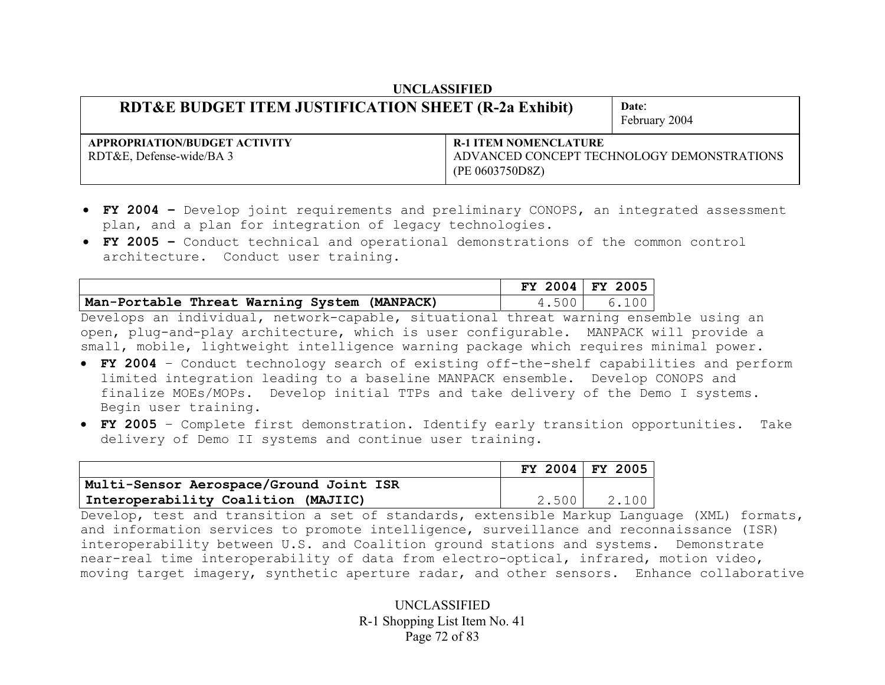| RDT&E BUDGET ITEM JUSTIFICATION SHEET (R-2a Exhibit)      |                                                 | Date:<br>February 2004                     |
|-----------------------------------------------------------|-------------------------------------------------|--------------------------------------------|
| APPROPRIATION/BUDGET ACTIVITY<br>RDT&E, Defense-wide/BA 3 | <b>R-1 ITEM NOMENCLATURE</b><br>(PE 0603750D8Z) | ADVANCED CONCEPT TECHNOLOGY DEMONSTRATIONS |

- **FY 2004** Develop joint requirements and preliminary CONOPS, an integrated assessment plan, and a plan for integration of legacy technologies.
- **FY 2005** Conduct technical and operational demonstrations of the common control architecture. Conduct user training.

|                                              |       | $FY$ 2004 FY 2005 |
|----------------------------------------------|-------|-------------------|
| Man-Portable Threat Warning System (MANPACK) | 4.500 | 100               |

Develops an individual, network-capable, situational threat warning ensemble using an open, plug-and-play architecture, which is user configurable. MANPACK will provide a small, mobile, lightweight intelligence warning package which requires minimal power.

- **FY 2004**  Conduct technology search of existing off-the-shelf capabilities and perform limited integration leading to a baseline MANPACK ensemble. Develop CONOPS and finalize MOEs/MOPs. Develop initial TTPs and take delivery of the Demo I systems. Begin user training.
- **FY 2005** Complete first demonstration. Identify early transition opportunities. Take delivery of Demo II systems and continue user training.

|                                         |       | $FY$ 2004 FY 2005 |
|-----------------------------------------|-------|-------------------|
| Multi-Sensor Aerospace/Ground Joint ISR |       |                   |
| Interoperability Coalition (MAJIIC)     | 2.500 | 2.100             |

Develop, test and transition a set of standards, extensible Markup Language (XML) formats, and information services to promote intelligence, surveillance and reconnaissance (ISR) interoperability between U.S. and Coalition ground stations and systems. Demonstrate near-real time interoperability of data from electro-optical, infrared, motion video, moving target imagery, synthetic aperture radar, and other sensors. Enhance collaborative

> UNCLASSIFIED R-1 Shopping List Item No. 41 Page 72 of 83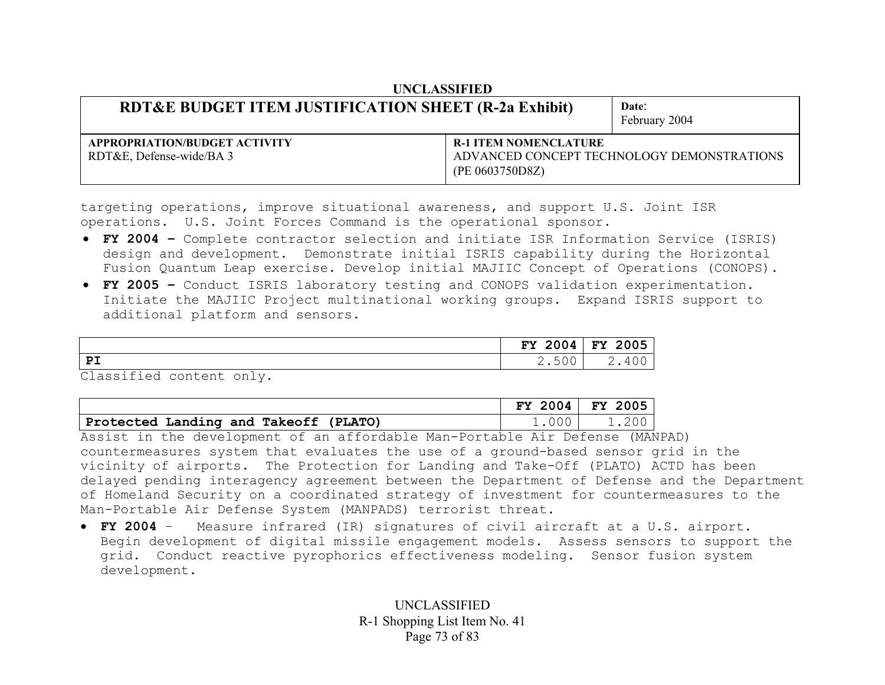| RDT&E BUDGET ITEM JUSTIFICATION SHEET (R-2a Exhibit)      |                                                 | Date:<br>February 2004                     |
|-----------------------------------------------------------|-------------------------------------------------|--------------------------------------------|
| APPROPRIATION/BUDGET ACTIVITY<br>RDT&E, Defense-wide/BA 3 | <b>R-1 ITEM NOMENCLATURE</b><br>(PE 0603750D8Z) | ADVANCED CONCEPT TECHNOLOGY DEMONSTRATIONS |

targeting operations, improve situational awareness, and support U.S. Joint ISR operations. U.S. Joint Forces Command is the operational sponsor.

- **FY 2004** Complete contractor selection and initiate ISR Information Service (ISRIS) design and development. Demonstrate initial ISRIS capability during the Horizontal Fusion Quantum Leap exercise. Develop initial MAJIIC Concept of Operations (CONOPS).
- **FY 2005** Conduct ISRIS laboratory testing and CONOPS validation experimentation. Initiate the MAJIIC Project multinational working groups. Expand ISRIS support to additional platform and sensors.

|    | <b>TV</b><br>ìД<br>E. | 2005<br><b>FY</b> |
|----|-----------------------|-------------------|
| PI | ь.                    |                   |

Classified content only.

|                                       |       | $FY$ 2004 FY 2005 |
|---------------------------------------|-------|-------------------|
| Protected Landing and Takeoff (PLATO) | 1.000 | 1.200             |

Assist in the development of an affordable Man-Portable Air Defense (MANPAD) countermeasures system that evaluates the use of a ground-based sensor grid in the vicinity of airports. The Protection for Landing and Take-Off (PLATO) ACTD has been delayed pending interagency agreement between the Department of Defense and the Department of Homeland Security on a coordinated strategy of investment for countermeasures to the Man-Portable Air Defense System (MANPADS) terrorist threat.

• **FY 2004** – Measure infrared (IR) signatures of civil aircraft at a U.S. airport. Begin development of digital missile engagement models. Assess sensors to support the grid. Conduct reactive pyrophorics effectiveness modeling. Sensor fusion system development.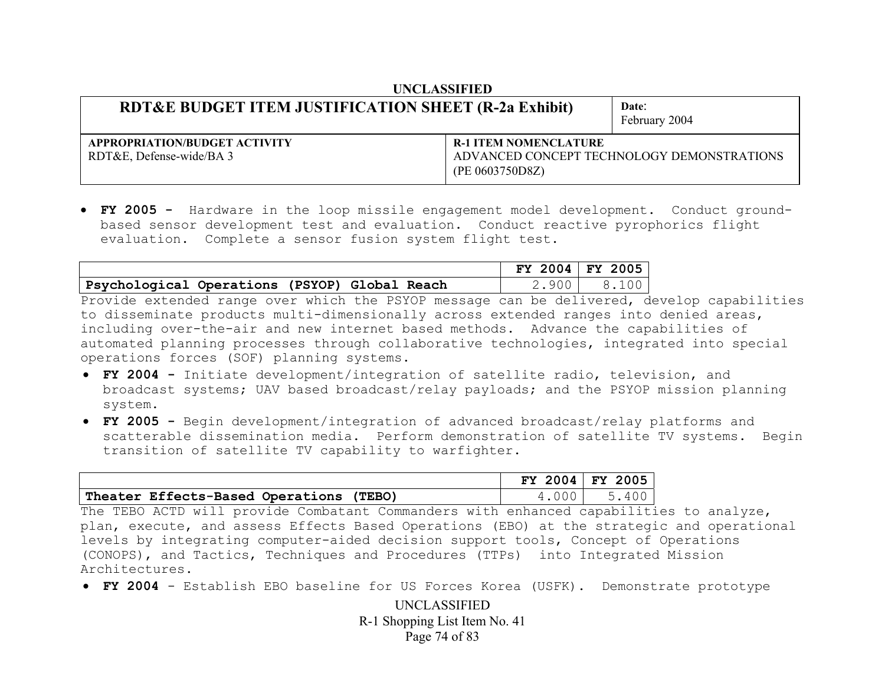| RDT&E BUDGET ITEM JUSTIFICATION SHEET (R-2a Exhibit)      |                                                 | Date:<br>February 2004                     |
|-----------------------------------------------------------|-------------------------------------------------|--------------------------------------------|
| APPROPRIATION/BUDGET ACTIVITY<br>RDT&E, Defense-wide/BA 3 | <b>R-1 ITEM NOMENCLATURE</b><br>(PE 0603750D8Z) | ADVANCED CONCEPT TECHNOLOGY DEMONSTRATIONS |

• **FY 2005 -** Hardware in the loop missile engagement model development. Conduct groundbased sensor development test and evaluation. Conduct reactive pyrophorics flight evaluation. Complete a sensor fusion system flight test.

|                                               |        | $FY$ 2004   $FY$ 2005 |
|-----------------------------------------------|--------|-----------------------|
| Psychological Operations (PSYOP) Global Reach | 2,9001 | 8.100                 |

Provide extended range over which the PSYOP message can be delivered, develop capabilities to disseminate products multi-dimensionally across extended ranges into denied areas, including over-the-air and new internet based methods. Advance the capabilities of automated planning processes through collaborative technologies, integrated into special operations forces (SOF) planning systems.

- **FY 2004** Initiate development/integration of satellite radio, television, and broadcast systems; UAV based broadcast/relay payloads; and the PSYOP mission planning system.
- **FY 2005** Begin development/integration of advanced broadcast/relay platforms and scatterable dissemination media. Perform demonstration of satellite TV systems. Begin transition of satellite TV capability to warfighter.

|                                         | $FY$ 2004 FY 2005 |
|-----------------------------------------|-------------------|
| Theater Effects-Based Operations (TEBO) | 5.400             |

The TEBO ACTD will provide Combatant Commanders with enhanced capabilities to analyze, plan, execute, and assess Effects Based Operations (EBO) at the strategic and operational levels by integrating computer-aided decision support tools, Concept of Operations (CONOPS), and Tactics, Techniques and Procedures (TTPs) into Integrated Mission Architectures.

• **FY 2004** - Establish EBO baseline for US Forces Korea (USFK). Demonstrate prototype

UNCLASSIFIED R-1 Shopping List Item No. 41 Page 74 of 83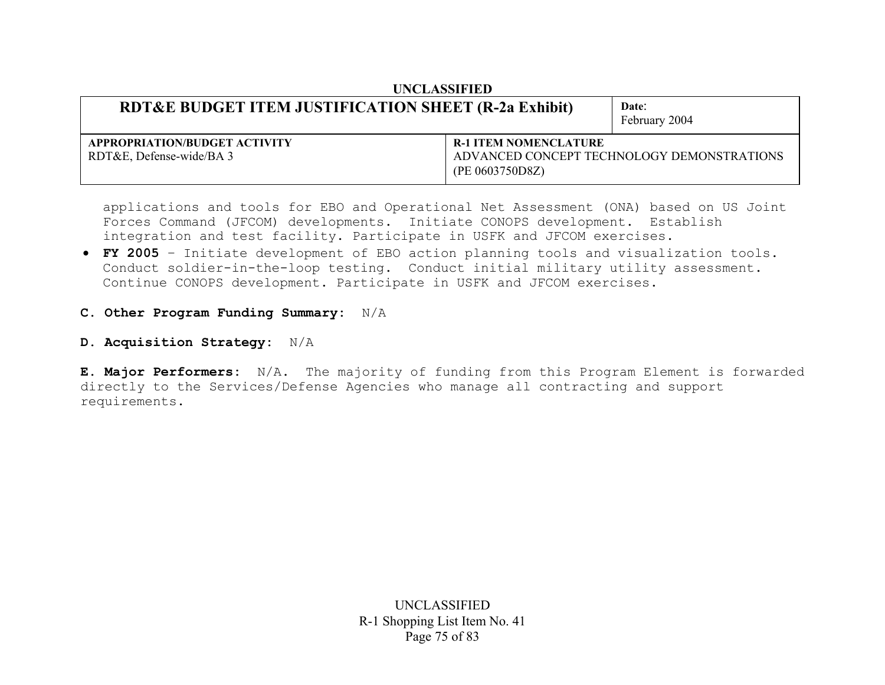| RDT&E BUDGET ITEM JUSTIFICATION SHEET (R-2a Exhibit)             |                                                 | Date:<br>February 2004                     |
|------------------------------------------------------------------|-------------------------------------------------|--------------------------------------------|
| <b>APPROPRIATION/BUDGET ACTIVITY</b><br>RDT&E, Defense-wide/BA 3 | <b>R-1 ITEM NOMENCLATURE</b><br>(PE 0603750D8Z) | ADVANCED CONCEPT TECHNOLOGY DEMONSTRATIONS |

applications and tools for EBO and Operational Net Assessment (ONA) based on US Joint Forces Command (JFCOM) developments. Initiate CONOPS development. Establish integration and test facility. Participate in USFK and JFCOM exercises.

- **FY 2005** Initiate development of EBO action planning tools and visualization tools. Conduct soldier-in-the-loop testing. Conduct initial military utility assessment. Continue CONOPS development. Participate in USFK and JFCOM exercises.
- **C. Other Program Funding Summary:** N/A
- **D. Acquisition Strategy:** N/A

**E. Major Performers:** N/A. The majority of funding from this Program Element is forwarded directly to the Services/Defense Agencies who manage all contracting and support requirements.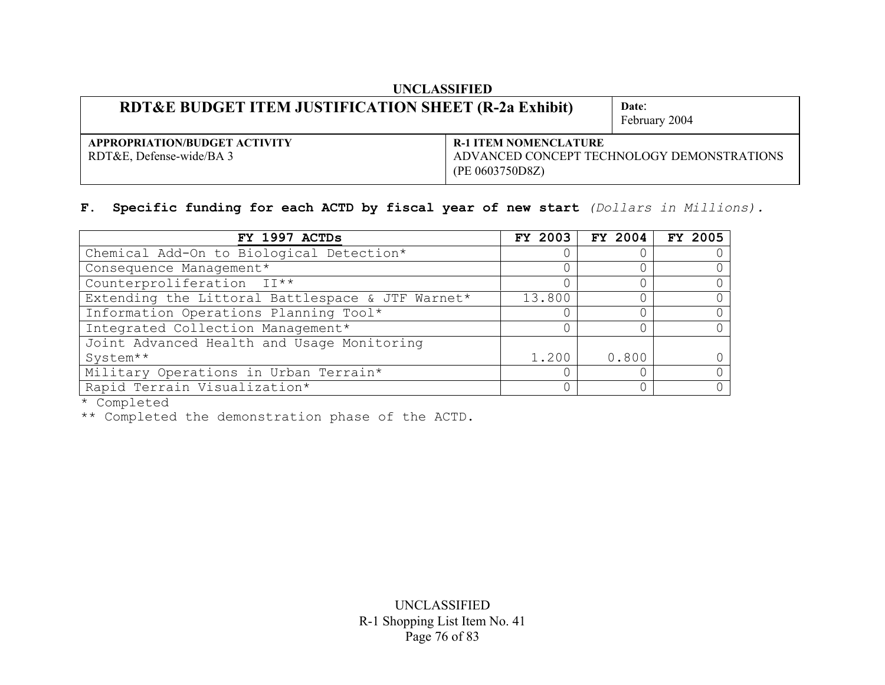| RDT&E BUDGET ITEM JUSTIFICATION SHEET (R-2a Exhibit)      |                                                 | Date:<br>February 2004                     |
|-----------------------------------------------------------|-------------------------------------------------|--------------------------------------------|
| APPROPRIATION/BUDGET ACTIVITY<br>RDT&E, Defense-wide/BA 3 | <b>R-1 ITEM NOMENCLATURE</b><br>(PE 0603750D8Z) | ADVANCED CONCEPT TECHNOLOGY DEMONSTRATIONS |

## **F. Specific funding for each ACTD by fiscal year of new start** *(Dollars in Millions).*

| FY 1997 ACTDS                                    |        | FY 2003   FY 2004 | <b>FY 2005</b> |
|--------------------------------------------------|--------|-------------------|----------------|
| Chemical Add-On to Biological Detection*         |        |                   |                |
| Consequence Management*                          |        |                   |                |
| Counterproliferation II**                        |        |                   |                |
| Extending the Littoral Battlespace & JTF Warnet* | 13.800 |                   |                |
| Information Operations Planning Tool*            |        |                   |                |
| Integrated Collection Management*                |        |                   |                |
| Joint Advanced Health and Usage Monitoring       |        |                   |                |
| System**                                         | 1.200  | 0.800             |                |
| Military Operations in Urban Terrain*            |        |                   |                |
| Rapid Terrain Visualization*                     |        |                   |                |

\* Completed

\*\* Completed the demonstration phase of the ACTD.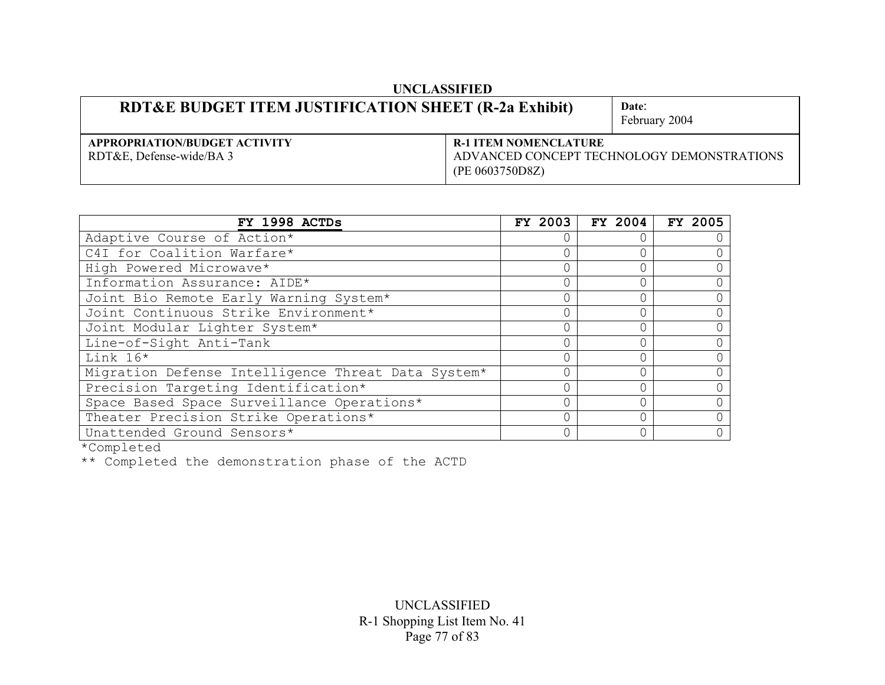#### **UNCLASSIFIED RDT&E BUDGET ITEM JUSTIFICATION SHEET (R-2a Exhibit)** Date: February 2004 **APPROPRIATION/BUDGET ACTIVITY**  RDT&E, Defense-wide/BA 3 **R-1 ITEM NOMENCLATURE**  ADVANCED CONCEPT TECHNOLOGY DEMONSTRATIONS (PE 0603750D8Z)

| FY 1998 ACTDs                                      | FY 2003 | FY 2004 | FY 2005 |
|----------------------------------------------------|---------|---------|---------|
| Adaptive Course of Action*                         |         |         |         |
| C4I for Coalition Warfare*                         |         |         |         |
| High Powered Microwave*                            |         |         |         |
| Information Assurance: AIDE*                       |         |         |         |
| Joint Bio Remote Early Warning System*             |         |         |         |
| Joint Continuous Strike Environment*               | N       |         |         |
| Joint Modular Lighter System*                      |         |         |         |
| Line-of-Sight Anti-Tank                            |         |         |         |
| Link $16*$                                         |         |         |         |
| Migration Defense Intelligence Threat Data System* |         |         |         |
| Precision Targeting Identification*                |         |         |         |
| Space Based Space Surveillance Operations*         |         |         |         |
| Theater Precision Strike Operations*               |         |         |         |
| Unattended Ground Sensors*                         |         |         |         |

\*Completed

\*\* Completed the demonstration phase of the ACTD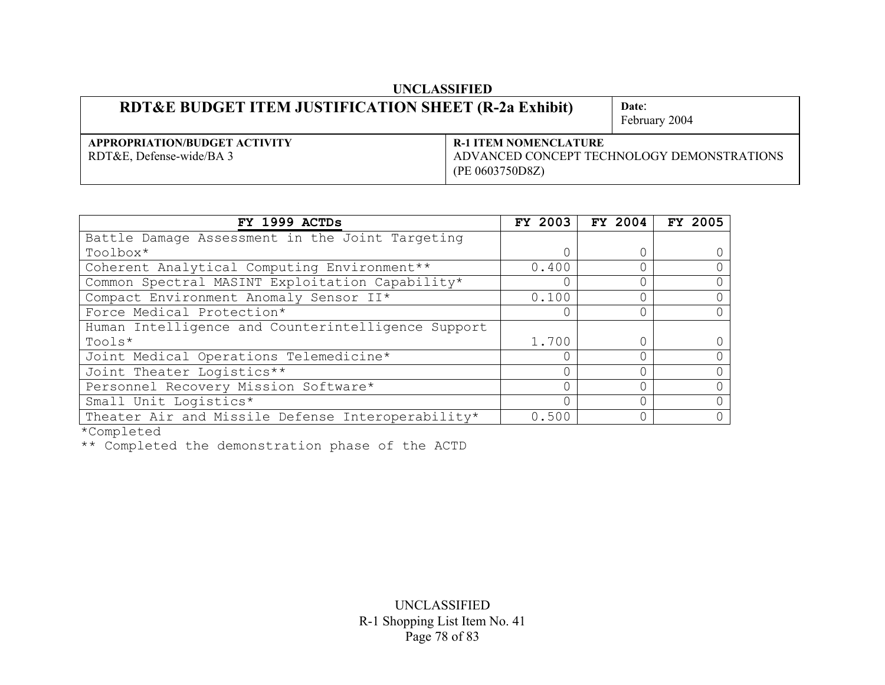| RDT&E BUDGET ITEM JUSTIFICATION SHEET (R-2a Exhibit)             |                                                 | Date:<br>February 2004                     |
|------------------------------------------------------------------|-------------------------------------------------|--------------------------------------------|
| <b>APPROPRIATION/BUDGET ACTIVITY</b><br>RDT&E, Defense-wide/BA 3 | <b>R-1 ITEM NOMENCLATURE</b><br>(PE 0603750D8Z) | ADVANCED CONCEPT TECHNOLOGY DEMONSTRATIONS |

| FY 1999 ACTDs                                      | FY 2003 | FY 2004 | FY 2005 |
|----------------------------------------------------|---------|---------|---------|
| Battle Damage Assessment in the Joint Targeting    |         |         |         |
| Toolbox*                                           |         |         |         |
| Coherent Analytical Computing Environment**        | 0.400   |         |         |
| Common Spectral MASINT Exploitation Capability*    |         |         |         |
| Compact Environment Anomaly Sensor II*             | 0.100   |         |         |
| Force Medical Protection*                          |         |         |         |
| Human Intelligence and Counterintelligence Support |         |         |         |
| Tools*                                             | 1.700   |         |         |
| Joint Medical Operations Telemedicine*             |         |         |         |
| Joint Theater Logistics**                          |         |         |         |
| Personnel Recovery Mission Software*               |         |         |         |
| Small Unit Logistics*                              |         |         |         |
| Theater Air and Missile Defense Interoperability*  | 0.500   |         |         |

\*Completed

\*\* Completed the demonstration phase of the ACTD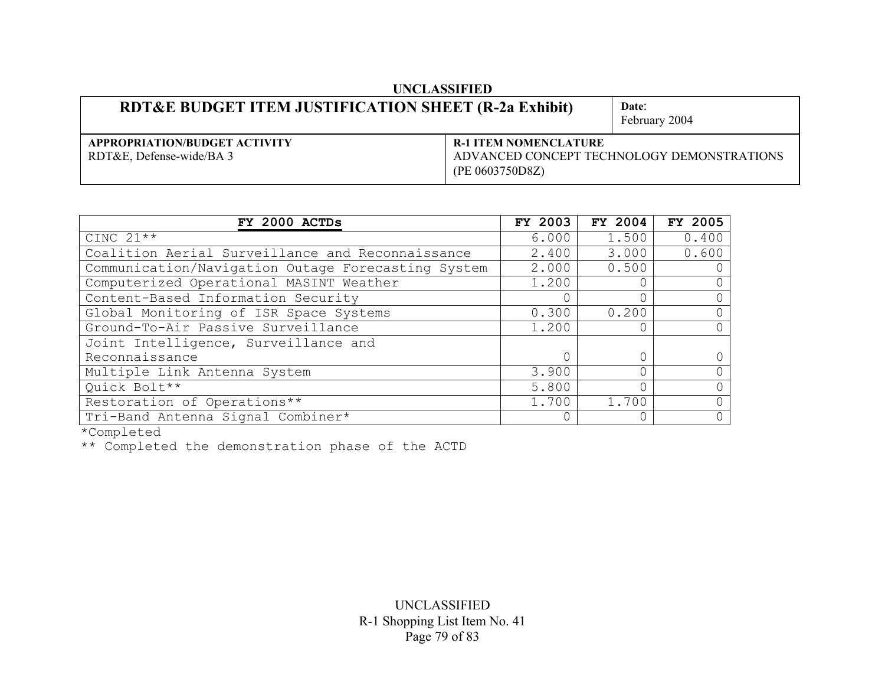| RDT&E BUDGET ITEM JUSTIFICATION SHEET (R-2a Exhibit)      |                                                 | Date:<br>February 2004                     |
|-----------------------------------------------------------|-------------------------------------------------|--------------------------------------------|
| APPROPRIATION/BUDGET ACTIVITY<br>RDT&E, Defense-wide/BA 3 | <b>R-1 ITEM NOMENCLATURE</b><br>(PE 0603750D8Z) | ADVANCED CONCEPT TECHNOLOGY DEMONSTRATIONS |

| FY 2000 ACTDS                                      | FY 2003 | FY 2004 | FY 2005 |
|----------------------------------------------------|---------|---------|---------|
| CINC $21**$                                        | 6.000   | 1.500   | 0.400   |
| Coalition Aerial Surveillance and Reconnaissance   | 2.400   | 3.000   | 0.600   |
| Communication/Navigation Outage Forecasting System | 2.000   | 0.500   |         |
| Computerized Operational MASINT Weather            | 1.200   |         |         |
| Content-Based Information Security                 |         |         |         |
| Global Monitoring of ISR Space Systems             | 0.300   | 0.200   |         |
| Ground-To-Air Passive Surveillance                 | 1,200   |         |         |
| Joint Intelligence, Surveillance and               |         |         |         |
| Reconnaissance                                     |         |         |         |
| Multiple Link Antenna System                       | 3.900   |         |         |
| Quick Bolt**                                       | 5.800   |         |         |
| Restoration of Operations**                        | 1.700   | 1.700   |         |
| Tri-Band Antenna Signal Combiner*                  |         |         |         |

\*Completed

\*\* Completed the demonstration phase of the ACTD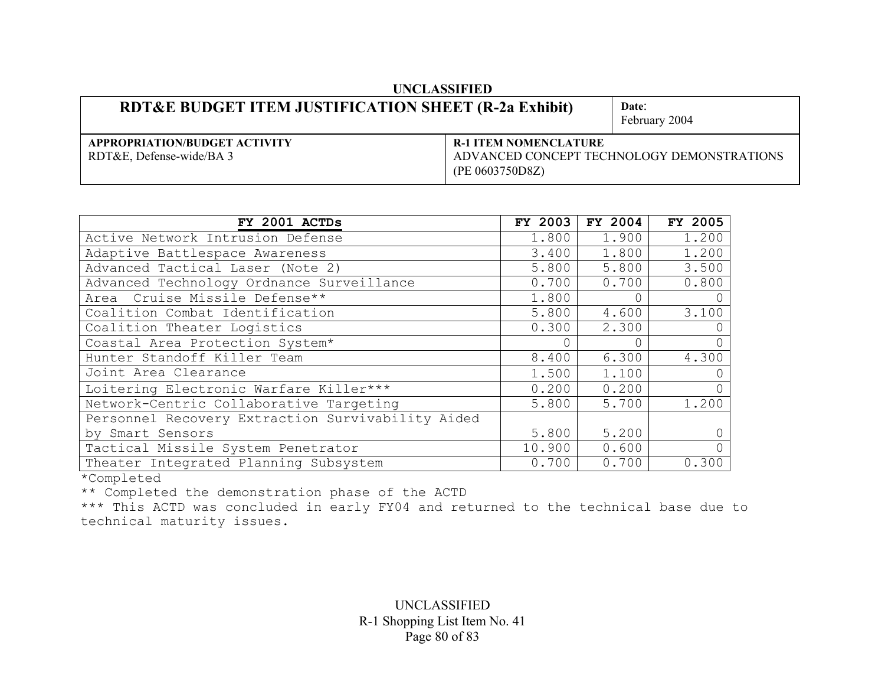| UNCLASSIFIED                                                     |                                                 |                                            |
|------------------------------------------------------------------|-------------------------------------------------|--------------------------------------------|
| RDT&E BUDGET ITEM JUSTIFICATION SHEET (R-2a Exhibit)             |                                                 | Date:<br>February 2004                     |
| <b>APPROPRIATION/BUDGET ACTIVITY</b><br>RDT&E, Defense-wide/BA 3 | <b>R-1 ITEM NOMENCLATURE</b><br>(PE 0603750D8Z) | ADVANCED CONCEPT TECHNOLOGY DEMONSTRATIONS |

| FY 2001 ACTDs                                     | FY 2003 | FY 2004 | FY 2005        |
|---------------------------------------------------|---------|---------|----------------|
| Active Network Intrusion Defense                  | 1.800   | 1.900   | 1,200          |
| Adaptive Battlespace Awareness                    | 3.400   | 1.800   | 1.200          |
| Advanced Tactical Laser (Note 2)                  | 5.800   | 5.800   | 3.500          |
| Advanced Technology Ordnance Surveillance         | 0.700   | 0.700   | 0.800          |
| Area Cruise Missile Defense**                     | 1.800   |         | $\bigcap$      |
| Coalition Combat Identification                   | 5.800   | 4.600   | 3.100          |
| Coalition Theater Logistics                       | 0.300   | 2.300   | $\Omega$       |
| Coastal Area Protection System*                   |         |         | $\overline{0}$ |
| Hunter Standoff Killer Team                       | 8.400   | 6.300   | 4.300          |
| Joint Area Clearance                              | 1.500   | 1.100   | $\bigcap$      |
| Loitering Electronic Warfare Killer***            | 0.200   | 0.200   | $\Omega$       |
| Network-Centric Collaborative Targeting           | 5.800   | 5.700   | 1.200          |
| Personnel Recovery Extraction Survivability Aided |         |         |                |
| by Smart Sensors                                  | 5.800   | 5.200   | $\Omega$       |
| Tactical Missile System Penetrator                | 10.900  | 0.600   | $\overline{0}$ |
| Theater Integrated Planning Subsystem             | 0.700   | 0.700   | 0.300          |

\*Completed

\*\* Completed the demonstration phase of the ACTD

\*\*\* This ACTD was concluded in early FY04 and returned to the technical base due to technical maturity issues.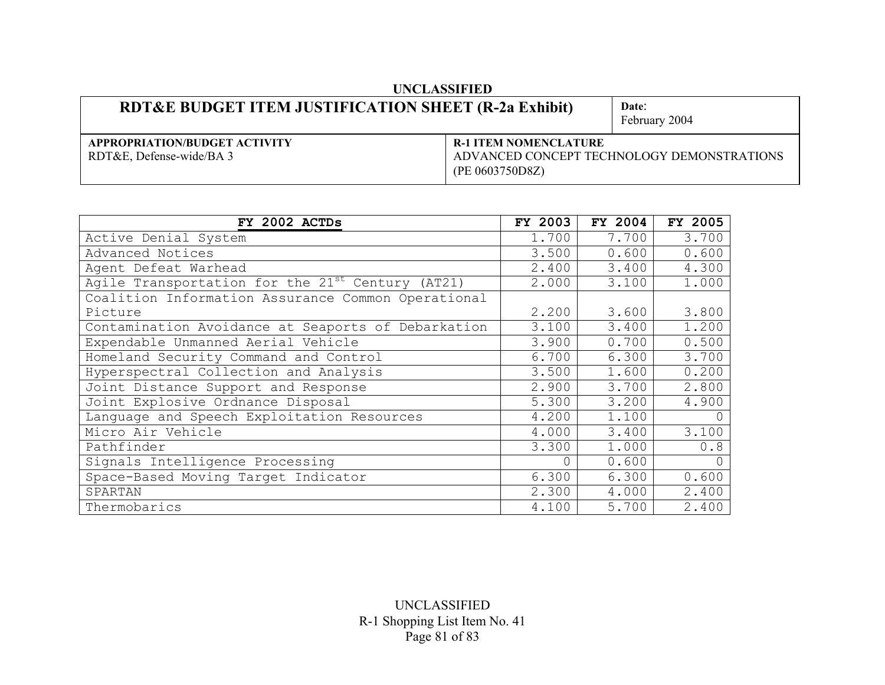| RDT&E BUDGET ITEM JUSTIFICATION SHEET (R-2a Exhibit)      |                                                 | Date:<br>February 2004                     |
|-----------------------------------------------------------|-------------------------------------------------|--------------------------------------------|
| APPROPRIATION/BUDGET ACTIVITY<br>RDT&E, Defense-wide/BA 3 | <b>R-1 ITEM NOMENCLATURE</b><br>(PE 0603750D8Z) | ADVANCED CONCEPT TECHNOLOGY DEMONSTRATIONS |

| FY 2002 ACTDs                                                | FY 2003 | FY 2004 | FY 2005 |
|--------------------------------------------------------------|---------|---------|---------|
| Active Denial System                                         | 1,700   | 7.700   | 3.700   |
| Advanced Notices                                             | 3.500   | 0.600   | 0.600   |
| Agent Defeat Warhead                                         | 2.400   | 3.400   | 4.300   |
| Agile Transportation for the 21 <sup>st</sup> Century (AT21) | 2.000   | 3.100   | 1.000   |
| Coalition Information Assurance Common Operational           |         |         |         |
| Picture                                                      | 2,200   | 3.600   | 3.800   |
| Contamination Avoidance at Seaports of Debarkation           | 3.100   | 3.400   | 1.200   |
| Expendable Unmanned Aerial Vehicle                           | 3.900   | 0.700   | 0.500   |
| Homeland Security Command and Control                        | 6.700   | 6.300   | 3.700   |
| Hyperspectral Collection and Analysis                        | 3.500   | 1.600   | 0.200   |
| Joint Distance Support and Response                          | 2.900   | 3.700   | 2.800   |
| Joint Explosive Ordnance Disposal                            | 5.300   | 3.200   | 4.900   |
| Language and Speech Exploitation Resources                   | 4.200   | 1.100   | 0       |
| Micro Air Vehicle                                            | 4.000   | 3.400   | 3.100   |
| Pathfinder                                                   | 3.300   | 1.000   | 0.8     |
| Signals Intelligence Processing                              |         | 0.600   |         |
| Space-Based Moving Target Indicator                          | 6.300   | 6.300   | 0.600   |
| SPARTAN                                                      | 2.300   | 4.000   | 2.400   |
| Thermobarics                                                 | 4.100   | 5.700   | 2.400   |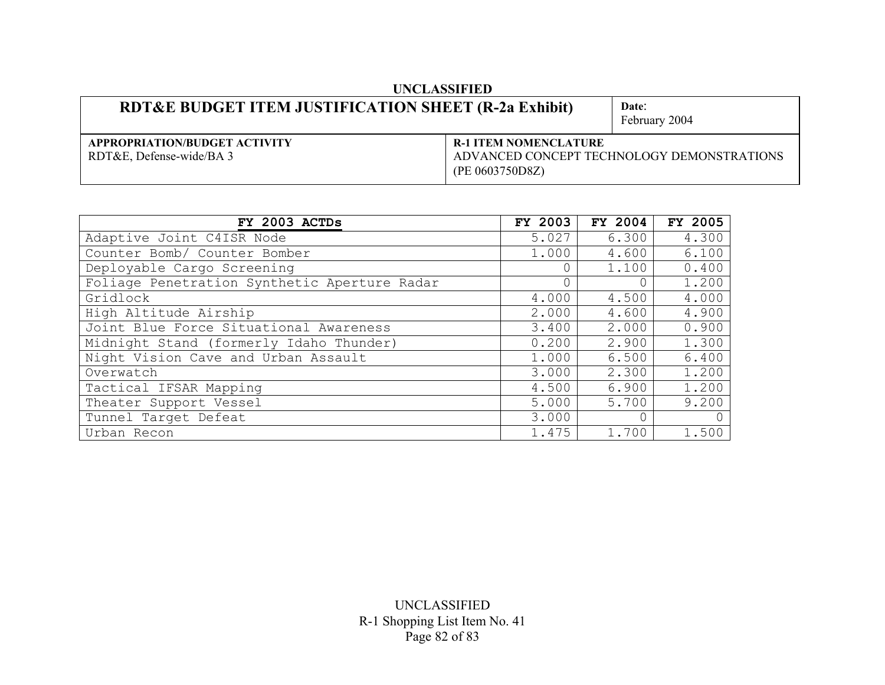| UNCLASSIFIED                                              |                                                 |                                            |
|-----------------------------------------------------------|-------------------------------------------------|--------------------------------------------|
| RDT&E BUDGET ITEM JUSTIFICATION SHEET (R-2a Exhibit)      |                                                 | Date:<br>February 2004                     |
| APPROPRIATION/BUDGET ACTIVITY<br>RDT&E, Defense-wide/BA 3 | <b>R-1 ITEM NOMENCLATURE</b><br>(PE 0603750D8Z) | ADVANCED CONCEPT TECHNOLOGY DEMONSTRATIONS |

| FY 2003 ACTDs                                | FY 2003 | FY 2004 | FY 2005  |
|----------------------------------------------|---------|---------|----------|
| Adaptive Joint C4ISR Node                    | 5.027   | 6.300   | 4.300    |
| Counter Bomb/ Counter Bomber                 | 1.000   | 4.600   | 6.100    |
| Deployable Cargo Screening                   | 0       | 1,100   | 0.400    |
| Foliage Penetration Synthetic Aperture Radar | 0       |         | 1,200    |
| Gridlock                                     | 4.000   | 4.500   | 4.000    |
| High Altitude Airship                        | 2.000   | 4.600   | 4.900    |
| Joint Blue Force Situational Awareness       | 3.400   | 2,000   | 0.900    |
| Midnight Stand (formerly Idaho Thunder)      | 0.200   | 2.900   | 1.300    |
| Night Vision Cave and Urban Assault          | 1.000   | 6.500   | 6.400    |
| Overwatch                                    | 3.000   | 2.300   | 1,200    |
| Tactical IFSAR Mapping                       | 4.500   | 6.900   | 1.200    |
| Theater Support Vessel                       | 5.000   | 5.700   | 9.200    |
| Tunnel Target Defeat                         | 3.000   |         | $\Omega$ |
| Urban Recon                                  | 1.475   | 1.700   | 1.500    |

# UNCLASSIFIED R-1 Shopping List Item No. 41 Page 82 of 83